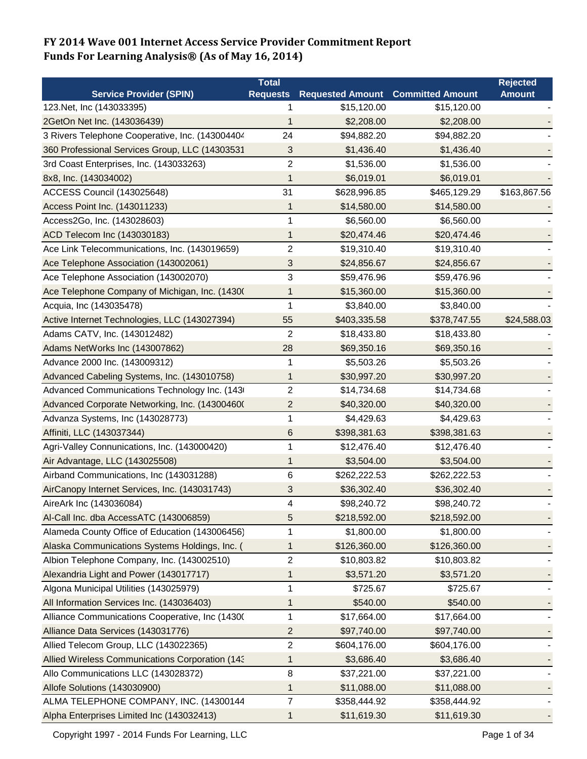|                                                 | <b>Total</b>    |                                          |              | <b>Rejected</b> |
|-------------------------------------------------|-----------------|------------------------------------------|--------------|-----------------|
| <b>Service Provider (SPIN)</b>                  | <b>Requests</b> | <b>Requested Amount Committed Amount</b> |              | <b>Amount</b>   |
| 123. Net, Inc (143033395)                       |                 | \$15,120.00                              | \$15,120.00  |                 |
| 2GetOn Net Inc. (143036439)                     | 1               | \$2,208.00                               | \$2,208.00   |                 |
| 3 Rivers Telephone Cooperative, Inc. (143004404 | 24              | \$94,882.20                              | \$94,882.20  |                 |
| 360 Professional Services Group, LLC (14303531  | 3               | \$1,436.40                               | \$1,436.40   |                 |
| 3rd Coast Enterprises, Inc. (143033263)         | 2               | \$1,536.00                               | \$1,536.00   |                 |
| 8x8, Inc. (143034002)                           | 1               | \$6,019.01                               | \$6,019.01   |                 |
| ACCESS Council (143025648)                      | 31              | \$628,996.85                             | \$465,129.29 | \$163,867.56    |
| Access Point Inc. (143011233)                   | 1               | \$14,580.00                              | \$14,580.00  |                 |
| Access2Go, Inc. (143028603)                     | 1               | \$6,560.00                               | \$6,560.00   |                 |
| ACD Telecom Inc (143030183)                     | 1               | \$20,474.46                              | \$20,474.46  |                 |
| Ace Link Telecommunications, Inc. (143019659)   | $\sqrt{2}$      | \$19,310.40                              | \$19,310.40  |                 |
| Ace Telephone Association (143002061)           | 3               | \$24,856.67                              | \$24,856.67  |                 |
| Ace Telephone Association (143002070)           | 3               | \$59,476.96                              | \$59,476.96  |                 |
| Ace Telephone Company of Michigan, Inc. (1430)  | 1               | \$15,360.00                              | \$15,360.00  |                 |
| Acquia, Inc (143035478)                         | 1               | \$3,840.00                               | \$3,840.00   |                 |
| Active Internet Technologies, LLC (143027394)   | 55              | \$403,335.58                             | \$378,747.55 | \$24,588.03     |
| Adams CATV, Inc. (143012482)                    | 2               | \$18,433.80                              | \$18,433.80  |                 |
| Adams NetWorks Inc (143007862)                  | 28              | \$69,350.16                              | \$69,350.16  |                 |
| Advance 2000 Inc. (143009312)                   | 1               | \$5,503.26                               | \$5,503.26   |                 |
| Advanced Cabeling Systems, Inc. (143010758)     | 1               | \$30,997.20                              | \$30,997.20  |                 |
| Advanced Communications Technology Inc. (143)   | 2               | \$14,734.68                              | \$14,734.68  |                 |
| Advanced Corporate Networking, Inc. (14300460)  | $\overline{c}$  | \$40,320.00                              | \$40,320.00  |                 |
| Advanza Systems, Inc (143028773)                | 1               | \$4,429.63                               | \$4,429.63   |                 |
| Affiniti, LLC (143037344)                       | $6\phantom{1}6$ | \$398,381.63                             | \$398,381.63 |                 |
| Agri-Valley Connunications, Inc. (143000420)    | 1               | \$12,476.40                              | \$12,476.40  |                 |
| Air Advantage, LLC (143025508)                  | 1               | \$3,504.00                               | \$3,504.00   |                 |
| Airband Communications, Inc (143031288)         | 6               | \$262,222.53                             | \$262,222.53 |                 |
| AirCanopy Internet Services, Inc. (143031743)   | 3               | \$36,302.40                              | \$36,302.40  |                 |
| AireArk Inc (143036084)                         | 4               | \$98,240.72                              | \$98,240.72  |                 |
| Al-Call Inc. dba AccessATC (143006859)          | 5               | \$218,592.00                             | \$218,592.00 |                 |
| Alameda County Office of Education (143006456)  | 1               | \$1,800.00                               | \$1,800.00   |                 |
| Alaska Communications Systems Holdings, Inc. (  | 1               | \$126,360.00                             | \$126,360.00 |                 |
| Albion Telephone Company, Inc. (143002510)      | 2               | \$10,803.82                              | \$10,803.82  |                 |
| Alexandria Light and Power (143017717)          | 1               | \$3,571.20                               | \$3,571.20   |                 |
| Algona Municipal Utilities (143025979)          | 1               | \$725.67                                 | \$725.67     |                 |
| All Information Services Inc. (143036403)       | 1               | \$540.00                                 | \$540.00     |                 |
| Alliance Communications Cooperative, Inc (1430) | 1               | \$17,664.00                              | \$17,664.00  |                 |
| Alliance Data Services (143031776)              | 2               | \$97,740.00                              | \$97,740.00  |                 |
| Allied Telecom Group, LLC (143022365)           | 2               | \$604,176.00                             | \$604,176.00 |                 |
| Allied Wireless Communications Corporation (143 | 1               | \$3,686.40                               | \$3,686.40   |                 |
| Allo Communications LLC (143028372)             | 8               | \$37,221.00                              | \$37,221.00  |                 |
| Allofe Solutions (143030900)                    | 1               | \$11,088.00                              | \$11,088.00  |                 |
| ALMA TELEPHONE COMPANY, INC. (14300144          | 7               | \$358,444.92                             | \$358,444.92 |                 |
| Alpha Enterprises Limited Inc (143032413)       | 1               | \$11,619.30                              | \$11,619.30  |                 |
|                                                 |                 |                                          |              |                 |

Copyright 1997 - 2014 Funds For Learning, LLC **Page 1 of 34** Page 1 of 34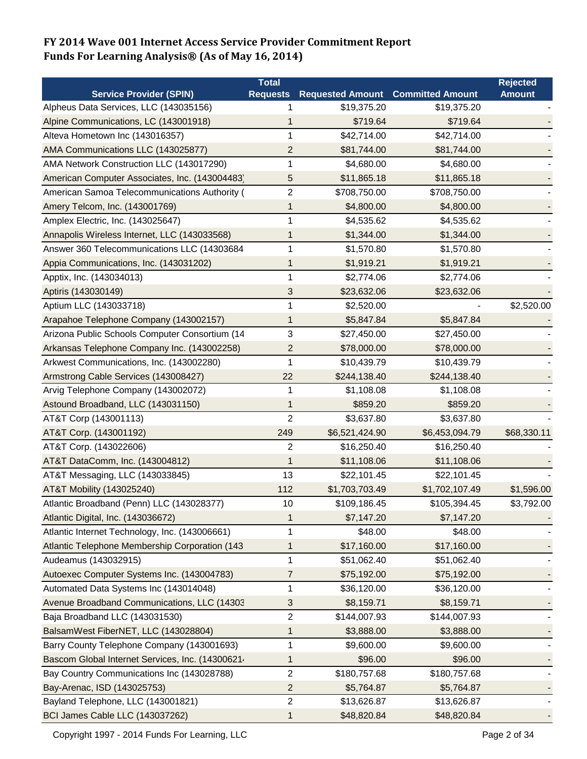| <b>Service Provider (SPIN)</b><br><b>Requested Amount Committed Amount</b><br><b>Amount</b><br><b>Requests</b><br>Alpheus Data Services, LLC (143035156)<br>\$19,375.20<br>\$19,375.20<br>1<br>Alpine Communications, LC (143001918)<br>\$719.64<br>\$719.64<br>1<br>Alteva Hometown Inc (143016357)<br>1<br>\$42,714.00<br>\$42,714.00<br>AMA Communications LLC (143025877)<br>$\overline{2}$<br>\$81,744.00<br>\$81,744.00<br>AMA Network Construction LLC (143017290)<br>\$4,680.00<br>1<br>\$4,680.00<br>American Computer Associates, Inc. (143004483)<br>5<br>\$11,865.18<br>\$11,865.18<br>$\sqrt{2}$<br>American Samoa Telecommunications Authority (<br>\$708,750.00<br>\$708,750.00<br>Amery Telcom, Inc. (143001769)<br>\$4,800.00<br>\$4,800.00<br>1<br>1<br>Amplex Electric, Inc. (143025647)<br>\$4,535.62<br>\$4,535.62<br>\$1,344.00<br>\$1,344.00<br>Annapolis Wireless Internet, LLC (143033568)<br>1<br>Answer 360 Telecommunications LLC (14303684<br>1<br>\$1,570.80<br>\$1,570.80<br>Appia Communications, Inc. (143031202)<br>\$1,919.21<br>\$1,919.21<br>1<br>\$2,774.06<br>Apptix, Inc. (143034013)<br>1<br>\$2,774.06<br>Aptiris (143030149)<br>3<br>\$23,632.06<br>\$23,632.06<br>Aptium LLC (143033718)<br>\$2,520.00<br>1<br>\$2,520.00<br>Arapahoe Telephone Company (143002157)<br>\$5,847.84<br>1<br>\$5,847.84<br>Arizona Public Schools Computer Consortium (14<br>3<br>\$27,450.00<br>\$27,450.00 |
|---------------------------------------------------------------------------------------------------------------------------------------------------------------------------------------------------------------------------------------------------------------------------------------------------------------------------------------------------------------------------------------------------------------------------------------------------------------------------------------------------------------------------------------------------------------------------------------------------------------------------------------------------------------------------------------------------------------------------------------------------------------------------------------------------------------------------------------------------------------------------------------------------------------------------------------------------------------------------------------------------------------------------------------------------------------------------------------------------------------------------------------------------------------------------------------------------------------------------------------------------------------------------------------------------------------------------------------------------------------------------------------------------------------------------------------|
|                                                                                                                                                                                                                                                                                                                                                                                                                                                                                                                                                                                                                                                                                                                                                                                                                                                                                                                                                                                                                                                                                                                                                                                                                                                                                                                                                                                                                                       |
|                                                                                                                                                                                                                                                                                                                                                                                                                                                                                                                                                                                                                                                                                                                                                                                                                                                                                                                                                                                                                                                                                                                                                                                                                                                                                                                                                                                                                                       |
|                                                                                                                                                                                                                                                                                                                                                                                                                                                                                                                                                                                                                                                                                                                                                                                                                                                                                                                                                                                                                                                                                                                                                                                                                                                                                                                                                                                                                                       |
|                                                                                                                                                                                                                                                                                                                                                                                                                                                                                                                                                                                                                                                                                                                                                                                                                                                                                                                                                                                                                                                                                                                                                                                                                                                                                                                                                                                                                                       |
|                                                                                                                                                                                                                                                                                                                                                                                                                                                                                                                                                                                                                                                                                                                                                                                                                                                                                                                                                                                                                                                                                                                                                                                                                                                                                                                                                                                                                                       |
|                                                                                                                                                                                                                                                                                                                                                                                                                                                                                                                                                                                                                                                                                                                                                                                                                                                                                                                                                                                                                                                                                                                                                                                                                                                                                                                                                                                                                                       |
|                                                                                                                                                                                                                                                                                                                                                                                                                                                                                                                                                                                                                                                                                                                                                                                                                                                                                                                                                                                                                                                                                                                                                                                                                                                                                                                                                                                                                                       |
|                                                                                                                                                                                                                                                                                                                                                                                                                                                                                                                                                                                                                                                                                                                                                                                                                                                                                                                                                                                                                                                                                                                                                                                                                                                                                                                                                                                                                                       |
|                                                                                                                                                                                                                                                                                                                                                                                                                                                                                                                                                                                                                                                                                                                                                                                                                                                                                                                                                                                                                                                                                                                                                                                                                                                                                                                                                                                                                                       |
|                                                                                                                                                                                                                                                                                                                                                                                                                                                                                                                                                                                                                                                                                                                                                                                                                                                                                                                                                                                                                                                                                                                                                                                                                                                                                                                                                                                                                                       |
|                                                                                                                                                                                                                                                                                                                                                                                                                                                                                                                                                                                                                                                                                                                                                                                                                                                                                                                                                                                                                                                                                                                                                                                                                                                                                                                                                                                                                                       |
|                                                                                                                                                                                                                                                                                                                                                                                                                                                                                                                                                                                                                                                                                                                                                                                                                                                                                                                                                                                                                                                                                                                                                                                                                                                                                                                                                                                                                                       |
|                                                                                                                                                                                                                                                                                                                                                                                                                                                                                                                                                                                                                                                                                                                                                                                                                                                                                                                                                                                                                                                                                                                                                                                                                                                                                                                                                                                                                                       |
|                                                                                                                                                                                                                                                                                                                                                                                                                                                                                                                                                                                                                                                                                                                                                                                                                                                                                                                                                                                                                                                                                                                                                                                                                                                                                                                                                                                                                                       |
|                                                                                                                                                                                                                                                                                                                                                                                                                                                                                                                                                                                                                                                                                                                                                                                                                                                                                                                                                                                                                                                                                                                                                                                                                                                                                                                                                                                                                                       |
|                                                                                                                                                                                                                                                                                                                                                                                                                                                                                                                                                                                                                                                                                                                                                                                                                                                                                                                                                                                                                                                                                                                                                                                                                                                                                                                                                                                                                                       |
|                                                                                                                                                                                                                                                                                                                                                                                                                                                                                                                                                                                                                                                                                                                                                                                                                                                                                                                                                                                                                                                                                                                                                                                                                                                                                                                                                                                                                                       |
|                                                                                                                                                                                                                                                                                                                                                                                                                                                                                                                                                                                                                                                                                                                                                                                                                                                                                                                                                                                                                                                                                                                                                                                                                                                                                                                                                                                                                                       |
| Arkansas Telephone Company Inc. (143002258)<br>\$78,000.00<br>2<br>\$78,000.00                                                                                                                                                                                                                                                                                                                                                                                                                                                                                                                                                                                                                                                                                                                                                                                                                                                                                                                                                                                                                                                                                                                                                                                                                                                                                                                                                        |
| Arkwest Communications, Inc. (143002280)<br>\$10,439.79<br>\$10,439.79<br>1                                                                                                                                                                                                                                                                                                                                                                                                                                                                                                                                                                                                                                                                                                                                                                                                                                                                                                                                                                                                                                                                                                                                                                                                                                                                                                                                                           |
| 22<br>Armstrong Cable Services (143008427)<br>\$244,138.40<br>\$244,138.40                                                                                                                                                                                                                                                                                                                                                                                                                                                                                                                                                                                                                                                                                                                                                                                                                                                                                                                                                                                                                                                                                                                                                                                                                                                                                                                                                            |
| Arvig Telephone Company (143002072)<br>1<br>\$1,108.08<br>\$1,108.08                                                                                                                                                                                                                                                                                                                                                                                                                                                                                                                                                                                                                                                                                                                                                                                                                                                                                                                                                                                                                                                                                                                                                                                                                                                                                                                                                                  |
| Astound Broadband, LLC (143031150)<br>1<br>\$859.20<br>\$859.20                                                                                                                                                                                                                                                                                                                                                                                                                                                                                                                                                                                                                                                                                                                                                                                                                                                                                                                                                                                                                                                                                                                                                                                                                                                                                                                                                                       |
| $\overline{2}$<br>\$3,637.80<br>\$3,637.80<br>AT&T Corp (143001113)                                                                                                                                                                                                                                                                                                                                                                                                                                                                                                                                                                                                                                                                                                                                                                                                                                                                                                                                                                                                                                                                                                                                                                                                                                                                                                                                                                   |
| AT&T Corp. (143001192)<br>249<br>\$6,521,424.90<br>\$68,330.11<br>\$6,453,094.79                                                                                                                                                                                                                                                                                                                                                                                                                                                                                                                                                                                                                                                                                                                                                                                                                                                                                                                                                                                                                                                                                                                                                                                                                                                                                                                                                      |
| $\overline{c}$<br>\$16,250.40<br>AT&T Corp. (143022606)<br>\$16,250.40                                                                                                                                                                                                                                                                                                                                                                                                                                                                                                                                                                                                                                                                                                                                                                                                                                                                                                                                                                                                                                                                                                                                                                                                                                                                                                                                                                |
| AT&T DataComm, Inc. (143004812)<br>1<br>\$11,108.06<br>\$11,108.06                                                                                                                                                                                                                                                                                                                                                                                                                                                                                                                                                                                                                                                                                                                                                                                                                                                                                                                                                                                                                                                                                                                                                                                                                                                                                                                                                                    |
| 13<br>AT&T Messaging, LLC (143033845)<br>\$22,101.45<br>\$22,101.45                                                                                                                                                                                                                                                                                                                                                                                                                                                                                                                                                                                                                                                                                                                                                                                                                                                                                                                                                                                                                                                                                                                                                                                                                                                                                                                                                                   |
| AT&T Mobility (143025240)<br>112<br>\$1,703,703.49<br>\$1,702,107.49<br>\$1,596.00                                                                                                                                                                                                                                                                                                                                                                                                                                                                                                                                                                                                                                                                                                                                                                                                                                                                                                                                                                                                                                                                                                                                                                                                                                                                                                                                                    |
| Atlantic Broadband (Penn) LLC (143028377)<br>10<br>\$105,394.45<br>\$109,186.45<br>\$3,792.00                                                                                                                                                                                                                                                                                                                                                                                                                                                                                                                                                                                                                                                                                                                                                                                                                                                                                                                                                                                                                                                                                                                                                                                                                                                                                                                                         |
| Atlantic Digital, Inc. (143036672)<br>1<br>\$7,147.20<br>\$7,147.20                                                                                                                                                                                                                                                                                                                                                                                                                                                                                                                                                                                                                                                                                                                                                                                                                                                                                                                                                                                                                                                                                                                                                                                                                                                                                                                                                                   |
| Atlantic Internet Technology, Inc. (143006661)<br>1<br>\$48.00<br>\$48.00                                                                                                                                                                                                                                                                                                                                                                                                                                                                                                                                                                                                                                                                                                                                                                                                                                                                                                                                                                                                                                                                                                                                                                                                                                                                                                                                                             |
| Atlantic Telephone Membership Corporation (143<br>\$17,160.00<br>1<br>\$17,160.00                                                                                                                                                                                                                                                                                                                                                                                                                                                                                                                                                                                                                                                                                                                                                                                                                                                                                                                                                                                                                                                                                                                                                                                                                                                                                                                                                     |
| $\mathbf{1}$<br>Audeamus (143032915)<br>\$51,062.40<br>\$51,062.40                                                                                                                                                                                                                                                                                                                                                                                                                                                                                                                                                                                                                                                                                                                                                                                                                                                                                                                                                                                                                                                                                                                                                                                                                                                                                                                                                                    |
| Autoexec Computer Systems Inc. (143004783)<br>7<br>\$75,192.00<br>\$75,192.00                                                                                                                                                                                                                                                                                                                                                                                                                                                                                                                                                                                                                                                                                                                                                                                                                                                                                                                                                                                                                                                                                                                                                                                                                                                                                                                                                         |
| 1<br>Automated Data Systems Inc (143014048)<br>\$36,120.00<br>\$36,120.00                                                                                                                                                                                                                                                                                                                                                                                                                                                                                                                                                                                                                                                                                                                                                                                                                                                                                                                                                                                                                                                                                                                                                                                                                                                                                                                                                             |
| Avenue Broadband Communications, LLC (14303<br>\$8,159.71<br>\$8,159.71<br>3                                                                                                                                                                                                                                                                                                                                                                                                                                                                                                                                                                                                                                                                                                                                                                                                                                                                                                                                                                                                                                                                                                                                                                                                                                                                                                                                                          |
| $\overline{2}$<br>Baja Broadband LLC (143031530)<br>\$144,007.93<br>\$144,007.93                                                                                                                                                                                                                                                                                                                                                                                                                                                                                                                                                                                                                                                                                                                                                                                                                                                                                                                                                                                                                                                                                                                                                                                                                                                                                                                                                      |
| BalsamWest FiberNET, LLC (143028804)<br>\$3,888.00<br>\$3,888.00<br>1                                                                                                                                                                                                                                                                                                                                                                                                                                                                                                                                                                                                                                                                                                                                                                                                                                                                                                                                                                                                                                                                                                                                                                                                                                                                                                                                                                 |
| Barry County Telephone Company (143001693)<br>\$9,600.00<br>\$9,600.00<br>1                                                                                                                                                                                                                                                                                                                                                                                                                                                                                                                                                                                                                                                                                                                                                                                                                                                                                                                                                                                                                                                                                                                                                                                                                                                                                                                                                           |
| Bascom Global Internet Services, Inc. (14300621.<br>\$96.00<br>\$96.00<br>1                                                                                                                                                                                                                                                                                                                                                                                                                                                                                                                                                                                                                                                                                                                                                                                                                                                                                                                                                                                                                                                                                                                                                                                                                                                                                                                                                           |
| $\overline{c}$<br>\$180,757.68<br>Bay Country Communications Inc (143028788)<br>\$180,757.68                                                                                                                                                                                                                                                                                                                                                                                                                                                                                                                                                                                                                                                                                                                                                                                                                                                                                                                                                                                                                                                                                                                                                                                                                                                                                                                                          |
| Bay-Arenac, ISD (143025753)<br>$\overline{c}$<br>\$5,764.87<br>\$5,764.87                                                                                                                                                                                                                                                                                                                                                                                                                                                                                                                                                                                                                                                                                                                                                                                                                                                                                                                                                                                                                                                                                                                                                                                                                                                                                                                                                             |
| Bayland Telephone, LLC (143001821)<br>$\overline{2}$<br>\$13,626.87<br>\$13,626.87                                                                                                                                                                                                                                                                                                                                                                                                                                                                                                                                                                                                                                                                                                                                                                                                                                                                                                                                                                                                                                                                                                                                                                                                                                                                                                                                                    |
| BCI James Cable LLC (143037262)<br>1<br>\$48,820.84<br>\$48,820.84                                                                                                                                                                                                                                                                                                                                                                                                                                                                                                                                                                                                                                                                                                                                                                                                                                                                                                                                                                                                                                                                                                                                                                                                                                                                                                                                                                    |

Copyright 1997 - 2014 Funds For Learning, LLC **Page 2 of 34** Page 2 of 34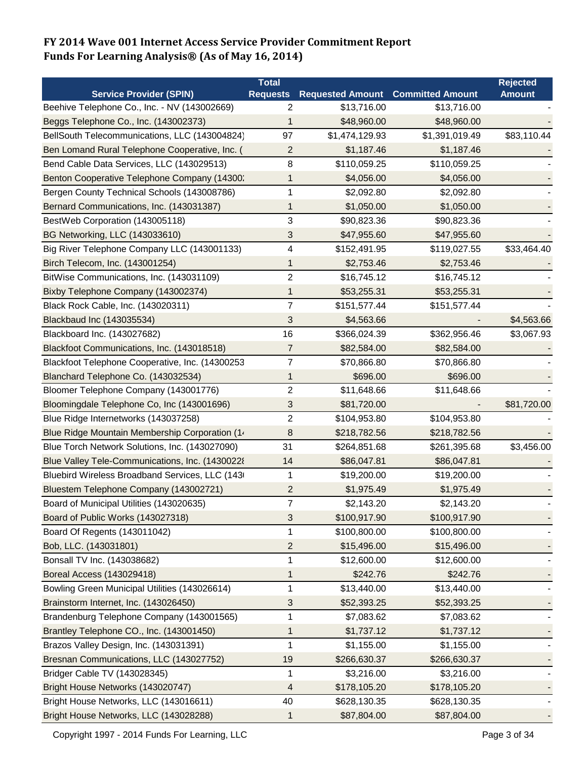|                                                  | <b>Total</b>            |                         |                         | <b>Rejected</b> |
|--------------------------------------------------|-------------------------|-------------------------|-------------------------|-----------------|
| <b>Service Provider (SPIN)</b>                   | <b>Requests</b>         | <b>Requested Amount</b> | <b>Committed Amount</b> | <b>Amount</b>   |
| Beehive Telephone Co., Inc. - NV (143002669)     | 2                       | \$13,716.00             | \$13,716.00             |                 |
| Beggs Telephone Co., Inc. (143002373)            | 1                       | \$48,960.00             | \$48,960.00             |                 |
| BellSouth Telecommunications, LLC (143004824)    | 97                      | \$1,474,129.93          | \$1,391,019.49          | \$83,110.44     |
| Ben Lomand Rural Telephone Cooperative, Inc. (   | $\overline{2}$          | \$1,187.46              | \$1,187.46              |                 |
| Bend Cable Data Services, LLC (143029513)        | 8                       | \$110,059.25            | \$110,059.25            |                 |
| Benton Cooperative Telephone Company (14300:     | 1                       | \$4,056.00              | \$4,056.00              |                 |
| Bergen County Technical Schools (143008786)      | 1                       | \$2,092.80              | \$2,092.80              |                 |
| Bernard Communications, Inc. (143031387)         | 1                       | \$1,050.00              | \$1,050.00              |                 |
| BestWeb Corporation (143005118)                  | 3                       | \$90,823.36             | \$90,823.36             |                 |
| BG Networking, LLC (143033610)                   | 3                       | \$47,955.60             | \$47,955.60             |                 |
| Big River Telephone Company LLC (143001133)      | $\overline{\mathbf{4}}$ | \$152,491.95            | \$119,027.55            | \$33,464.40     |
| Birch Telecom, Inc. (143001254)                  | 1                       | \$2,753.46              | \$2,753.46              |                 |
| BitWise Communications, Inc. (143031109)         | $\overline{c}$          | \$16,745.12             | \$16,745.12             |                 |
| Bixby Telephone Company (143002374)              | 1                       | \$53,255.31             | \$53,255.31             |                 |
| Black Rock Cable, Inc. (143020311)               | $\overline{7}$          | \$151,577.44            | \$151,577.44            |                 |
| Blackbaud Inc (143035534)                        | 3                       | \$4,563.66              |                         | \$4,563.66      |
| Blackboard Inc. (143027682)                      | 16                      | \$366,024.39            | \$362,956.46            | \$3,067.93      |
| Blackfoot Communications, Inc. (143018518)       | 7                       | \$82,584.00             | \$82,584.00             |                 |
| Blackfoot Telephone Cooperative, Inc. (14300253  | $\overline{7}$          | \$70,866.80             | \$70,866.80             |                 |
| Blanchard Telephone Co. (143032534)              | 1                       | \$696.00                | \$696.00                |                 |
| Bloomer Telephone Company (143001776)            | $\overline{2}$          | \$11,648.66             | \$11,648.66             |                 |
| Bloomingdale Telephone Co, Inc (143001696)       | 3                       | \$81,720.00             |                         | \$81,720.00     |
| Blue Ridge Internetworks (143037258)             | $\overline{c}$          | \$104,953.80            | \$104,953.80            |                 |
| Blue Ridge Mountain Membership Corporation (1.   | 8                       | \$218,782.56            | \$218,782.56            |                 |
| Blue Torch Network Solutions, Inc. (143027090)   | 31                      | \$264,851.68            | \$261,395.68            | \$3,456.00      |
| Blue Valley Tele-Communications, Inc. (14300228) | 14                      | \$86,047.81             | \$86,047.81             |                 |
| Bluebird Wireless Broadband Services, LLC (143)  | 1                       | \$19,200.00             | \$19,200.00             |                 |
| Bluestem Telephone Company (143002721)           | $\overline{2}$          | \$1,975.49              | \$1,975.49              |                 |
| Board of Municipal Utilities (143020635)         | $\overline{7}$          | \$2,143.20              | \$2,143.20              |                 |
| Board of Public Works (143027318)                | 3                       | \$100,917.90            | \$100,917.90            |                 |
| Board Of Regents (143011042)                     | 1                       | \$100,800.00            | \$100,800.00            |                 |
| Bob, LLC. (143031801)                            | $\overline{2}$          | \$15,496.00             | \$15,496.00             |                 |
| Bonsall TV Inc. (143038682)                      | 1                       | \$12,600.00             | \$12,600.00             |                 |
| Boreal Access (143029418)                        | 1                       | \$242.76                | \$242.76                |                 |
| Bowling Green Municipal Utilities (143026614)    | 1                       | \$13,440.00             | \$13,440.00             |                 |
| Brainstorm Internet, Inc. (143026450)            | 3                       | \$52,393.25             | \$52,393.25             |                 |
| Brandenburg Telephone Company (143001565)        | 1                       | \$7,083.62              | \$7,083.62              |                 |
| Brantley Telephone CO., Inc. (143001450)         | 1                       | \$1,737.12              | \$1,737.12              |                 |
| Brazos Valley Design, Inc. (143031391)           | 1                       | \$1,155.00              | \$1,155.00              |                 |
| Bresnan Communications, LLC (143027752)          | 19                      | \$266,630.37            | \$266,630.37            |                 |
| Bridger Cable TV (143028345)                     | 1                       | \$3,216.00              | \$3,216.00              |                 |
| Bright House Networks (143020747)                | 4                       | \$178,105.20            | \$178,105.20            |                 |
| Bright House Networks, LLC (143016611)           | 40                      | \$628,130.35            | \$628,130.35            |                 |
| Bright House Networks, LLC (143028288)           | 1                       | \$87,804.00             | \$87,804.00             |                 |

Copyright 1997 - 2014 Funds For Learning, LLC **Page 3 of 34** Page 3 of 34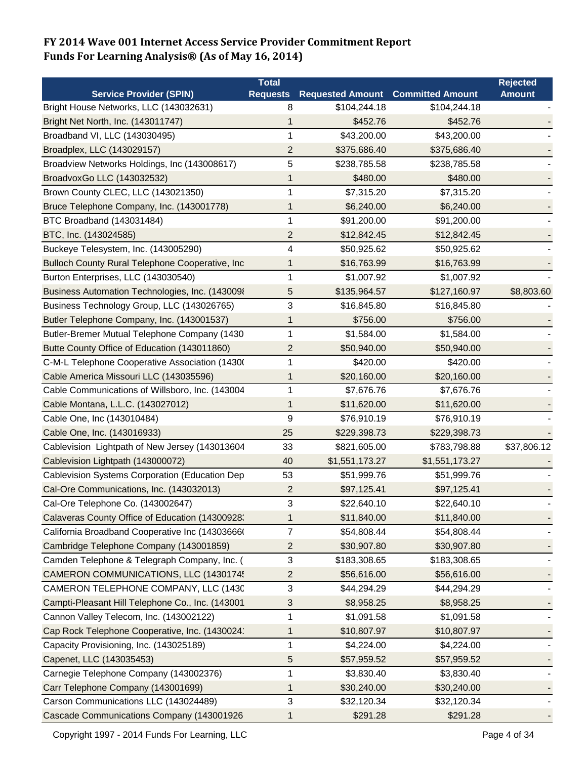|                                                  | <b>Total</b>            |                         |                         | <b>Rejected</b> |
|--------------------------------------------------|-------------------------|-------------------------|-------------------------|-----------------|
| <b>Service Provider (SPIN)</b>                   | <b>Requests</b>         | <b>Requested Amount</b> | <b>Committed Amount</b> | <b>Amount</b>   |
| Bright House Networks, LLC (143032631)           | 8                       | \$104,244.18            | \$104,244.18            |                 |
| Bright Net North, Inc. (143011747)               | 1                       | \$452.76                | \$452.76                |                 |
| Broadband VI, LLC (143030495)                    | 1                       | \$43,200.00             | \$43,200.00             |                 |
| Broadplex, LLC (143029157)                       | 2                       | \$375,686.40            | \$375,686.40            |                 |
| Broadview Networks Holdings, Inc (143008617)     | 5                       | \$238,785.58            | \$238,785.58            |                 |
| BroadvoxGo LLC (143032532)                       | 1                       | \$480.00                | \$480.00                |                 |
| Brown County CLEC, LLC (143021350)               | 1                       | \$7,315.20              | \$7,315.20              |                 |
| Bruce Telephone Company, Inc. (143001778)        | 1                       | \$6,240.00              | \$6,240.00              |                 |
| BTC Broadband (143031484)                        | 1                       | \$91,200.00             | \$91,200.00             |                 |
| BTC, Inc. (143024585)                            | 2                       | \$12,842.45             | \$12,842.45             |                 |
| Buckeye Telesystem, Inc. (143005290)             | 4                       | \$50,925.62             | \$50,925.62             |                 |
| Bulloch County Rural Telephone Cooperative, Inc  | 1                       | \$16,763.99             | \$16,763.99             |                 |
| Burton Enterprises, LLC (143030540)              | 1                       | \$1,007.92              | \$1,007.92              |                 |
| Business Automation Technologies, Inc. (1430098  | 5                       | \$135,964.57            | \$127,160.97            | \$8,803.60      |
| Business Technology Group, LLC (143026765)       | 3                       | \$16,845.80             | \$16,845.80             |                 |
| Butler Telephone Company, Inc. (143001537)       | 1                       | \$756.00                | \$756.00                |                 |
| Butler-Bremer Mutual Telephone Company (1430     | 1                       | \$1,584.00              | \$1,584.00              |                 |
| Butte County Office of Education (143011860)     | 2                       | \$50,940.00             | \$50,940.00             |                 |
| C-M-L Telephone Cooperative Association (1430)   | 1                       | \$420.00                | \$420.00                |                 |
| Cable America Missouri LLC (143035596)           | 1                       | \$20,160.00             | \$20,160.00             |                 |
| Cable Communications of Willsboro, Inc. (143004  | 1                       | \$7,676.76              | \$7,676.76              |                 |
| Cable Montana, L.L.C. (143027012)                | 1                       | \$11,620.00             | \$11,620.00             |                 |
| Cable One, Inc (143010484)                       | 9                       | \$76,910.19             | \$76,910.19             |                 |
| Cable One, Inc. (143016933)                      | 25                      | \$229,398.73            | \$229,398.73            |                 |
| Cablevision Lightpath of New Jersey (143013604   | 33                      | \$821,605.00            | \$783,798.88            | \$37,806.12     |
| Cablevision Lightpath (143000072)                | 40                      | \$1,551,173.27          | \$1,551,173.27          |                 |
| Cablevision Systems Corporation (Education Dep   | 53                      | \$51,999.76             | \$51,999.76             |                 |
| Cal-Ore Communications, Inc. (143032013)         | $\overline{\mathbf{c}}$ | \$97,125.41             | \$97,125.41             |                 |
| Cal-Ore Telephone Co. (143002647)                | 3                       | \$22,640.10             | \$22,640.10             |                 |
| Calaveras County Office of Education (14300928:  | 1                       | \$11,840.00             | \$11,840.00             |                 |
| California Broadband Cooperative Inc (14303666)  | 7                       | \$54,808.44             | \$54,808.44             |                 |
| Cambridge Telephone Company (143001859)          | $\overline{c}$          | \$30,907.80             | \$30,907.80             |                 |
| Camden Telephone & Telegraph Company, Inc. (     | 3                       | \$183,308.65            | \$183,308.65            |                 |
| CAMERON COMMUNICATIONS, LLC (1430174!            | 2                       | \$56,616.00             | \$56,616.00             |                 |
| CAMERON TELEPHONE COMPANY, LLC (1430             | 3                       | \$44,294.29             | \$44,294.29             |                 |
| Campti-Pleasant Hill Telephone Co., Inc. (143001 | 3                       | \$8,958.25              | \$8,958.25              |                 |
| Cannon Valley Telecom, Inc. (143002122)          | 1                       | \$1,091.58              | \$1,091.58              |                 |
| Cap Rock Telephone Cooperative, Inc. (1430024    | 1                       | \$10,807.97             | \$10,807.97             |                 |
| Capacity Provisioning, Inc. (143025189)          | 1                       | \$4,224.00              | \$4,224.00              |                 |
| Capenet, LLC (143035453)                         | 5                       | \$57,959.52             | \$57,959.52             |                 |
| Carnegie Telephone Company (143002376)           | 1                       | \$3,830.40              | \$3,830.40              |                 |
| Carr Telephone Company (143001699)               | 1                       | \$30,240.00             | \$30,240.00             |                 |
| Carson Communications LLC (143024489)            | 3                       | \$32,120.34             | \$32,120.34             |                 |
| Cascade Communications Company (143001926        | 1                       | \$291.28                | \$291.28                |                 |

Copyright 1997 - 2014 Funds For Learning, LLC **Page 4 of 34** Page 4 of 34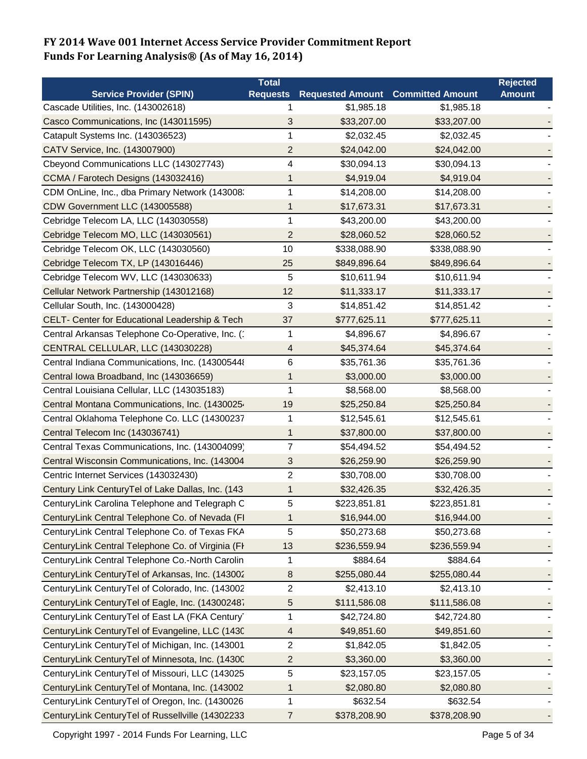|                                                   | <b>Total</b>    |                                          |              | <b>Rejected</b> |
|---------------------------------------------------|-----------------|------------------------------------------|--------------|-----------------|
| <b>Service Provider (SPIN)</b>                    | <b>Requests</b> | <b>Requested Amount Committed Amount</b> |              | <b>Amount</b>   |
| Cascade Utilities, Inc. (143002618)               |                 | \$1,985.18                               | \$1,985.18   |                 |
| Casco Communications, Inc (143011595)             | 3               | \$33,207.00                              | \$33,207.00  |                 |
| Catapult Systems Inc. (143036523)                 | 1               | \$2,032.45                               | \$2,032.45   |                 |
| CATV Service, Inc. (143007900)                    | $\overline{c}$  | \$24,042.00                              | \$24,042.00  |                 |
| Cbeyond Communications LLC (143027743)            | 4               | \$30,094.13                              | \$30,094.13  |                 |
| CCMA / Farotech Designs (143032416)               | 1               | \$4,919.04                               | \$4,919.04   |                 |
| CDM OnLine, Inc., dba Primary Network (143008:    | $\mathbf{1}$    | \$14,208.00                              | \$14,208.00  |                 |
| CDW Government LLC (143005588)                    | 1               | \$17,673.31                              | \$17,673.31  |                 |
| Cebridge Telecom LA, LLC (143030558)              | 1               | \$43,200.00                              | \$43,200.00  |                 |
| Cebridge Telecom MO, LLC (143030561)              | 2               | \$28,060.52                              | \$28,060.52  |                 |
| Cebridge Telecom OK, LLC (143030560)              | 10              | \$338,088.90                             | \$338,088.90 |                 |
| Cebridge Telecom TX, LP (143016446)               | 25              | \$849,896.64                             | \$849,896.64 |                 |
| Cebridge Telecom WV, LLC (143030633)              | 5               | \$10,611.94                              | \$10,611.94  |                 |
| Cellular Network Partnership (143012168)          | 12              | \$11,333.17                              | \$11,333.17  |                 |
| Cellular South, Inc. (143000428)                  | 3               | \$14,851.42                              | \$14,851.42  |                 |
| CELT- Center for Educational Leadership & Tech    | 37              | \$777,625.11                             | \$777,625.11 |                 |
| Central Arkansas Telephone Co-Operative, Inc. (   | 1               | \$4,896.67                               | \$4,896.67   |                 |
| CENTRAL CELLULAR, LLC (143030228)                 | 4               | \$45,374.64                              | \$45,374.64  |                 |
| Central Indiana Communications, Inc. (143005448   | 6               | \$35,761.36                              | \$35,761.36  |                 |
| Central Iowa Broadband, Inc (143036659)           | 1               | \$3,000.00                               | \$3,000.00   |                 |
| Central Louisiana Cellular, LLC (143035183)       | 1               | \$8,568.00                               | \$8,568.00   |                 |
| Central Montana Communications, Inc. (1430025.    | 19              | \$25,250.84                              | \$25,250.84  |                 |
| Central Oklahoma Telephone Co. LLC (14300237      | 1               | \$12,545.61                              | \$12,545.61  |                 |
| Central Telecom Inc (143036741)                   | 1               | \$37,800.00                              | \$37,800.00  |                 |
| Central Texas Communications, Inc. (143004099)    | 7               | \$54,494.52                              | \$54,494.52  |                 |
| Central Wisconsin Communications, Inc. (143004    | 3               | \$26,259.90                              | \$26,259.90  |                 |
| Centric Internet Services (143032430)             | 2               | \$30,708.00                              | \$30,708.00  |                 |
| Century Link CenturyTel of Lake Dallas, Inc. (143 | 1               | \$32,426.35                              | \$32,426.35  |                 |
| CenturyLink Carolina Telephone and Telegraph C    | 5               | \$223,851.81                             | \$223,851.81 |                 |
| CenturyLink Central Telephone Co. of Nevada (FI   | 1               | \$16,944.00                              | \$16,944.00  |                 |
| CenturyLink Central Telephone Co. of Texas FKA    | 5               | \$50,273.68                              | \$50,273.68  |                 |
| CenturyLink Central Telephone Co. of Virginia (FI | 13              | \$236,559.94                             | \$236,559.94 |                 |
| CenturyLink Central Telephone Co.-North Carolin   | 1               | \$884.64                                 | \$884.64     |                 |
| CenturyLink CenturyTel of Arkansas, Inc. (143002  | 8               | \$255,080.44                             | \$255,080.44 |                 |
| CenturyLink CenturyTel of Colorado, Inc. (143002  | $\overline{2}$  | \$2,413.10                               | \$2,413.10   |                 |
| CenturyLink CenturyTel of Eagle, Inc. (143002487  | 5               | \$111,586.08                             | \$111,586.08 |                 |
| CenturyLink CenturyTel of East LA (FKA Century    | 1               | \$42,724.80                              | \$42,724.80  |                 |
| CenturyLink CenturyTel of Evangeline, LLC (1430   | 4               | \$49,851.60                              | \$49,851.60  |                 |
| CenturyLink CenturyTel of Michigan, Inc. (143001  | 2               | \$1,842.05                               | \$1,842.05   |                 |
| CenturyLink CenturyTel of Minnesota, Inc. (1430C  | 2               | \$3,360.00                               | \$3,360.00   |                 |
| CenturyLink CenturyTel of Missouri, LLC (143025   | 5               | \$23,157.05                              | \$23,157.05  |                 |
| CenturyLink CenturyTel of Montana, Inc. (143002   | 1               | \$2,080.80                               | \$2,080.80   |                 |
| CenturyLink CenturyTel of Oregon, Inc. (1430026   | 1               | \$632.54                                 | \$632.54     |                 |
| CenturyLink CenturyTel of Russellville (14302233  | 7               | \$378,208.90                             | \$378,208.90 |                 |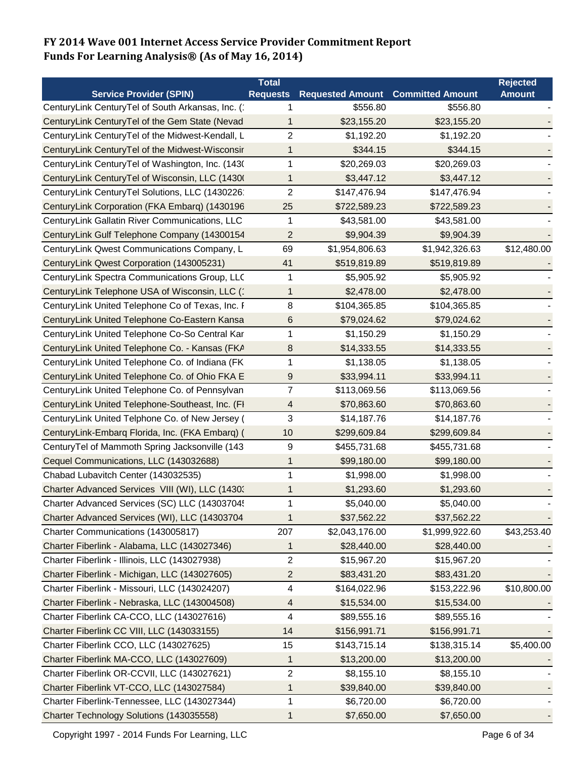|                                                   | <b>Total</b>    |                         |                         | <b>Rejected</b> |
|---------------------------------------------------|-----------------|-------------------------|-------------------------|-----------------|
| <b>Service Provider (SPIN)</b>                    | <b>Requests</b> | <b>Requested Amount</b> | <b>Committed Amount</b> | <b>Amount</b>   |
| CenturyLink CenturyTel of South Arkansas, Inc. (  | 1               | \$556.80                | \$556.80                |                 |
| CenturyLink CenturyTel of the Gem State (Nevad    | 1               | \$23,155.20             | \$23,155.20             |                 |
| CenturyLink CenturyTel of the Midwest-Kendall, L  | 2               | \$1,192.20              | \$1,192.20              |                 |
| CenturyLink CenturyTel of the Midwest-Wisconsir   | 1               | \$344.15                | \$344.15                |                 |
| CenturyLink CenturyTel of Washington, Inc. (1430) | 1               | \$20,269.03             | \$20,269.03             |                 |
| CenturyLink CenturyTel of Wisconsin, LLC (1430)   | 1               | \$3,447.12              | \$3,447.12              |                 |
| CenturyLink CenturyTel Solutions, LLC (1430226    | $\overline{c}$  | \$147,476.94            | \$147,476.94            |                 |
| CenturyLink Corporation (FKA Embarq) (1430196     | 25              | \$722,589.23            | \$722,589.23            |                 |
| CenturyLink Gallatin River Communications, LLC    | 1               | \$43,581.00             | \$43,581.00             |                 |
| CenturyLink Gulf Telephone Company (14300154      | 2               | \$9,904.39              | \$9,904.39              |                 |
| CenturyLink Qwest Communications Company, L       | 69              | \$1,954,806.63          | \$1,942,326.63          | \$12,480.00     |
| CenturyLink Qwest Corporation (143005231)         | 41              | \$519,819.89            | \$519,819.89            |                 |
| CenturyLink Spectra Communications Group, LLC     | 1               | \$5,905.92              | \$5,905.92              |                 |
| CenturyLink Telephone USA of Wisconsin, LLC (*    | 1               | \$2,478.00              | \$2,478.00              |                 |
| CenturyLink United Telephone Co of Texas, Inc. F  | 8               | \$104,365.85            | \$104,365.85            |                 |
| CenturyLink United Telephone Co-Eastern Kansa     | 6               | \$79,024.62             | \$79,024.62             |                 |
| CenturyLink United Telephone Co-So Central Kar    | 1               | \$1,150.29              | \$1,150.29              |                 |
| CenturyLink United Telephone Co. - Kansas (FKA    | 8               | \$14,333.55             | \$14,333.55             |                 |
| CenturyLink United Telephone Co. of Indiana (FK   | 1               | \$1,138.05              | \$1,138.05              |                 |
| CenturyLink United Telephone Co. of Ohio FKA E    | 9               | \$33,994.11             | \$33,994.11             |                 |
| CenturyLink United Telephone Co. of Pennsylvan    | 7               | \$113,069.56            | \$113,069.56            |                 |
| CenturyLink United Telephone-Southeast, Inc. (FI  | 4               | \$70,863.60             | \$70,863.60             |                 |
| CenturyLink United Telphone Co. of New Jersey (   | 3               | \$14,187.76             | \$14,187.76             |                 |
| CenturyLink-Embarq Florida, Inc. (FKA Embarq) (   | 10              | \$299,609.84            | \$299,609.84            |                 |
| CenturyTel of Mammoth Spring Jacksonville (143    | 9               | \$455,731.68            | \$455,731.68            |                 |
| Cequel Communications, LLC (143032688)            | 1               | \$99,180.00             | \$99,180.00             |                 |
| Chabad Lubavitch Center (143032535)               | 1               | \$1,998.00              | \$1,998.00              |                 |
| Charter Advanced Services VIII (WI), LLC (1430.   | $\mathbf{1}$    | \$1,293.60              | \$1,293.60              |                 |
| Charter Advanced Services (SC) LLC (14303704      | 1               | \$5,040.00              | \$5,040.00              |                 |
| Charter Advanced Services (WI), LLC (14303704     | 1               | \$37,562.22             | \$37,562.22             |                 |
| Charter Communications (143005817)                | 207             | \$2,043,176.00          | \$1,999,922.60          | \$43,253.40     |
| Charter Fiberlink - Alabama, LLC (143027346)      | 1               | \$28,440.00             | \$28,440.00             |                 |
| Charter Fiberlink - Illinois, LLC (143027938)     | 2               | \$15,967.20             | \$15,967.20             |                 |
| Charter Fiberlink - Michigan, LLC (143027605)     | 2               | \$83,431.20             | \$83,431.20             |                 |
| Charter Fiberlink - Missouri, LLC (143024207)     | 4               | \$164,022.96            | \$153,222.96            | \$10,800.00     |
| Charter Fiberlink - Nebraska, LLC (143004508)     | 4               | \$15,534.00             | \$15,534.00             |                 |
| Charter Fiberlink CA-CCO, LLC (143027616)         | 4               | \$89,555.16             | \$89,555.16             |                 |
| Charter Fiberlink CC VIII, LLC (143033155)        | 14              | \$156,991.71            | \$156,991.71            |                 |
| Charter Fiberlink CCO, LLC (143027625)            | 15              | \$143,715.14            | \$138,315.14            | \$5,400.00      |
| Charter Fiberlink MA-CCO, LLC (143027609)         | 1               | \$13,200.00             | \$13,200.00             |                 |
| Charter Fiberlink OR-CCVII, LLC (143027621)       | 2               | \$8,155.10              | \$8,155.10              |                 |
| Charter Fiberlink VT-CCO, LLC (143027584)         | 1               | \$39,840.00             | \$39,840.00             |                 |
| Charter Fiberlink-Tennessee, LLC (143027344)      | 1               | \$6,720.00              | \$6,720.00              |                 |
| Charter Technology Solutions (143035558)          | 1               | \$7,650.00              | \$7,650.00              |                 |

Copyright 1997 - 2014 Funds For Learning, LLC **Page 6 of 34** Page 6 of 34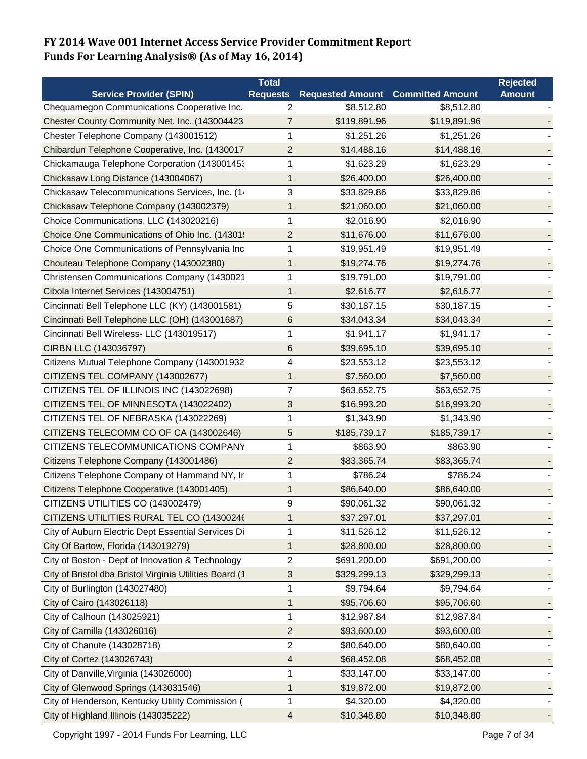|                                                         | <b>Total</b>    |                                          |              | <b>Rejected</b> |
|---------------------------------------------------------|-----------------|------------------------------------------|--------------|-----------------|
| <b>Service Provider (SPIN)</b>                          | <b>Requests</b> | <b>Requested Amount Committed Amount</b> |              | <b>Amount</b>   |
| Chequamegon Communications Cooperative Inc.             | $\overline{2}$  | \$8,512.80                               | \$8,512.80   |                 |
| Chester County Community Net. Inc. (143004423           | 7               | \$119,891.96                             | \$119,891.96 |                 |
| Chester Telephone Company (143001512)                   | 1               | \$1,251.26                               | \$1,251.26   |                 |
| Chibardun Telephone Cooperative, Inc. (1430017          | $\overline{2}$  | \$14,488.16                              | \$14,488.16  |                 |
| Chickamauga Telephone Corporation (14300145)            | 1               | \$1,623.29                               | \$1,623.29   |                 |
| Chickasaw Long Distance (143004067)                     | 1               | \$26,400.00                              | \$26,400.00  |                 |
| Chickasaw Telecommunications Services, Inc. (1.         | 3               | \$33,829.86                              | \$33,829.86  |                 |
| Chickasaw Telephone Company (143002379)                 | 1               | \$21,060.00                              | \$21,060.00  |                 |
| Choice Communications, LLC (143020216)                  | 1               | \$2,016.90                               | \$2,016.90   |                 |
| Choice One Communications of Ohio Inc. (14301!          | 2               | \$11,676.00                              | \$11,676.00  |                 |
| Choice One Communications of Pennsylvania Inc           | 1               | \$19,951.49                              | \$19,951.49  |                 |
| Chouteau Telephone Company (143002380)                  | 1               | \$19,274.76                              | \$19,274.76  |                 |
| Christensen Communications Company (1430021             | 1               | \$19,791.00                              | \$19,791.00  |                 |
| Cibola Internet Services (143004751)                    | 1               | \$2,616.77                               | \$2,616.77   |                 |
| Cincinnati Bell Telephone LLC (KY) (143001581)          | 5               | \$30,187.15                              | \$30,187.15  |                 |
| Cincinnati Bell Telephone LLC (OH) (143001687)          | 6               | \$34,043.34                              | \$34,043.34  |                 |
| Cincinnati Bell Wireless- LLC (143019517)               | 1               | \$1,941.17                               | \$1,941.17   |                 |
| CIRBN LLC (143036797)                                   | 6               | \$39,695.10                              | \$39,695.10  |                 |
| Citizens Mutual Telephone Company (143001932            | 4               | \$23,553.12                              | \$23,553.12  |                 |
| CITIZENS TEL COMPANY (143002677)                        | 1               | \$7,560.00                               | \$7,560.00   |                 |
| CITIZENS TEL OF ILLINOIS INC (143022698)                | 7               | \$63,652.75                              | \$63,652.75  |                 |
| CITIZENS TEL OF MINNESOTA (143022402)                   | 3               | \$16,993.20                              | \$16,993.20  |                 |
| CITIZENS TEL OF NEBRASKA (143022269)                    | 1               | \$1,343.90                               | \$1,343.90   |                 |
| CITIZENS TELECOMM CO OF CA (143002646)                  | 5               | \$185,739.17                             | \$185,739.17 |                 |
| CITIZENS TELECOMMUNICATIONS COMPANY                     | 1               | \$863.90                                 | \$863.90     |                 |
| Citizens Telephone Company (143001486)                  | $\overline{2}$  | \$83,365.74                              | \$83,365.74  |                 |
| Citizens Telephone Company of Hammand NY, Ir            | 1               | \$786.24                                 | \$786.24     |                 |
| Citizens Telephone Cooperative (143001405)              | 1               | \$86,640.00                              | \$86,640.00  |                 |
| CITIZENS UTILITIES CO (143002479)                       | 9               | \$90,061.32                              | \$90,061.32  |                 |
| CITIZENS UTILITIES RURAL TEL CO (14300246               | 1               | \$37,297.01                              | \$37,297.01  |                 |
| City of Auburn Electric Dept Essential Services Di      | 1               | \$11,526.12                              | \$11,526.12  |                 |
| City Of Bartow, Florida (143019279)                     | 1               | \$28,800.00                              | \$28,800.00  |                 |
| City of Boston - Dept of Innovation & Technology        | 2               | \$691,200.00                             | \$691,200.00 |                 |
| City of Bristol dba Bristol Virginia Utilities Board (1 | 3               | \$329,299.13                             | \$329,299.13 |                 |
| City of Burlington (143027480)                          | 1               | \$9,794.64                               | \$9,794.64   |                 |
| City of Cairo (143026118)                               | $\mathbf{1}$    | \$95,706.60                              | \$95,706.60  |                 |
| City of Calhoun (143025921)                             | 1               | \$12,987.84                              | \$12,987.84  |                 |
| City of Camilla (143026016)                             | $\overline{2}$  | \$93,600.00                              | \$93,600.00  |                 |
| City of Chanute (143028718)                             | $\overline{c}$  | \$80,640.00                              | \$80,640.00  |                 |
| City of Cortez (143026743)                              | 4               | \$68,452.08                              | \$68,452.08  |                 |
| City of Danville, Virginia (143026000)                  | 1               | \$33,147.00                              | \$33,147.00  |                 |
| City of Glenwood Springs (143031546)                    | 1               | \$19,872.00                              | \$19,872.00  |                 |
| City of Henderson, Kentucky Utility Commission (        | 1               | \$4,320.00                               | \$4,320.00   |                 |
| City of Highland Illinois (143035222)                   | 4               | \$10,348.80                              | \$10,348.80  |                 |

Copyright 1997 - 2014 Funds For Learning, LLC **Page 7 of 34** Page 7 of 34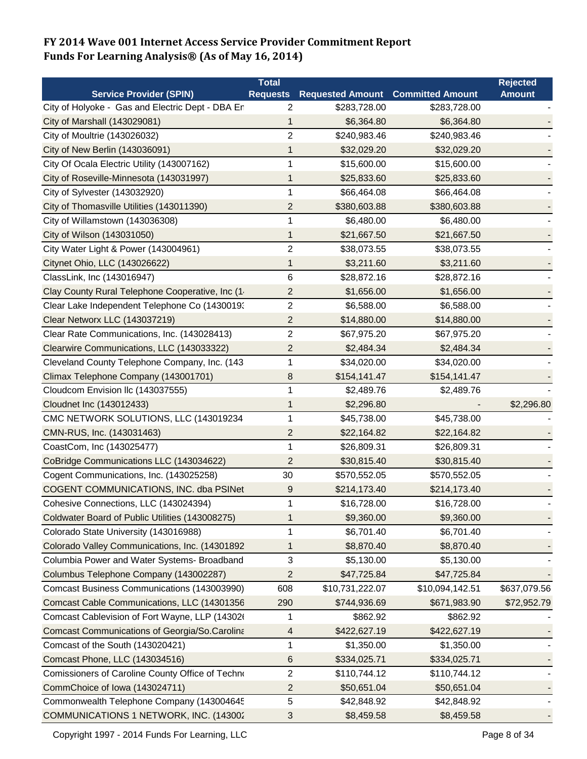|                                                  | <b>Total</b>    |                                          |                 | <b>Rejected</b> |
|--------------------------------------------------|-----------------|------------------------------------------|-----------------|-----------------|
| <b>Service Provider (SPIN)</b>                   | <b>Requests</b> | <b>Requested Amount Committed Amount</b> |                 | <b>Amount</b>   |
| City of Holyoke - Gas and Electric Dept - DBA Er | 2               | \$283,728.00                             | \$283,728.00    |                 |
| City of Marshall (143029081)                     | 1               | \$6,364.80                               | \$6,364.80      |                 |
| City of Moultrie (143026032)                     | $\overline{c}$  | \$240,983.46                             | \$240,983.46    |                 |
| City of New Berlin (143036091)                   | 1               | \$32,029.20                              | \$32,029.20     |                 |
| City Of Ocala Electric Utility (143007162)       | 1               | \$15,600.00                              | \$15,600.00     |                 |
| City of Roseville-Minnesota (143031997)          | 1               | \$25,833.60                              | \$25,833.60     |                 |
| City of Sylvester (143032920)                    | 1               | \$66,464.08                              | \$66,464.08     |                 |
| City of Thomasville Utilities (143011390)        | $\overline{c}$  | \$380,603.88                             | \$380,603.88    |                 |
| City of Willamstown (143036308)                  | 1               | \$6,480.00                               | \$6,480.00      |                 |
| City of Wilson (143031050)                       | 1               | \$21,667.50                              | \$21,667.50     |                 |
| City Water Light & Power (143004961)             | $\overline{c}$  | \$38,073.55                              | \$38,073.55     |                 |
| Citynet Ohio, LLC (143026622)                    | 1               | \$3,211.60                               | \$3,211.60      |                 |
| ClassLink, Inc (143016947)                       | 6               | \$28,872.16                              | \$28,872.16     |                 |
| Clay County Rural Telephone Cooperative, Inc (1  | 2               | \$1,656.00                               | \$1,656.00      |                 |
| Clear Lake Independent Telephone Co (1430019.    | 2               | \$6,588.00                               | \$6,588.00      |                 |
| Clear Networx LLC (143037219)                    | $\overline{c}$  | \$14,880.00                              | \$14,880.00     |                 |
| Clear Rate Communications, Inc. (143028413)      | 2               | \$67,975.20                              | \$67,975.20     |                 |
| Clearwire Communications, LLC (143033322)        | 2               | \$2,484.34                               | \$2,484.34      |                 |
| Cleveland County Telephone Company, Inc. (143    | 1               | \$34,020.00                              | \$34,020.00     |                 |
| Climax Telephone Company (143001701)             | 8               | \$154,141.47                             | \$154,141.47    |                 |
| Cloudcom Envision Ilc (143037555)                | 1               | \$2,489.76                               | \$2,489.76      |                 |
| Cloudnet Inc (143012433)                         | 1               | \$2,296.80                               |                 | \$2,296.80      |
| CMC NETWORK SOLUTIONS, LLC (143019234            | 1               | \$45,738.00                              | \$45,738.00     |                 |
| CMN-RUS, Inc. (143031463)                        | $\overline{c}$  | \$22,164.82                              | \$22,164.82     |                 |
| CoastCom, Inc (143025477)                        | 1               | \$26,809.31                              | \$26,809.31     |                 |
| CoBridge Communications LLC (143034622)          | $\overline{2}$  | \$30,815.40                              | \$30,815.40     |                 |
| Cogent Communications, Inc. (143025258)          | 30              | \$570,552.05                             | \$570,552.05    |                 |
| COGENT COMMUNICATIONS, INC. dba PSINet           | 9               | \$214,173.40                             | \$214,173.40    |                 |
| Cohesive Connections, LLC (143024394)            | 1               | \$16,728.00                              | \$16,728.00     |                 |
| Coldwater Board of Public Utilities (143008275)  | 1               | \$9,360.00                               | \$9,360.00      |                 |
| Colorado State University (143016988)            | 1               | \$6,701.40                               | \$6,701.40      |                 |
| Colorado Valley Communications, Inc. (14301892   | 1               | \$8,870.40                               | \$8,870.40      |                 |
| Columbia Power and Water Systems- Broadband      | 3               | \$5,130.00                               | \$5,130.00      |                 |
| Columbus Telephone Company (143002287)           | 2               | \$47,725.84                              | \$47,725.84     |                 |
| Comcast Business Communications (143003990)      | 608             | \$10,731,222.07                          | \$10,094,142.51 | \$637,079.56    |
| Comcast Cable Communications, LLC (14301356      | 290             | \$744,936.69                             | \$671,983.90    | \$72,952.79     |
| Comcast Cablevision of Fort Wayne, LLP (14302)   | 1               | \$862.92                                 | \$862.92        |                 |
| Comcast Communications of Georgia/So.Carolina    | 4               | \$422,627.19                             | \$422,627.19    |                 |
| Comcast of the South (143020421)                 | 1               | \$1,350.00                               | \$1,350.00      |                 |
| Comcast Phone, LLC (143034516)                   | $\,6$           | \$334,025.71                             | \$334,025.71    |                 |
| Comissioners of Caroline County Office of Techno | 2               | \$110,744.12                             | \$110,744.12    |                 |
| CommChoice of Iowa (143024711)                   | 2               | \$50,651.04                              | \$50,651.04     |                 |
| Commonwealth Telephone Company (143004645        | 5               | \$42,848.92                              | \$42,848.92     |                 |
| COMMUNICATIONS 1 NETWORK, INC. (143002           | 3               | \$8,459.58                               | \$8,459.58      |                 |

Copyright 1997 - 2014 Funds For Learning, LLC **Page 8 of 34** Page 8 of 34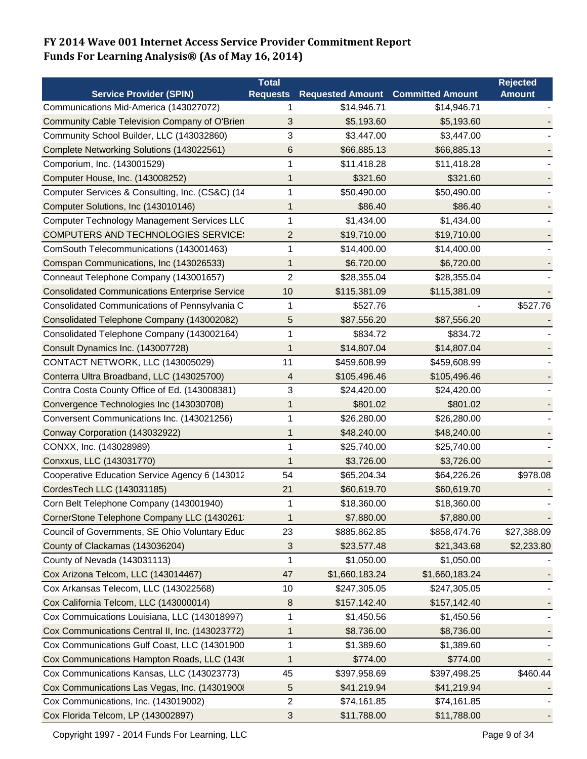|                                                       | Total           |                         |                         | <b>Rejected</b> |
|-------------------------------------------------------|-----------------|-------------------------|-------------------------|-----------------|
| <b>Service Provider (SPIN)</b>                        | <b>Requests</b> | <b>Requested Amount</b> | <b>Committed Amount</b> | <b>Amount</b>   |
| Communications Mid-America (143027072)                | 1               | \$14,946.71             | \$14,946.71             |                 |
| Community Cable Television Company of O'Brien         | 3               | \$5,193.60              | \$5,193.60              |                 |
| Community School Builder, LLC (143032860)             | 3               | \$3,447.00              | \$3,447.00              |                 |
| Complete Networking Solutions (143022561)             | 6               | \$66,885.13             | \$66,885.13             |                 |
| Comporium, Inc. (143001529)                           | 1               | \$11,418.28             | \$11,418.28             |                 |
| Computer House, Inc. (143008252)                      | 1               | \$321.60                | \$321.60                |                 |
| Computer Services & Consulting, Inc. (CS&C) (14       | 1               | \$50,490.00             | \$50,490.00             |                 |
| Computer Solutions, Inc (143010146)                   | 1               | \$86.40                 | \$86.40                 |                 |
| Computer Technology Management Services LLC           | 1               | \$1,434.00              | \$1,434.00              |                 |
| <b>COMPUTERS AND TECHNOLOGIES SERVICE:</b>            | 2               | \$19,710.00             | \$19,710.00             |                 |
| ComSouth Telecommunications (143001463)               | 1               | \$14,400.00             | \$14,400.00             |                 |
| Comspan Communications, Inc (143026533)               | 1               | \$6,720.00              | \$6,720.00              |                 |
| Conneaut Telephone Company (143001657)                | 2               | \$28,355.04             | \$28,355.04             |                 |
| <b>Consolidated Communications Enterprise Service</b> | 10              | \$115,381.09            | \$115,381.09            |                 |
| Consolidated Communications of Pennsylvania C         | 1               | \$527.76                |                         | \$527.76        |
| Consolidated Telephone Company (143002082)            | 5               | \$87,556.20             | \$87,556.20             |                 |
| Consolidated Telephone Company (143002164)            | 1               | \$834.72                | \$834.72                |                 |
| Consult Dynamics Inc. (143007728)                     | 1               | \$14,807.04             | \$14,807.04             |                 |
| CONTACT NETWORK, LLC (143005029)                      | 11              | \$459,608.99            | \$459,608.99            |                 |
| Conterra Ultra Broadband, LLC (143025700)             | 4               | \$105,496.46            | \$105,496.46            |                 |
| Contra Costa County Office of Ed. (143008381)         | 3               | \$24,420.00             | \$24,420.00             |                 |
| Convergence Technologies Inc (143030708)              | 1               | \$801.02                | \$801.02                |                 |
| Conversent Communications Inc. (143021256)            | 1               | \$26,280.00             | \$26,280.00             |                 |
| Conway Corporation (143032922)                        | 1               | \$48,240.00             | \$48,240.00             |                 |
| CONXX, Inc. (143028989)                               | 1               | \$25,740.00             | \$25,740.00             |                 |
| Conxxus, LLC (143031770)                              | 1               | \$3,726.00              | \$3,726.00              |                 |
| Cooperative Education Service Agency 6 (143012        | 54              | \$65,204.34             | \$64,226.26             | \$978.08        |
| CordesTech LLC (143031185)                            | 21              | \$60,619.70             | \$60,619.70             |                 |
| Corn Belt Telephone Company (143001940)               | 1               | \$18,360.00             | \$18,360.00             |                 |
| CornerStone Telephone Company LLC (1430261:           | 1               | \$7,880.00              | \$7,880.00              |                 |
| Council of Governments, SE Ohio Voluntary Educ        | 23              | \$885,862.85            | \$858,474.76            | \$27,388.09     |
| County of Clackamas (143036204)                       | 3               | \$23,577.48             | \$21,343.68             | \$2,233.80      |
| County of Nevada (143031113)                          | 1               | \$1,050.00              | \$1,050.00              |                 |
| Cox Arizona Telcom, LLC (143014467)                   | 47              | \$1,660,183.24          | \$1,660,183.24          |                 |
| Cox Arkansas Telecom, LLC (143022568)                 | 10              | \$247,305.05            | \$247,305.05            |                 |
| Cox California Telcom, LLC (143000014)                | 8               | \$157,142.40            | \$157,142.40            |                 |
| Cox Commuications Louisiana, LLC (143018997)          | 1               | \$1,450.56              | \$1,450.56              |                 |
| Cox Communications Central II, Inc. (143023772)       | 1               | \$8,736.00              | \$8,736.00              |                 |
| Cox Communications Gulf Coast, LLC (14301900          | 1               | \$1,389.60              | \$1,389.60              |                 |
| Cox Communications Hampton Roads, LLC (1430           | 1               | \$774.00                | \$774.00                |                 |
| Cox Communications Kansas, LLC (143023773)            | 45              | \$397,958.69            | \$397,498.25            | \$460.44        |
| Cox Communications Las Vegas, Inc. (143019008         | 5               | \$41,219.94             | \$41,219.94             |                 |
| Cox Communications, Inc. (143019002)                  | $\sqrt{2}$      | \$74,161.85             | \$74,161.85             |                 |
| Cox Florida Telcom, LP (143002897)                    | 3               | \$11,788.00             | \$11,788.00             |                 |

Copyright 1997 - 2014 Funds For Learning, LLC **Page 9 of 34** Page 9 of 34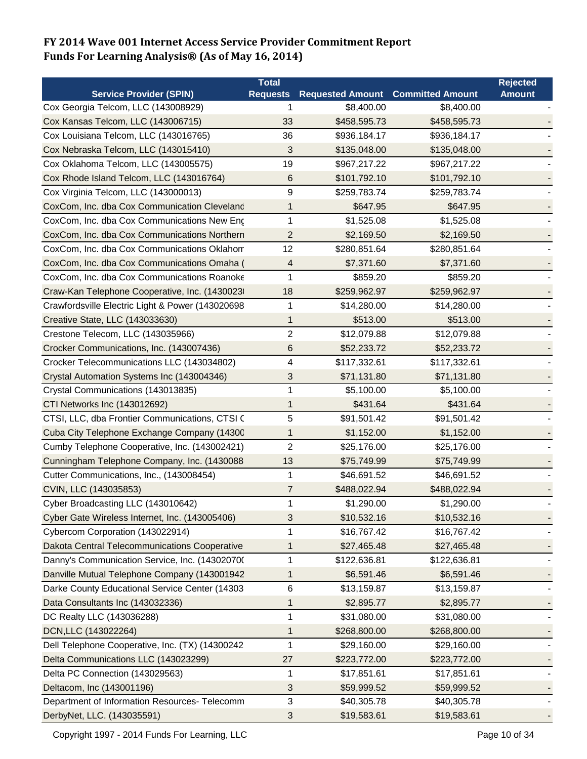|                                                  | <b>Total</b>    |                                          |              | <b>Rejected</b> |
|--------------------------------------------------|-----------------|------------------------------------------|--------------|-----------------|
| <b>Service Provider (SPIN)</b>                   | <b>Requests</b> | <b>Requested Amount Committed Amount</b> |              | <b>Amount</b>   |
| Cox Georgia Telcom, LLC (143008929)              | 1               | \$8,400.00                               | \$8,400.00   |                 |
| Cox Kansas Telcom, LLC (143006715)               | 33              | \$458,595.73                             | \$458,595.73 |                 |
| Cox Louisiana Telcom, LLC (143016765)            | 36              | \$936,184.17                             | \$936,184.17 |                 |
| Cox Nebraska Telcom, LLC (143015410)             | 3               | \$135,048.00                             | \$135,048.00 |                 |
| Cox Oklahoma Telcom, LLC (143005575)             | 19              | \$967,217.22                             | \$967,217.22 |                 |
| Cox Rhode Island Telcom, LLC (143016764)         | 6               | \$101,792.10                             | \$101,792.10 |                 |
| Cox Virginia Telcom, LLC (143000013)             | 9               | \$259,783.74                             | \$259,783.74 |                 |
| CoxCom, Inc. dba Cox Communication Cleveland     | 1               | \$647.95                                 | \$647.95     |                 |
| CoxCom, Inc. dba Cox Communications New Eng      | 1               | \$1,525.08                               | \$1,525.08   |                 |
| CoxCom, Inc. dba Cox Communications Northern     | $\overline{2}$  | \$2,169.50                               | \$2,169.50   |                 |
| CoxCom, Inc. dba Cox Communications Oklahom      | 12              | \$280,851.64                             | \$280,851.64 |                 |
| CoxCom, Inc. dba Cox Communications Omaha (      | 4               | \$7,371.60                               | \$7,371.60   |                 |
| CoxCom, Inc. dba Cox Communications Roanoke      | 1               | \$859.20                                 | \$859.20     |                 |
| Craw-Kan Telephone Cooperative, Inc. (1430023)   | 18              | \$259,962.97                             | \$259,962.97 |                 |
| Crawfordsville Electric Light & Power (143020698 | 1               | \$14,280.00                              | \$14,280.00  |                 |
| Creative State, LLC (143033630)                  | 1               | \$513.00                                 | \$513.00     |                 |
| Crestone Telecom, LLC (143035966)                | $\overline{c}$  | \$12,079.88                              | \$12,079.88  |                 |
| Crocker Communications, Inc. (143007436)         | 6               | \$52,233.72                              | \$52,233.72  |                 |
| Crocker Telecommunications LLC (143034802)       | 4               | \$117,332.61                             | \$117,332.61 |                 |
| Crystal Automation Systems Inc (143004346)       | 3               | \$71,131.80                              | \$71,131.80  |                 |
| Crystal Communications (143013835)               | 1               | \$5,100.00                               | \$5,100.00   |                 |
| CTI Networks Inc (143012692)                     | 1               | \$431.64                                 | \$431.64     |                 |
| CTSI, LLC, dba Frontier Communications, CTSI (   | 5               | \$91,501.42                              | \$91,501.42  |                 |
| Cuba City Telephone Exchange Company (14300      | 1               | \$1,152.00                               | \$1,152.00   |                 |
| Cumby Telephone Cooperative, Inc. (143002421)    | $\overline{c}$  | \$25,176.00                              | \$25,176.00  |                 |
| Cunningham Telephone Company, Inc. (1430088      | 13              | \$75,749.99                              | \$75,749.99  |                 |
| Cutter Communications, Inc., (143008454)         | 1               | \$46,691.52                              | \$46,691.52  |                 |
| CVIN, LLC (143035853)                            | 7               | \$488,022.94                             | \$488,022.94 |                 |
| Cyber Broadcasting LLC (143010642)               | 1               | \$1,290.00                               | \$1,290.00   |                 |
| Cyber Gate Wireless Internet, Inc. (143005406)   | 3               | \$10,532.16                              | \$10,532.16  |                 |
| Cybercom Corporation (143022914)                 | 1               | \$16,767.42                              | \$16,767.42  |                 |
| Dakota Central Telecommunications Cooperative    | 1               | \$27,465.48                              | \$27,465.48  |                 |
| Danny's Communication Service, Inc. (14302070(   | 1               | \$122,636.81                             | \$122,636.81 |                 |
| Danville Mutual Telephone Company (143001942     | 1               | \$6,591.46                               | \$6,591.46   |                 |
| Darke County Educational Service Center (14303   | 6               | \$13,159.87                              | \$13,159.87  |                 |
| Data Consultants Inc (143032336)                 | 1               | \$2,895.77                               | \$2,895.77   |                 |
| DC Realty LLC (143036288)                        | 1               | \$31,080.00                              | \$31,080.00  |                 |
| DCN, LLC (143022264)                             | 1               | \$268,800.00                             | \$268,800.00 |                 |
| Dell Telephone Cooperative, Inc. (TX) (14300242  | 1               | \$29,160.00                              | \$29,160.00  |                 |
| Delta Communications LLC (143023299)             | 27              | \$223,772.00                             | \$223,772.00 |                 |
| Delta PC Connection (143029563)                  | 1               | \$17,851.61                              | \$17,851.61  |                 |
| Deltacom, Inc (143001196)                        | 3               | \$59,999.52                              | \$59,999.52  |                 |
| Department of Information Resources- Telecomm    | 3               | \$40,305.78                              | \$40,305.78  |                 |
| DerbyNet, LLC. (143035591)                       | 3               | \$19,583.61                              | \$19,583.61  |                 |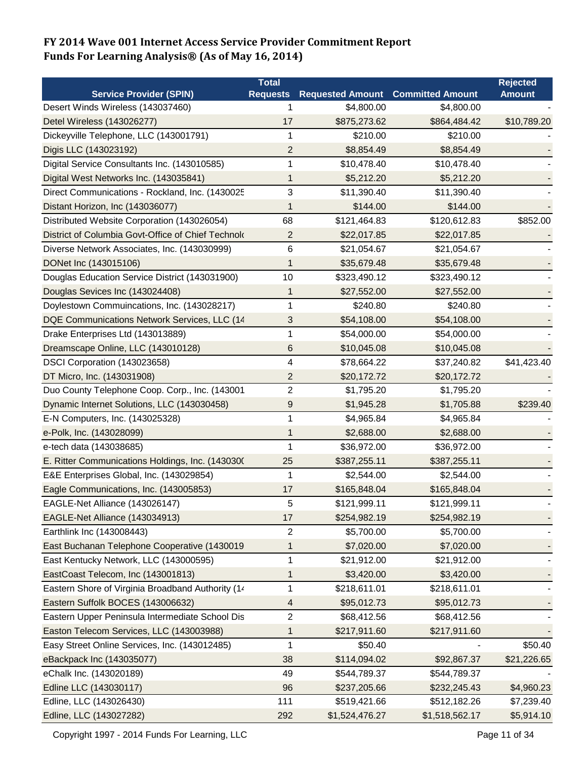| <b>Service Provider (SPIN)</b><br><b>Requested Amount</b><br><b>Committed Amount</b><br><b>Requests</b><br><b>Amount</b><br>Desert Winds Wireless (143037460)<br>\$4,800.00<br>\$4,800.00<br>1<br>Detel Wireless (143026277)<br>\$10,789.20<br>17<br>\$875,273.62<br>\$864,484.42<br>Dickeyville Telephone, LLC (143001791)<br>\$210.00<br>\$210.00<br>1<br>$\overline{2}$<br>\$8,854.49<br>Digis LLC (143023192)<br>\$8,854.49<br>Digital Service Consultants Inc. (143010585)<br>1<br>\$10,478.40<br>\$10,478.40<br>Digital West Networks Inc. (143035841)<br>\$5,212.20<br>\$5,212.20<br>1<br>$\mathsf 3$<br>Direct Communications - Rockland, Inc. (1430025<br>\$11,390.40<br>\$11,390.40<br>Distant Horizon, Inc (143036077)<br>\$144.00<br>\$144.00<br>1<br>68<br>Distributed Website Corporation (143026054)<br>\$121,464.83<br>\$120,612.83<br>\$852.00<br>District of Columbia Govt-Office of Chief Technok<br>$\overline{2}$<br>\$22,017.85<br>\$22,017.85<br>6<br>\$21,054.67<br>Diverse Network Associates, Inc. (143030999)<br>\$21,054.67 |
|---------------------------------------------------------------------------------------------------------------------------------------------------------------------------------------------------------------------------------------------------------------------------------------------------------------------------------------------------------------------------------------------------------------------------------------------------------------------------------------------------------------------------------------------------------------------------------------------------------------------------------------------------------------------------------------------------------------------------------------------------------------------------------------------------------------------------------------------------------------------------------------------------------------------------------------------------------------------------------------------------------------------------------------------------------|
|                                                                                                                                                                                                                                                                                                                                                                                                                                                                                                                                                                                                                                                                                                                                                                                                                                                                                                                                                                                                                                                         |
|                                                                                                                                                                                                                                                                                                                                                                                                                                                                                                                                                                                                                                                                                                                                                                                                                                                                                                                                                                                                                                                         |
|                                                                                                                                                                                                                                                                                                                                                                                                                                                                                                                                                                                                                                                                                                                                                                                                                                                                                                                                                                                                                                                         |
|                                                                                                                                                                                                                                                                                                                                                                                                                                                                                                                                                                                                                                                                                                                                                                                                                                                                                                                                                                                                                                                         |
|                                                                                                                                                                                                                                                                                                                                                                                                                                                                                                                                                                                                                                                                                                                                                                                                                                                                                                                                                                                                                                                         |
|                                                                                                                                                                                                                                                                                                                                                                                                                                                                                                                                                                                                                                                                                                                                                                                                                                                                                                                                                                                                                                                         |
|                                                                                                                                                                                                                                                                                                                                                                                                                                                                                                                                                                                                                                                                                                                                                                                                                                                                                                                                                                                                                                                         |
|                                                                                                                                                                                                                                                                                                                                                                                                                                                                                                                                                                                                                                                                                                                                                                                                                                                                                                                                                                                                                                                         |
|                                                                                                                                                                                                                                                                                                                                                                                                                                                                                                                                                                                                                                                                                                                                                                                                                                                                                                                                                                                                                                                         |
|                                                                                                                                                                                                                                                                                                                                                                                                                                                                                                                                                                                                                                                                                                                                                                                                                                                                                                                                                                                                                                                         |
|                                                                                                                                                                                                                                                                                                                                                                                                                                                                                                                                                                                                                                                                                                                                                                                                                                                                                                                                                                                                                                                         |
|                                                                                                                                                                                                                                                                                                                                                                                                                                                                                                                                                                                                                                                                                                                                                                                                                                                                                                                                                                                                                                                         |
| DONet Inc (143015106)<br>\$35,679.48<br>1<br>\$35,679.48                                                                                                                                                                                                                                                                                                                                                                                                                                                                                                                                                                                                                                                                                                                                                                                                                                                                                                                                                                                                |
| Douglas Education Service District (143031900)<br>10<br>\$323,490.12<br>\$323,490.12                                                                                                                                                                                                                                                                                                                                                                                                                                                                                                                                                                                                                                                                                                                                                                                                                                                                                                                                                                    |
| Douglas Sevices Inc (143024408)<br>\$27,552.00<br>\$27,552.00<br>1                                                                                                                                                                                                                                                                                                                                                                                                                                                                                                                                                                                                                                                                                                                                                                                                                                                                                                                                                                                      |
| Doylestown Commuincations, Inc. (143028217)<br>1<br>\$240.80<br>\$240.80                                                                                                                                                                                                                                                                                                                                                                                                                                                                                                                                                                                                                                                                                                                                                                                                                                                                                                                                                                                |
| DQE Communications Network Services, LLC (14<br>$\sqrt{3}$<br>\$54,108.00<br>\$54,108.00                                                                                                                                                                                                                                                                                                                                                                                                                                                                                                                                                                                                                                                                                                                                                                                                                                                                                                                                                                |
| Drake Enterprises Ltd (143013889)<br>1<br>\$54,000.00<br>\$54,000.00                                                                                                                                                                                                                                                                                                                                                                                                                                                                                                                                                                                                                                                                                                                                                                                                                                                                                                                                                                                    |
| Dreamscape Online, LLC (143010128)<br>6<br>\$10,045.08<br>\$10,045.08                                                                                                                                                                                                                                                                                                                                                                                                                                                                                                                                                                                                                                                                                                                                                                                                                                                                                                                                                                                   |
| DSCI Corporation (143023658)<br>\$37,240.82<br>\$41,423.40<br>4<br>\$78,664.22                                                                                                                                                                                                                                                                                                                                                                                                                                                                                                                                                                                                                                                                                                                                                                                                                                                                                                                                                                          |
| $\overline{2}$<br>DT Micro, Inc. (143031908)<br>\$20,172.72<br>\$20,172.72                                                                                                                                                                                                                                                                                                                                                                                                                                                                                                                                                                                                                                                                                                                                                                                                                                                                                                                                                                              |
| $\overline{c}$<br>Duo County Telephone Coop. Corp., Inc. (143001<br>\$1,795.20<br>\$1,795.20                                                                                                                                                                                                                                                                                                                                                                                                                                                                                                                                                                                                                                                                                                                                                                                                                                                                                                                                                            |
| Dynamic Internet Solutions, LLC (143030458)<br>9<br>\$1,945.28<br>\$1,705.88<br>\$239.40                                                                                                                                                                                                                                                                                                                                                                                                                                                                                                                                                                                                                                                                                                                                                                                                                                                                                                                                                                |
| E-N Computers, Inc. (143025328)<br>1<br>\$4,965.84<br>\$4,965.84                                                                                                                                                                                                                                                                                                                                                                                                                                                                                                                                                                                                                                                                                                                                                                                                                                                                                                                                                                                        |
| 1<br>e-Polk, Inc. (143028099)<br>\$2,688.00<br>\$2,688.00                                                                                                                                                                                                                                                                                                                                                                                                                                                                                                                                                                                                                                                                                                                                                                                                                                                                                                                                                                                               |
| 1<br>\$36,972.00<br>e-tech data (143038685)<br>\$36,972.00                                                                                                                                                                                                                                                                                                                                                                                                                                                                                                                                                                                                                                                                                                                                                                                                                                                                                                                                                                                              |
| E. Ritter Communications Holdings, Inc. (1430300<br>25<br>\$387,255.11<br>\$387,255.11                                                                                                                                                                                                                                                                                                                                                                                                                                                                                                                                                                                                                                                                                                                                                                                                                                                                                                                                                                  |
| E&E Enterprises Global, Inc. (143029854)<br>1<br>\$2,544.00<br>\$2,544.00                                                                                                                                                                                                                                                                                                                                                                                                                                                                                                                                                                                                                                                                                                                                                                                                                                                                                                                                                                               |
| Eagle Communications, Inc. (143005853)<br>\$165,848.04<br>\$165,848.04<br>17                                                                                                                                                                                                                                                                                                                                                                                                                                                                                                                                                                                                                                                                                                                                                                                                                                                                                                                                                                            |
| 5<br>EAGLE-Net Alliance (143026147)<br>\$121,999.11<br>\$121,999.11                                                                                                                                                                                                                                                                                                                                                                                                                                                                                                                                                                                                                                                                                                                                                                                                                                                                                                                                                                                     |
| EAGLE-Net Alliance (143034913)<br>17<br>\$254,982.19<br>\$254,982.19                                                                                                                                                                                                                                                                                                                                                                                                                                                                                                                                                                                                                                                                                                                                                                                                                                                                                                                                                                                    |
| $\boldsymbol{2}$<br>Earthlink Inc (143008443)<br>\$5,700.00<br>\$5,700.00                                                                                                                                                                                                                                                                                                                                                                                                                                                                                                                                                                                                                                                                                                                                                                                                                                                                                                                                                                               |
| East Buchanan Telephone Cooperative (1430019<br>1<br>\$7,020.00<br>\$7,020.00                                                                                                                                                                                                                                                                                                                                                                                                                                                                                                                                                                                                                                                                                                                                                                                                                                                                                                                                                                           |
| $\mathbf 1$<br>East Kentucky Network, LLC (143000595)<br>\$21,912.00<br>\$21,912.00                                                                                                                                                                                                                                                                                                                                                                                                                                                                                                                                                                                                                                                                                                                                                                                                                                                                                                                                                                     |
| EastCoast Telecom, Inc (143001813)<br>\$3,420.00<br>\$3,420.00<br>1                                                                                                                                                                                                                                                                                                                                                                                                                                                                                                                                                                                                                                                                                                                                                                                                                                                                                                                                                                                     |
| 1<br>Eastern Shore of Virginia Broadband Authority (14<br>\$218,611.01<br>\$218,611.01                                                                                                                                                                                                                                                                                                                                                                                                                                                                                                                                                                                                                                                                                                                                                                                                                                                                                                                                                                  |
| Eastern Suffolk BOCES (143006632)<br>$\overline{4}$<br>\$95,012.73<br>\$95,012.73                                                                                                                                                                                                                                                                                                                                                                                                                                                                                                                                                                                                                                                                                                                                                                                                                                                                                                                                                                       |
| Eastern Upper Peninsula Intermediate School Dis<br>$\overline{2}$<br>\$68,412.56<br>\$68,412.56                                                                                                                                                                                                                                                                                                                                                                                                                                                                                                                                                                                                                                                                                                                                                                                                                                                                                                                                                         |
| Easton Telecom Services, LLC (143003988)<br>\$217,911.60<br>\$217,911.60<br>1                                                                                                                                                                                                                                                                                                                                                                                                                                                                                                                                                                                                                                                                                                                                                                                                                                                                                                                                                                           |
| Easy Street Online Services, Inc. (143012485)<br>\$50.40<br>\$50.40<br>1                                                                                                                                                                                                                                                                                                                                                                                                                                                                                                                                                                                                                                                                                                                                                                                                                                                                                                                                                                                |
| eBackpack Inc (143035077)<br>38<br>\$114,094.02<br>\$92,867.37<br>\$21,226.65                                                                                                                                                                                                                                                                                                                                                                                                                                                                                                                                                                                                                                                                                                                                                                                                                                                                                                                                                                           |
| eChalk Inc. (143020189)<br>49<br>\$544,789.37<br>\$544,789.37                                                                                                                                                                                                                                                                                                                                                                                                                                                                                                                                                                                                                                                                                                                                                                                                                                                                                                                                                                                           |
| Edline LLC (143030117)<br>96<br>\$4,960.23<br>\$237,205.66<br>\$232,245.43                                                                                                                                                                                                                                                                                                                                                                                                                                                                                                                                                                                                                                                                                                                                                                                                                                                                                                                                                                              |
| 111<br>Edline, LLC (143026430)<br>\$519,421.66<br>\$512,182.26<br>\$7,239.40                                                                                                                                                                                                                                                                                                                                                                                                                                                                                                                                                                                                                                                                                                                                                                                                                                                                                                                                                                            |
| Edline, LLC (143027282)<br>292<br>\$1,524,476.27<br>\$1,518,562.17<br>\$5,914.10                                                                                                                                                                                                                                                                                                                                                                                                                                                                                                                                                                                                                                                                                                                                                                                                                                                                                                                                                                        |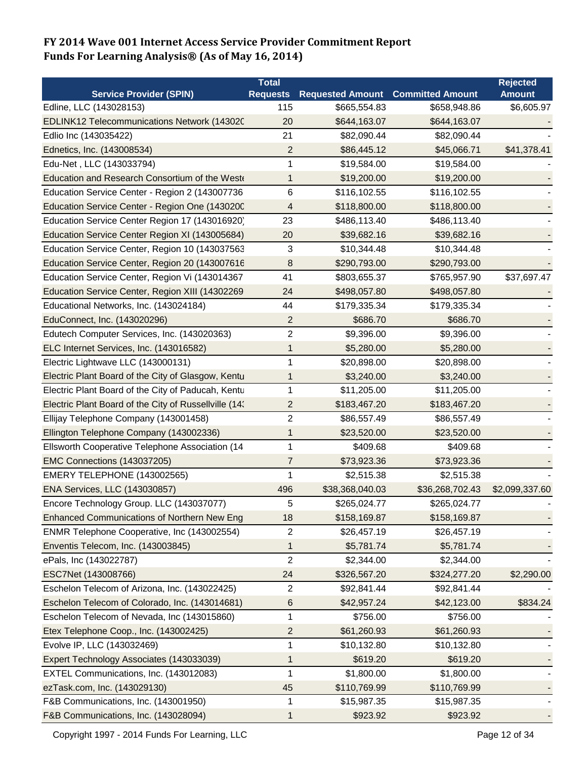|                                                       | <b>Total</b>    |                         |                         | <b>Rejected</b> |
|-------------------------------------------------------|-----------------|-------------------------|-------------------------|-----------------|
| <b>Service Provider (SPIN)</b>                        | <b>Requests</b> | <b>Requested Amount</b> | <b>Committed Amount</b> | <b>Amount</b>   |
| Edline, LLC (143028153)                               | 115             | \$665,554.83            | \$658,948.86            | \$6,605.97      |
| EDLINK12 Telecommunications Network (143020           | 20              | \$644,163.07            | \$644,163.07            |                 |
| Edlio Inc (143035422)                                 | 21              | \$82,090.44             | \$82,090.44             |                 |
| Ednetics, Inc. (143008534)                            | $\overline{2}$  | \$86,445.12             | \$45,066.71             | \$41,378.41     |
| Edu-Net, LLC (143033794)                              | 1               | \$19,584.00             | \$19,584.00             |                 |
| Education and Research Consortium of the West         | 1               | \$19,200.00             | \$19,200.00             |                 |
| Education Service Center - Region 2 (143007736        | 6               | \$116,102.55            | \$116,102.55            |                 |
| Education Service Center - Region One (1430200        | 4               | \$118,800.00            | \$118,800.00            |                 |
| Education Service Center Region 17 (143016920)        | 23              | \$486,113.40            | \$486,113.40            |                 |
| Education Service Center Region XI (143005684)        | 20              | \$39,682.16             | \$39,682.16             |                 |
| Education Service Center, Region 10 (143037563        | 3               | \$10,344.48             | \$10,344.48             |                 |
| Education Service Center, Region 20 (143007616        | 8               | \$290,793.00            | \$290,793.00            |                 |
| Education Service Center, Region Vi (143014367        | 41              | \$803,655.37            | \$765,957.90            | \$37,697.47     |
| Education Service Center, Region XIII (14302269       | 24              | \$498,057.80            | \$498,057.80            |                 |
| Educational Networks, Inc. (143024184)                | 44              | \$179,335.34            | \$179,335.34            |                 |
| EduConnect, Inc. (143020296)                          | 2               | \$686.70                | \$686.70                |                 |
| Edutech Computer Services, Inc. (143020363)           | 2               | \$9,396.00              | \$9,396.00              |                 |
| ELC Internet Services, Inc. (143016582)               | 1               | \$5,280.00              | \$5,280.00              |                 |
| Electric Lightwave LLC (143000131)                    | 1               | \$20,898.00             | \$20,898.00             |                 |
| Electric Plant Board of the City of Glasgow, Kentu    | 1               | \$3,240.00              | \$3,240.00              |                 |
| Electric Plant Board of the City of Paducah, Kentu    | 1               | \$11,205.00             | \$11,205.00             |                 |
| Electric Plant Board of the City of Russellville (14: | 2               | \$183,467.20            | \$183,467.20            |                 |
| Ellijay Telephone Company (143001458)                 | $\overline{c}$  | \$86,557.49             | \$86,557.49             |                 |
| Ellington Telephone Company (143002336)               | 1               | \$23,520.00             | \$23,520.00             |                 |
| Ellsworth Cooperative Telephone Association (14       | 1               | \$409.68                | \$409.68                |                 |
| EMC Connections (143037205)                           | 7               | \$73,923.36             | \$73,923.36             |                 |
| EMERY TELEPHONE (143002565)                           | 1               | \$2,515.38              | \$2,515.38              |                 |
| ENA Services, LLC (143030857)                         | 496             | \$38,368,040.03         | \$36,268,702.43         | \$2,099,337.60  |
| Encore Technology Group. LLC (143037077)              | 5               | \$265.024.77            | \$265,024.77            |                 |
| <b>Enhanced Communications of Northern New Eng</b>    | 18              | \$158,169.87            | \$158,169.87            |                 |
| ENMR Telephone Cooperative, Inc (143002554)           | 2               | \$26,457.19             | \$26,457.19             |                 |
| Enventis Telecom, Inc. (143003845)                    | 1               | \$5,781.74              | \$5,781.74              |                 |
| ePals, Inc (143022787)                                | $\overline{c}$  | \$2,344.00              | \$2,344.00              |                 |
| ESC7Net (143008766)                                   | 24              | \$326,567.20            | \$324,277.20            | \$2,290.00      |
| Eschelon Telecom of Arizona, Inc. (143022425)         | $\overline{2}$  | \$92,841.44             | \$92,841.44             |                 |
| Eschelon Telecom of Colorado, Inc. (143014681)        | 6               | \$42,957.24             | \$42,123.00             | \$834.24        |
| Eschelon Telecom of Nevada, Inc (143015860)           | 1               | \$756.00                | \$756.00                |                 |
| Etex Telephone Coop., Inc. (143002425)                | 2               | \$61,260.93             | \$61,260.93             |                 |
| Evolve IP, LLC (143032469)                            | 1               | \$10,132.80             | \$10,132.80             |                 |
| Expert Technology Associates (143033039)              | 1               | \$619.20                | \$619.20                |                 |
| EXTEL Communications, Inc. (143012083)                | 1               | \$1,800.00              | \$1,800.00              |                 |
| ezTask.com, Inc. (143029130)                          | 45              | \$110,769.99            | \$110,769.99            |                 |
| F&B Communications, Inc. (143001950)                  | 1               | \$15,987.35             | \$15,987.35             |                 |
| F&B Communications, Inc. (143028094)                  | 1               | \$923.92                | \$923.92                |                 |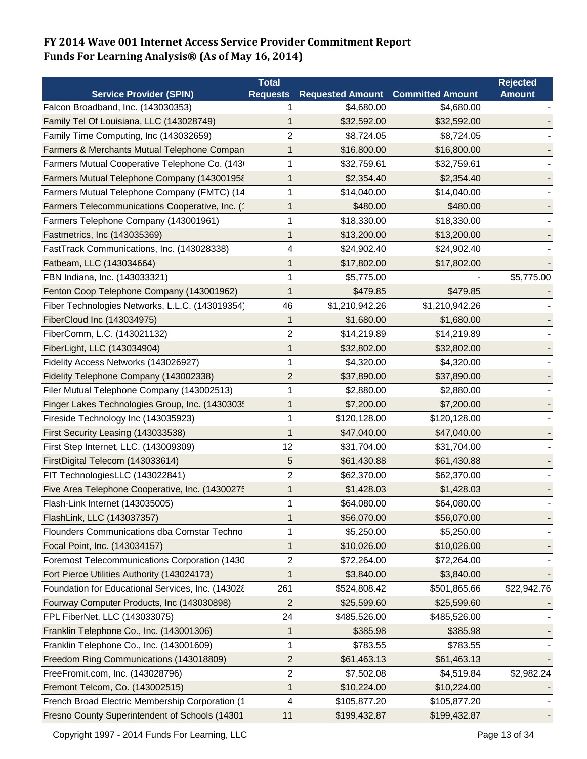|                                                   | <b>Total</b>    |                         |                         | <b>Rejected</b> |
|---------------------------------------------------|-----------------|-------------------------|-------------------------|-----------------|
| <b>Service Provider (SPIN)</b>                    | <b>Requests</b> | <b>Requested Amount</b> | <b>Committed Amount</b> | <b>Amount</b>   |
| Falcon Broadband, Inc. (143030353)                |                 | \$4,680.00              | \$4,680.00              |                 |
| Family Tel Of Louisiana, LLC (143028749)          | 1               | \$32,592.00             | \$32,592.00             |                 |
| Family Time Computing, Inc (143032659)            | $\overline{c}$  | \$8,724.05              | \$8,724.05              |                 |
| Farmers & Merchants Mutual Telephone Compan       | 1               | \$16,800.00             | \$16,800.00             |                 |
| Farmers Mutual Cooperative Telephone Co. (143     | 1               | \$32,759.61             | \$32,759.61             |                 |
| Farmers Mutual Telephone Company (143001958       | 1               | \$2,354.40              | \$2,354.40              |                 |
| Farmers Mutual Telephone Company (FMTC) (14       | 1               | \$14,040.00             | \$14,040.00             |                 |
| Farmers Telecommunications Cooperative, Inc. (1   | 1               | \$480.00                | \$480.00                |                 |
| Farmers Telephone Company (143001961)             | 1               | \$18,330.00             | \$18,330.00             |                 |
| Fastmetrics, Inc (143035369)                      | 1               | \$13,200.00             | \$13,200.00             |                 |
| FastTrack Communications, Inc. (143028338)        | 4               | \$24,902.40             | \$24,902.40             |                 |
| Fatbeam, LLC (143034664)                          | 1               | \$17,802.00             | \$17,802.00             |                 |
| FBN Indiana, Inc. (143033321)                     | 1               | \$5,775.00              |                         | \$5,775.00      |
| Fenton Coop Telephone Company (143001962)         | 1               | \$479.85                | \$479.85                |                 |
| Fiber Technologies Networks, L.L.C. (143019354)   | 46              | \$1,210,942.26          | \$1,210,942.26          |                 |
| FiberCloud Inc (143034975)                        | 1               | \$1,680.00              | \$1,680.00              |                 |
| FiberComm, L.C. (143021132)                       | 2               | \$14,219.89             | \$14,219.89             |                 |
| FiberLight, LLC (143034904)                       | 1               | \$32,802.00             | \$32,802.00             |                 |
| Fidelity Access Networks (143026927)              | 1               | \$4,320.00              | \$4,320.00              |                 |
| Fidelity Telephone Company (143002338)            | 2               | \$37,890.00             | \$37,890.00             |                 |
| Filer Mutual Telephone Company (143002513)        | 1               | \$2,880.00              | \$2,880.00              |                 |
| Finger Lakes Technologies Group, Inc. (1430303!   | 1               | \$7,200.00              | \$7,200.00              |                 |
| Fireside Technology Inc (143035923)               | 1               | \$120,128.00            | \$120,128.00            |                 |
| First Security Leasing (143033538)                | 1               | \$47,040.00             | \$47,040.00             |                 |
| First Step Internet, LLC. (143009309)             | 12              | \$31,704.00             | \$31,704.00             |                 |
| FirstDigital Telecom (143033614)                  | 5               | \$61,430.88             | \$61,430.88             |                 |
| FIT TechnologiesLLC (143022841)                   | 2               | \$62,370.00             | \$62,370.00             |                 |
| Five Area Telephone Cooperative, Inc. (1430027!   | 1               | \$1,428.03              | \$1,428.03              |                 |
| Flash-Link Internet (143035005)                   | 1               | \$64,080.00             | \$64,080.00             |                 |
| FlashLink, LLC (143037357)                        | 1               | \$56,070.00             | \$56,070.00             |                 |
| Flounders Communications dba Comstar Techno       | 1               | \$5,250.00              | \$5,250.00              |                 |
| Focal Point, Inc. (143034157)                     | 1               | \$10,026.00             | \$10,026.00             |                 |
| Foremost Telecommunications Corporation (1430     | 2               | \$72,264.00             | \$72,264.00             |                 |
| Fort Pierce Utilities Authority (143024173)       | 1               | \$3,840.00              | \$3,840.00              |                 |
| Foundation for Educational Services, Inc. (143028 | 261             | \$524,808.42            | \$501,865.66            | \$22,942.76     |
| Fourway Computer Products, Inc (143030898)        | $\overline{2}$  | \$25,599.60             | \$25,599.60             |                 |
| FPL FiberNet, LLC (143033075)                     | 24              | \$485,526.00            | \$485,526.00            |                 |
| Franklin Telephone Co., Inc. (143001306)          | 1               | \$385.98                | \$385.98                |                 |
| Franklin Telephone Co., Inc. (143001609)          | 1               | \$783.55                | \$783.55                |                 |
| Freedom Ring Communications (143018809)           | 2               | \$61,463.13             | \$61,463.13             |                 |
| FreeFromit.com, Inc. (143028796)                  | 2               | \$7,502.08              | \$4,519.84              | \$2,982.24      |
| Fremont Telcom, Co. (143002515)                   | 1               | \$10,224.00             | \$10,224.00             |                 |
| French Broad Electric Membership Corporation (1   | 4               | \$105,877.20            | \$105,877.20            |                 |
| Fresno County Superintendent of Schools (14301    | 11              | \$199,432.87            | \$199,432.87            |                 |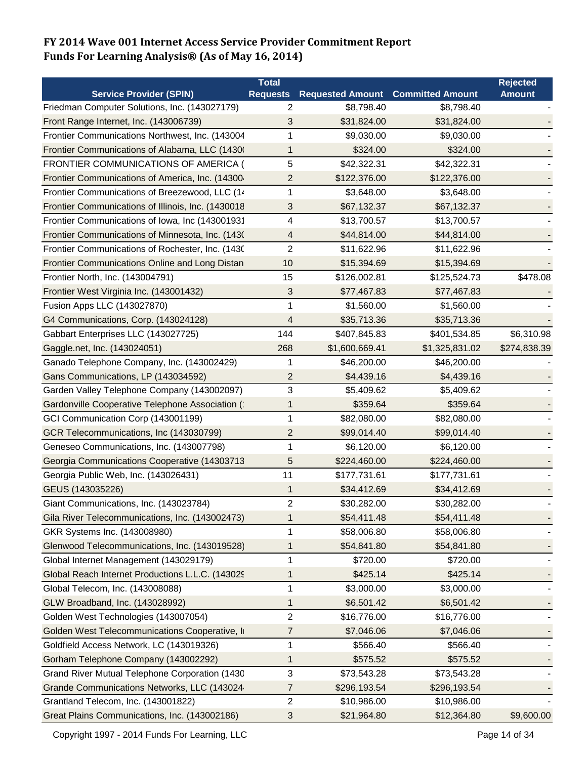|                                                    | <b>Total</b>    |                         |                         | <b>Rejected</b> |
|----------------------------------------------------|-----------------|-------------------------|-------------------------|-----------------|
| <b>Service Provider (SPIN)</b>                     | <b>Requests</b> | <b>Requested Amount</b> | <b>Committed Amount</b> | <b>Amount</b>   |
| Friedman Computer Solutions, Inc. (143027179)      | 2               | \$8,798.40              | \$8,798.40              |                 |
| Front Range Internet, Inc. (143006739)             | 3               | \$31,824.00             | \$31,824.00             |                 |
| Frontier Communications Northwest, Inc. (143004    | 1               | \$9,030.00              | \$9,030.00              |                 |
| Frontier Communications of Alabama, LLC (1430)     | 1               | \$324.00                | \$324.00                |                 |
| FRONTIER COMMUNICATIONS OF AMERICA (               | 5               | \$42,322.31             | \$42,322.31             |                 |
| Frontier Communications of America, Inc. (14300-   | 2               | \$122,376.00            | \$122,376.00            |                 |
| Frontier Communications of Breezewood, LLC (14     | 1               | \$3,648.00              | \$3,648.00              |                 |
| Frontier Communications of Illinois, Inc. (1430018 | 3               | \$67,132.37             | \$67,132.37             |                 |
| Frontier Communications of Iowa, Inc (143001931    | 4               | \$13,700.57             | \$13,700.57             |                 |
| Frontier Communications of Minnesota, Inc. (1430   | 4               | \$44,814.00             | \$44,814.00             |                 |
| Frontier Communications of Rochester, Inc. (1430)  | $\overline{2}$  | \$11,622.96             | \$11,622.96             |                 |
| Frontier Communications Online and Long Distan     | 10              | \$15,394.69             | \$15,394.69             |                 |
| Frontier North, Inc. (143004791)                   | 15              | \$126,002.81            | \$125,524.73            | \$478.08        |
| Frontier West Virginia Inc. (143001432)            | 3               | \$77,467.83             | \$77,467.83             |                 |
| Fusion Apps LLC (143027870)                        | 1               | \$1,560.00              | \$1,560.00              |                 |
| G4 Communications, Corp. (143024128)               | 4               | \$35,713.36             | \$35,713.36             |                 |
| Gabbart Enterprises LLC (143027725)                | 144             | \$407,845.83            | \$401,534.85            | \$6,310.98      |
| Gaggle.net, Inc. (143024051)                       | 268             | \$1,600,669.41          | \$1,325,831.02          | \$274,838.39    |
| Ganado Telephone Company, Inc. (143002429)         | 1               | \$46,200.00             | \$46,200.00             |                 |
| Gans Communications, LP (143034592)                | $\overline{c}$  | \$4,439.16              | \$4,439.16              |                 |
| Garden Valley Telephone Company (143002097)        | 3               | \$5,409.62              | \$5,409.62              |                 |
| Gardonville Cooperative Telephone Association (    | 1               | \$359.64                | \$359.64                |                 |
| GCI Communication Corp (143001199)                 | 1               | \$82,080.00             | \$82,080.00             |                 |
| GCR Telecommunications, Inc (143030799)            | $\overline{c}$  | \$99,014.40             | \$99,014.40             |                 |
| Geneseo Communications, Inc. (143007798)           | 1               | \$6,120.00              | \$6,120.00              |                 |
| Georgia Communications Cooperative (14303713       | 5               | \$224,460.00            | \$224,460.00            |                 |
| Georgia Public Web, Inc. (143026431)               | 11              | \$177,731.61            | \$177,731.61            |                 |
| GEUS (143035226)                                   | 1               | \$34,412.69             | \$34,412.69             |                 |
| Giant Communications, Inc. (143023784)             | 2               | \$30,282.00             | \$30,282.00             |                 |
| Gila River Telecommunications, Inc. (143002473)    | 1               | \$54,411.48             | \$54,411.48             |                 |
| GKR Systems Inc. (143008980)                       | 1               | \$58,006.80             | \$58,006.80             |                 |
| Glenwood Telecommunications, Inc. (143019528)      | 1               | \$54,841.80             | \$54,841.80             |                 |
| Global Internet Management (143029179)             | 1               | \$720.00                | \$720.00                |                 |
| Global Reach Internet Productions L.L.C. (143029   | 1               | \$425.14                | \$425.14                |                 |
| Global Telecom, Inc. (143008088)                   | 1               | \$3,000.00              | \$3,000.00              |                 |
| GLW Broadband, Inc. (143028992)                    | 1               | \$6,501.42              | \$6,501.42              |                 |
| Golden West Technologies (143007054)               | $\overline{c}$  | \$16,776.00             | \$16,776.00             |                 |
| Golden West Telecommunications Cooperative, In     | 7               | \$7,046.06              | \$7,046.06              |                 |
| Goldfield Access Network, LC (143019326)           | 1               | \$566.40                | \$566.40                |                 |
| Gorham Telephone Company (143002292)               | 1               | \$575.52                | \$575.52                |                 |
| Grand River Mutual Telephone Corporation (1430     | 3               | \$73,543.28             | \$73,543.28             |                 |
| Grande Communications Networks, LLC (143024        | 7               | \$296,193.54            | \$296,193.54            |                 |
| Grantland Telecom, Inc. (143001822)                | 2               | \$10,986.00             | \$10,986.00             |                 |
| Great Plains Communications, Inc. (143002186)      | 3               | \$21,964.80             | \$12,364.80             | \$9,600.00      |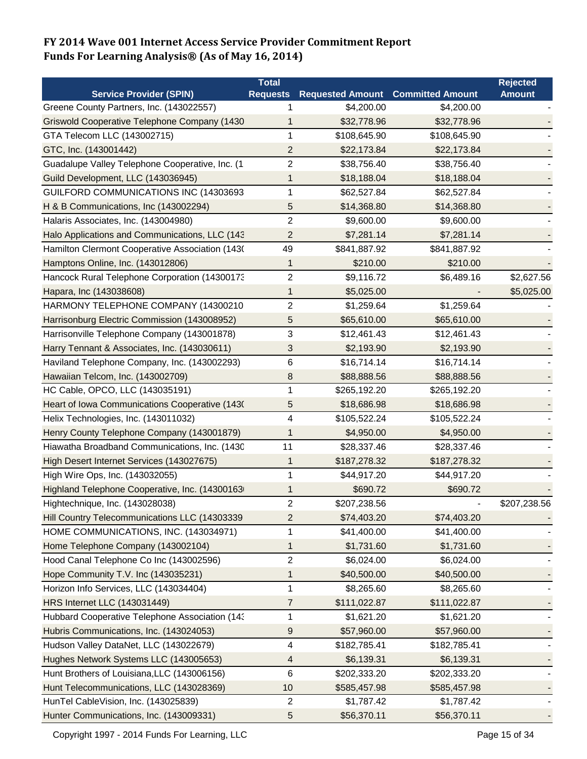|                                                 | <b>Total</b>    |                         |                         | <b>Rejected</b> |
|-------------------------------------------------|-----------------|-------------------------|-------------------------|-----------------|
| <b>Service Provider (SPIN)</b>                  | <b>Requests</b> | <b>Requested Amount</b> | <b>Committed Amount</b> | <b>Amount</b>   |
| Greene County Partners, Inc. (143022557)        |                 | \$4,200.00              | \$4,200.00              |                 |
| Griswold Cooperative Telephone Company (1430    | 1               | \$32,778.96             | \$32,778.96             |                 |
| GTA Telecom LLC (143002715)                     | 1               | \$108,645.90            | \$108,645.90            |                 |
| GTC, Inc. (143001442)                           | 2               | \$22,173.84             | \$22,173.84             |                 |
| Guadalupe Valley Telephone Cooperative, Inc. (1 | 2               | \$38,756.40             | \$38,756.40             |                 |
| Guild Development, LLC (143036945)              | 1               | \$18,188.04             | \$18,188.04             |                 |
| GUILFORD COMMUNICATIONS INC (14303693           | 1               | \$62,527.84             | \$62,527.84             |                 |
| H & B Communications, Inc (143002294)           | 5               | \$14,368.80             | \$14,368.80             |                 |
| Halaris Associates, Inc. (143004980)            | $\overline{c}$  | \$9,600.00              | \$9,600.00              |                 |
| Halo Applications and Communications, LLC (143  | $\overline{2}$  | \$7,281.14              | \$7,281.14              |                 |
| Hamilton Clermont Cooperative Association (1430 | 49              | \$841,887.92            | \$841,887.92            |                 |
| Hamptons Online, Inc. (143012806)               | 1               | \$210.00                | \$210.00                |                 |
| Hancock Rural Telephone Corporation (14300173   | 2               | \$9,116.72              | \$6,489.16              | \$2,627.56      |
| Hapara, Inc (143038608)                         | 1               | \$5,025.00              |                         | \$5,025.00      |
| HARMONY TELEPHONE COMPANY (14300210             | 2               | \$1,259.64              | \$1,259.64              |                 |
| Harrisonburg Electric Commission (143008952)    | 5               | \$65,610.00             | \$65,610.00             |                 |
| Harrisonville Telephone Company (143001878)     | 3               | \$12,461.43             | \$12,461.43             |                 |
| Harry Tennant & Associates, Inc. (143030611)    | 3               | \$2,193.90              | \$2,193.90              |                 |
| Haviland Telephone Company, Inc. (143002293)    | 6               | \$16,714.14             | \$16,714.14             |                 |
| Hawaiian Telcom, Inc. (143002709)               | 8               | \$88,888.56             | \$88,888.56             |                 |
| HC Cable, OPCO, LLC (143035191)                 | 1               | \$265,192.20            | \$265,192.20            |                 |
| Heart of Iowa Communications Cooperative (1430) | 5               | \$18,686.98             | \$18,686.98             |                 |
| Helix Technologies, Inc. (143011032)            | 4               | \$105,522.24            | \$105,522.24            |                 |
| Henry County Telephone Company (143001879)      | 1               | \$4,950.00              | \$4,950.00              |                 |
| Hiawatha Broadband Communications, Inc. (1430   | 11              | \$28,337.46             | \$28,337.46             |                 |
| High Desert Internet Services (143027675)       | 1               | \$187,278.32            | \$187,278.32            |                 |
| High Wire Ops, Inc. (143032055)                 | 1               | \$44,917.20             | \$44,917.20             |                 |
| Highland Telephone Cooperative, Inc. (14300163  | 1               | \$690.72                | \$690.72                |                 |
| Hightechnique, Inc. (143028038)                 | 2               | \$207,238.56            |                         | \$207,238.56    |
| Hill Country Telecommunications LLC (14303339   | 2               | \$74,403.20             | \$74,403.20             |                 |
| HOME COMMUNICATIONS, INC. (143034971)           | 1               | \$41,400.00             | \$41,400.00             |                 |
| Home Telephone Company (143002104)              | 1               | \$1,731.60              | \$1,731.60              |                 |
| Hood Canal Telephone Co Inc (143002596)         | $\overline{c}$  | \$6,024.00              | \$6,024.00              |                 |
| Hope Community T.V. Inc (143035231)             | 1               | \$40,500.00             | \$40,500.00             |                 |
| Horizon Info Services, LLC (143034404)          | 1               | \$8,265.60              | \$8,265.60              |                 |
| HRS Internet LLC (143031449)                    | $\overline{7}$  | \$111,022.87            | \$111,022.87            |                 |
| Hubbard Cooperative Telephone Association (143  | 1               | \$1,621.20              | \$1,621.20              |                 |
| Hubris Communications, Inc. (143024053)         | 9               | \$57,960.00             | \$57,960.00             |                 |
| Hudson Valley DataNet, LLC (143022679)          | 4               | \$182,785.41            | \$182,785.41            |                 |
| Hughes Network Systems LLC (143005653)          | 4               | \$6,139.31              | \$6,139.31              |                 |
| Hunt Brothers of Louisiana, LLC (143006156)     | 6               | \$202,333.20            | \$202,333.20            |                 |
| Hunt Telecommunications, LLC (143028369)        | 10              | \$585,457.98            | \$585,457.98            |                 |
| HunTel CableVision, Inc. (143025839)            | 2               | \$1,787.42              | \$1,787.42              |                 |
| Hunter Communications, Inc. (143009331)         | 5               | \$56,370.11             | \$56,370.11             |                 |
|                                                 |                 |                         |                         |                 |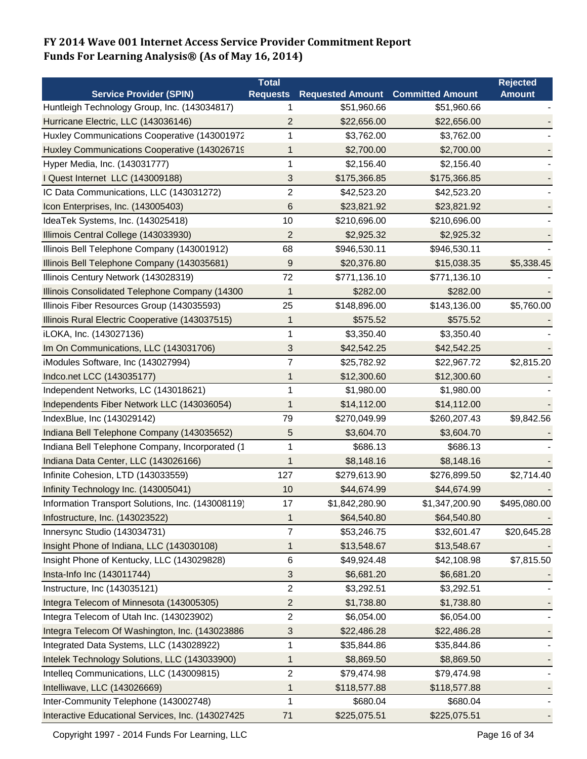|                                                   | Total                   |                         |                         | <b>Rejected</b> |
|---------------------------------------------------|-------------------------|-------------------------|-------------------------|-----------------|
| <b>Service Provider (SPIN)</b>                    | <b>Requests</b>         | <b>Requested Amount</b> | <b>Committed Amount</b> | <b>Amount</b>   |
| Huntleigh Technology Group, Inc. (143034817)      |                         | \$51,960.66             | \$51,960.66             |                 |
| Hurricane Electric, LLC (143036146)               | 2                       | \$22,656.00             | \$22,656.00             |                 |
| Huxley Communications Cooperative (143001972      | 1                       | \$3,762.00              | \$3,762.00              |                 |
| Huxley Communications Cooperative (143026719      | 1                       | \$2,700.00              | \$2,700.00              |                 |
| Hyper Media, Inc. (143031777)                     | 1                       | \$2,156.40              | \$2,156.40              |                 |
| I Quest Internet LLC (143009188)                  | 3                       | \$175,366.85            | \$175,366.85            |                 |
| IC Data Communications, LLC (143031272)           | $\overline{c}$          | \$42,523.20             | \$42,523.20             |                 |
| Icon Enterprises, Inc. (143005403)                | 6                       | \$23,821.92             | \$23,821.92             |                 |
| IdeaTek Systems, Inc. (143025418)                 | 10                      | \$210,696.00            | \$210,696.00            |                 |
| Illimois Central College (143033930)              | 2                       | \$2,925.32              | \$2,925.32              |                 |
| Illinois Bell Telephone Company (143001912)       | 68                      | \$946,530.11            | \$946,530.11            |                 |
| Illinois Bell Telephone Company (143035681)       | 9                       | \$20,376.80             | \$15,038.35             | \$5,338.45      |
| Illinois Century Network (143028319)              | 72                      | \$771,136.10            | \$771,136.10            |                 |
| Illinois Consolidated Telephone Company (14300    | 1                       | \$282.00                | \$282.00                |                 |
| Illinois Fiber Resources Group (143035593)        | 25                      | \$148,896.00            | \$143,136.00            | \$5,760.00      |
| Illinois Rural Electric Cooperative (143037515)   | 1                       | \$575.52                | \$575.52                |                 |
| iLOKA, Inc. (143027136)                           | 1                       | \$3,350.40              | \$3,350.40              |                 |
| Im On Communications, LLC (143031706)             | 3                       | \$42,542.25             | \$42,542.25             |                 |
| iModules Software, Inc (143027994)                | 7                       | \$25,782.92             | \$22,967.72             | \$2,815.20      |
| Indco.net LCC (143035177)                         | 1                       | \$12,300.60             | \$12,300.60             |                 |
| Independent Networks, LC (143018621)              | 1                       | \$1,980.00              | \$1,980.00              |                 |
| Independents Fiber Network LLC (143036054)        | 1                       | \$14,112.00             | \$14,112.00             |                 |
| IndexBlue, Inc (143029142)                        | 79                      | \$270,049.99            | \$260,207.43            | \$9,842.56      |
| Indiana Bell Telephone Company (143035652)        | 5                       | \$3,604.70              | \$3,604.70              |                 |
| Indiana Bell Telephone Company, Incorporated (1   | 1                       | \$686.13                | \$686.13                |                 |
| Indiana Data Center, LLC (143026166)              | 1                       | \$8,148.16              | \$8,148.16              |                 |
| Infinite Cohesion, LTD (143033559)                | 127                     | \$279,613.90            | \$276,899.50            | \$2,714.40      |
| Infinity Technology Inc. (143005041)              | 10                      | \$44,674.99             | \$44,674.99             |                 |
| Information Transport Solutions, Inc. (143008119) | 17                      | \$1,842,280.90          | \$1,347,200.90          | \$495,080.00    |
| Infostructure, Inc. (143023522)                   | 1                       | \$64,540.80             | \$64,540.80             |                 |
| Innersync Studio (143034731)                      | 7                       | \$53,246.75             | \$32,601.47             | \$20,645.28     |
| Insight Phone of Indiana, LLC (143030108)         | 1                       | \$13,548.67             | \$13,548.67             |                 |
| Insight Phone of Kentucky, LLC (143029828)        | 6                       | \$49,924.48             | \$42,108.98             | \$7,815.50      |
| Insta-Info Inc (143011744)                        | 3                       | \$6,681.20              | \$6,681.20              |                 |
| Instructure, Inc (143035121)                      | $\overline{\mathbf{c}}$ | \$3,292.51              | \$3,292.51              |                 |
| Integra Telecom of Minnesota (143005305)          | $\overline{c}$          | \$1,738.80              | \$1,738.80              |                 |
| Integra Telecom of Utah Inc. (143023902)          | 2                       | \$6,054.00              | \$6,054.00              |                 |
| Integra Telecom Of Washington, Inc. (143023886    | 3                       | \$22,486.28             | \$22,486.28             |                 |
| Integrated Data Systems, LLC (143028922)          | 1                       | \$35,844.86             | \$35,844.86             |                 |
| Intelek Technology Solutions, LLC (143033900)     | 1                       | \$8,869.50              | \$8,869.50              |                 |
| Intelleg Communications, LLC (143009815)          | 2                       | \$79,474.98             | \$79,474.98             |                 |
| Intelliwave, LLC (143026669)                      | 1                       | \$118,577.88            | \$118,577.88            |                 |
| Inter-Community Telephone (143002748)             | 1                       | \$680.04                | \$680.04                |                 |
| Interactive Educational Services, Inc. (143027425 | 71                      | \$225,075.51            | \$225,075.51            |                 |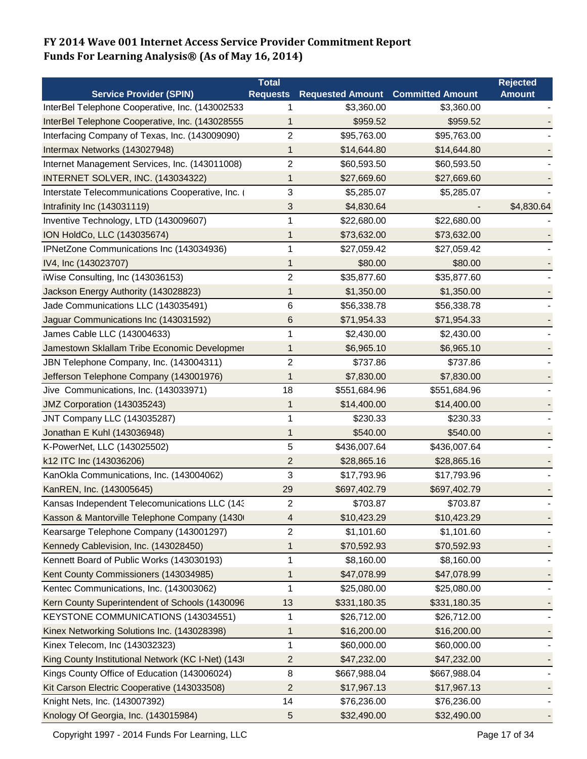|                                                    | <b>Total</b>    |                                          |              | <b>Rejected</b> |
|----------------------------------------------------|-----------------|------------------------------------------|--------------|-----------------|
| <b>Service Provider (SPIN)</b>                     | <b>Requests</b> | <b>Requested Amount Committed Amount</b> |              | <b>Amount</b>   |
| InterBel Telephone Cooperative, Inc. (143002533    |                 | \$3,360.00                               | \$3,360.00   |                 |
| InterBel Telephone Cooperative, Inc. (143028555    | 1               | \$959.52                                 | \$959.52     |                 |
| Interfacing Company of Texas, Inc. (143009090)     | 2               | \$95,763.00                              | \$95,763.00  |                 |
| Intermax Networks (143027948)                      | 1               | \$14,644.80                              | \$14,644.80  |                 |
| Internet Management Services, Inc. (143011008)     | 2               | \$60,593.50                              | \$60,593.50  |                 |
| INTERNET SOLVER, INC. (143034322)                  | 1               | \$27,669.60                              | \$27,669.60  |                 |
| Interstate Telecommunications Cooperative, Inc. (  | 3               | \$5,285.07                               | \$5,285.07   |                 |
| Intrafinity Inc (143031119)                        | 3               | \$4,830.64                               |              | \$4,830.64      |
| Inventive Technology, LTD (143009607)              | 1               | \$22,680.00                              | \$22,680.00  |                 |
| ION HoldCo, LLC (143035674)                        | 1               | \$73,632.00                              | \$73,632.00  |                 |
| IPNetZone Communications Inc (143034936)           | 1               | \$27,059.42                              | \$27,059.42  |                 |
| IV4, Inc (143023707)                               | 1               | \$80.00                                  | \$80.00      |                 |
| iWise Consulting, Inc (143036153)                  | 2               | \$35,877.60                              | \$35,877.60  |                 |
| Jackson Energy Authority (143028823)               | 1               | \$1,350.00                               | \$1,350.00   |                 |
| Jade Communications LLC (143035491)                | 6               | \$56,338.78                              | \$56,338.78  |                 |
| Jaguar Communications Inc (143031592)              | 6               | \$71,954.33                              | \$71,954.33  |                 |
| James Cable LLC (143004633)                        | 1               | \$2,430.00                               | \$2,430.00   |                 |
| Jamestown Sklallam Tribe Economic Developmer       | 1               | \$6,965.10                               | \$6,965.10   |                 |
| JBN Telephone Company, Inc. (143004311)            | 2               | \$737.86                                 | \$737.86     |                 |
| Jefferson Telephone Company (143001976)            | 1               | \$7,830.00                               | \$7,830.00   |                 |
| Jive Communications, Inc. (143033971)              | 18              | \$551,684.96                             | \$551,684.96 |                 |
| JMZ Corporation (143035243)                        | 1               | \$14,400.00                              | \$14,400.00  |                 |
| JNT Company LLC (143035287)                        | 1               | \$230.33                                 | \$230.33     |                 |
| Jonathan E Kuhl (143036948)                        | 1               | \$540.00                                 | \$540.00     |                 |
| K-PowerNet, LLC (143025502)                        | 5               | \$436,007.64                             | \$436,007.64 |                 |
| k12 ITC Inc (143036206)                            | $\overline{c}$  | \$28,865.16                              | \$28,865.16  |                 |
| KanOkla Communications, Inc. (143004062)           | 3               | \$17,793.96                              | \$17,793.96  |                 |
| KanREN, Inc. (143005645)                           | 29              | \$697,402.79                             | \$697,402.79 |                 |
| Kansas Independent Telecomunications LLC (143      | 2               | \$703.87                                 | \$703.87     |                 |
| Kasson & Mantorville Telephone Company (1430)      | 4               | \$10,423.29                              | \$10,423.29  |                 |
| Kearsarge Telephone Company (143001297)            | 2               | \$1,101.60                               | \$1,101.60   |                 |
| Kennedy Cablevision, Inc. (143028450)              | 1               | \$70,592.93                              | \$70,592.93  |                 |
| Kennett Board of Public Works (143030193)          | 1               | \$8,160.00                               | \$8,160.00   |                 |
| Kent County Commissioners (143034985)              | 1               | \$47,078.99                              | \$47,078.99  |                 |
| Kentec Communications, Inc. (143003062)            | 1               | \$25,080.00                              | \$25,080.00  |                 |
| Kern County Superintendent of Schools (1430096     | 13              | \$331,180.35                             | \$331,180.35 |                 |
| KEYSTONE COMMUNICATIONS (143034551)                | 1               | \$26,712.00                              | \$26,712.00  |                 |
| Kinex Networking Solutions Inc. (143028398)        | 1               | \$16,200.00                              | \$16,200.00  |                 |
| Kinex Telecom, Inc (143032323)                     | 1               | \$60,000.00                              | \$60,000.00  |                 |
| King County Institutional Network (KC I-Net) (143) | 2               | \$47,232.00                              | \$47,232.00  |                 |
| Kings County Office of Education (143006024)       | 8               | \$667,988.04                             | \$667,988.04 |                 |
| Kit Carson Electric Cooperative (143033508)        | 2               | \$17,967.13                              | \$17,967.13  |                 |
| Knight Nets, Inc. (143007392)                      | 14              | \$76,236.00                              | \$76,236.00  |                 |
| Knology Of Georgia, Inc. (143015984)               | 5               | \$32,490.00                              | \$32,490.00  |                 |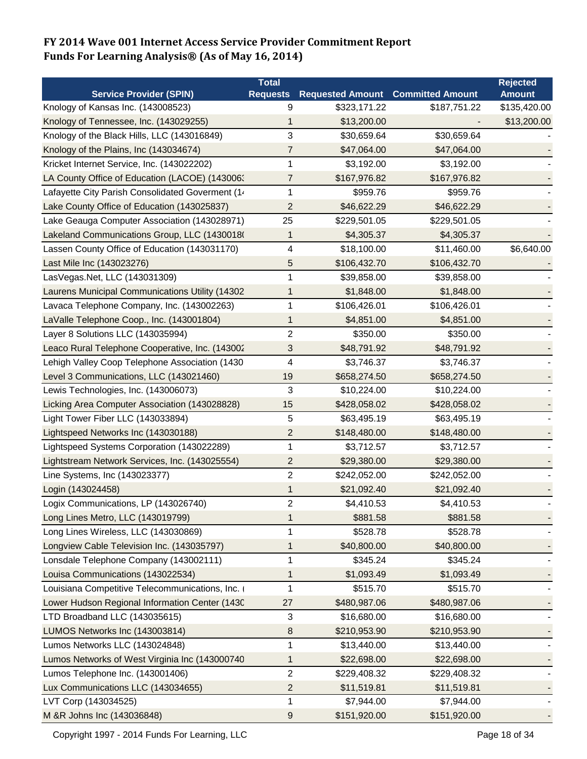|                                                  | <b>Total</b>    |                                          |              | <b>Rejected</b> |
|--------------------------------------------------|-----------------|------------------------------------------|--------------|-----------------|
| <b>Service Provider (SPIN)</b>                   | <b>Requests</b> | <b>Requested Amount Committed Amount</b> |              | <b>Amount</b>   |
| Knology of Kansas Inc. (143008523)               | 9               | \$323,171.22                             | \$187,751.22 | \$135,420.00    |
| Knology of Tennessee, Inc. (143029255)           | 1               | \$13,200.00                              |              | \$13,200.00     |
| Knology of the Black Hills, LLC (143016849)      | 3               | \$30,659.64                              | \$30,659.64  |                 |
| Knology of the Plains, Inc (143034674)           | 7               | \$47,064.00                              | \$47,064.00  |                 |
| Kricket Internet Service, Inc. (143022202)       | 1               | \$3,192.00                               | \$3,192.00   |                 |
| LA County Office of Education (LACOE) (143006:   | 7               | \$167,976.82                             | \$167,976.82 |                 |
| Lafayette City Parish Consolidated Goverment (14 | 1               | \$959.76                                 | \$959.76     |                 |
| Lake County Office of Education (143025837)      | 2               | \$46,622.29                              | \$46,622.29  |                 |
| Lake Geauga Computer Association (143028971)     | 25              | \$229,501.05                             | \$229,501.05 |                 |
| Lakeland Communications Group, LLC (1430018(     | 1               | \$4,305.37                               | \$4,305.37   |                 |
| Lassen County Office of Education (143031170)    | 4               | \$18,100.00                              | \$11,460.00  | \$6,640.00      |
| Last Mile Inc (143023276)                        | 5               | \$106,432.70                             | \$106,432.70 |                 |
| LasVegas.Net, LLC (143031309)                    | 1               | \$39,858.00                              | \$39,858.00  |                 |
| Laurens Municipal Communications Utility (14302  | 1               | \$1,848.00                               | \$1,848.00   |                 |
| Lavaca Telephone Company, Inc. (143002263)       | 1               | \$106,426.01                             | \$106,426.01 |                 |
| LaValle Telephone Coop., Inc. (143001804)        | 1               | \$4,851.00                               | \$4,851.00   |                 |
| Layer 8 Solutions LLC (143035994)                | 2               | \$350.00                                 | \$350.00     |                 |
| Leaco Rural Telephone Cooperative, Inc. (143002  | 3               | \$48,791.92                              | \$48,791.92  |                 |
| Lehigh Valley Coop Telephone Association (1430   | 4               | \$3,746.37                               | \$3,746.37   |                 |
| Level 3 Communications, LLC (143021460)          | 19              | \$658,274.50                             | \$658,274.50 |                 |
| Lewis Technologies, Inc. (143006073)             | 3               | \$10,224.00                              | \$10,224.00  |                 |
| Licking Area Computer Association (143028828)    | 15              | \$428,058.02                             | \$428,058.02 |                 |
| Light Tower Fiber LLC (143033894)                | 5               | \$63,495.19                              | \$63,495.19  |                 |
| Lightspeed Networks Inc (143030188)              | $\overline{c}$  | \$148,480.00                             | \$148,480.00 |                 |
| Lightspeed Systems Corporation (143022289)       | 1               | \$3,712.57                               | \$3,712.57   |                 |
| Lightstream Network Services, Inc. (143025554)   | $\overline{c}$  | \$29,380.00                              | \$29,380.00  |                 |
| Line Systems, Inc (143023377)                    | 2               | \$242,052.00                             | \$242,052.00 |                 |
| Login (143024458)                                | 1               | \$21,092.40                              | \$21,092.40  |                 |
| Logix Communications, LP (143026740)             | 2               | \$4,410.53                               | \$4,410.53   |                 |
| Long Lines Metro, LLC (143019799)                | 1               | \$881.58                                 | \$881.58     |                 |
| Long Lines Wireless, LLC (143030869)             | 1               | \$528.78                                 | \$528.78     |                 |
| Longview Cable Television Inc. (143035797)       | 1               | \$40,800.00                              | \$40,800.00  |                 |
| Lonsdale Telephone Company (143002111)           | 1               | \$345.24                                 | \$345.24     |                 |
| Louisa Communications (143022534)                | 1               | \$1,093.49                               | \$1,093.49   |                 |
| Louisiana Competitive Telecommunications, Inc. ( | 1               | \$515.70                                 | \$515.70     |                 |
| Lower Hudson Regional Information Center (1430   | 27              | \$480,987.06                             | \$480,987.06 |                 |
| LTD Broadband LLC (143035615)                    | 3               | \$16,680.00                              | \$16,680.00  |                 |
| LUMOS Networks Inc (143003814)                   | 8               | \$210,953.90                             | \$210,953.90 |                 |
| Lumos Networks LLC (143024848)                   | 1               | \$13,440.00                              | \$13,440.00  |                 |
| Lumos Networks of West Virginia Inc (143000740   | 1               | \$22,698.00                              | \$22,698.00  |                 |
| Lumos Telephone Inc. (143001406)                 | 2               | \$229,408.32                             | \$229,408.32 |                 |
| Lux Communications LLC (143034655)               | 2               | \$11,519.81                              | \$11,519.81  |                 |
| LVT Corp (143034525)                             | 1               | \$7,944.00                               | \$7,944.00   |                 |
| M &R Johns Inc (143036848)                       |                 | \$151,920.00                             | \$151,920.00 |                 |
|                                                  | 9               |                                          |              |                 |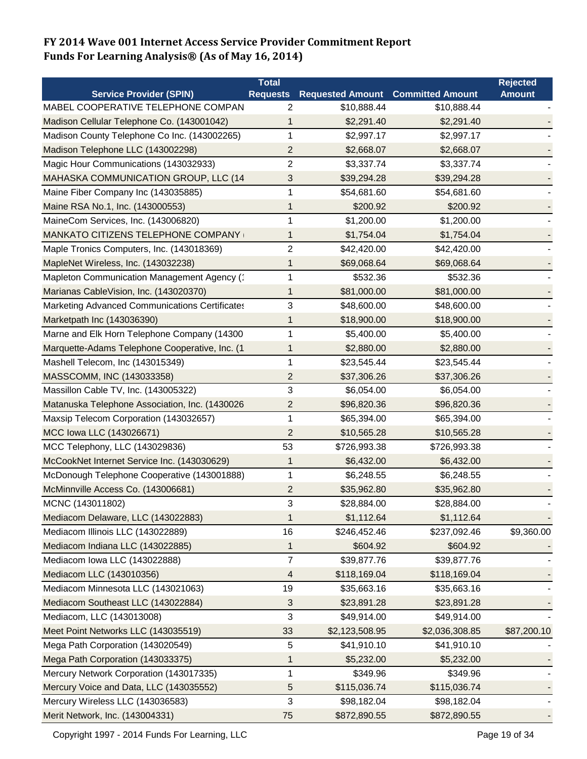|                                                       | <b>Total</b>            |                                          |                | <b>Rejected</b> |
|-------------------------------------------------------|-------------------------|------------------------------------------|----------------|-----------------|
| <b>Service Provider (SPIN)</b>                        | <b>Requests</b>         | <b>Requested Amount Committed Amount</b> |                | <b>Amount</b>   |
| MABEL COOPERATIVE TELEPHONE COMPAN                    | 2                       | \$10,888.44                              | \$10,888.44    |                 |
| Madison Cellular Telephone Co. (143001042)            | 1                       | \$2,291.40                               | \$2,291.40     |                 |
| Madison County Telephone Co Inc. (143002265)          | 1                       | \$2,997.17                               | \$2,997.17     |                 |
| Madison Telephone LLC (143002298)                     | 2                       | \$2,668.07                               | \$2,668.07     |                 |
| Magic Hour Communications (143032933)                 | 2                       | \$3,337.74                               | \$3,337.74     |                 |
| MAHASKA COMMUNICATION GROUP, LLC (14                  | 3                       | \$39,294.28                              | \$39,294.28    |                 |
| Maine Fiber Company Inc (143035885)                   | 1                       | \$54,681.60                              | \$54,681.60    |                 |
| Maine RSA No.1, Inc. (143000553)                      | 1                       | \$200.92                                 | \$200.92       |                 |
| MaineCom Services, Inc. (143006820)                   | 1                       | \$1,200.00                               | \$1,200.00     |                 |
| MANKATO CITIZENS TELEPHONE COMPANY                    | 1                       | \$1,754.04                               | \$1,754.04     |                 |
| Maple Tronics Computers, Inc. (143018369)             | $\overline{c}$          | \$42,420.00                              | \$42,420.00    |                 |
| MapleNet Wireless, Inc. (143032238)                   | 1                       | \$69,068.64                              | \$69,068.64    |                 |
| Mapleton Communication Management Agency (*           | 1                       | \$532.36                                 | \$532.36       |                 |
| Marianas CableVision, Inc. (143020370)                | 1                       | \$81,000.00                              | \$81,000.00    |                 |
| <b>Marketing Advanced Communications Certificates</b> | 3                       | \$48,600.00                              | \$48,600.00    |                 |
| Marketpath Inc (143036390)                            | 1                       | \$18,900.00                              | \$18,900.00    |                 |
| Marne and Elk Horn Telephone Company (14300           | 1                       | \$5,400.00                               | \$5,400.00     |                 |
| Marquette-Adams Telephone Cooperative, Inc. (1        | 1                       | \$2,880.00                               | \$2,880.00     |                 |
| Mashell Telecom, Inc (143015349)                      | 1                       | \$23,545.44                              | \$23,545.44    |                 |
| MASSCOMM, INC (143033358)                             | $\overline{\mathbf{c}}$ | \$37,306.26                              | \$37,306.26    |                 |
| Massillon Cable TV, Inc. (143005322)                  | 3                       | \$6,054.00                               | \$6,054.00     |                 |
| Matanuska Telephone Association, Inc. (1430026        | 2                       | \$96,820.36                              | \$96,820.36    |                 |
| Maxsip Telecom Corporation (143032657)                | 1                       | \$65,394.00                              | \$65,394.00    |                 |
| MCC Iowa LLC (143026671)                              | 2                       | \$10,565.28                              | \$10,565.28    |                 |
| MCC Telephony, LLC (143029836)                        | 53                      | \$726,993.38                             | \$726,993.38   |                 |
| McCookNet Internet Service Inc. (143030629)           | 1                       | \$6,432.00                               | \$6,432.00     |                 |
| McDonough Telephone Cooperative (143001888)           | 1                       | \$6,248.55                               | \$6,248.55     |                 |
| McMinnville Access Co. (143006681)                    | $\overline{c}$          | \$35,962.80                              | \$35,962.80    |                 |
| MCNC (143011802)                                      | 3                       | \$28,884.00                              | \$28,884.00    |                 |
| Mediacom Delaware, LLC (143022883)                    | 1                       | \$1,112.64                               | \$1,112.64     |                 |
| Mediacom Illinois LLC (143022889)                     | 16                      | \$246,452.46                             | \$237,092.46   | \$9,360.00      |
| Mediacom Indiana LLC (143022885)                      | 1                       | \$604.92                                 | \$604.92       |                 |
| Mediacom Iowa LLC (143022888)                         | 7                       | \$39,877.76                              | \$39,877.76    |                 |
| Mediacom LLC (143010356)                              | 4                       | \$118,169.04                             | \$118,169.04   |                 |
| Mediacom Minnesota LLC (143021063)                    | 19                      | \$35,663.16                              | \$35,663.16    |                 |
| Mediacom Southeast LLC (143022884)                    | 3                       | \$23,891.28                              | \$23,891.28    |                 |
| Mediacom, LLC (143013008)                             | 3                       | \$49,914.00                              | \$49,914.00    |                 |
| Meet Point Networks LLC (143035519)                   | 33                      | \$2,123,508.95                           | \$2,036,308.85 | \$87,200.10     |
| Mega Path Corporation (143020549)                     | 5                       | \$41,910.10                              | \$41,910.10    |                 |
| Mega Path Corporation (143033375)                     | 1                       | \$5,232.00                               | \$5,232.00     |                 |
| Mercury Network Corporation (143017335)               | 1                       | \$349.96                                 | \$349.96       |                 |
| Mercury Voice and Data, LLC (143035552)               | 5                       | \$115,036.74                             | \$115,036.74   |                 |
| Mercury Wireless LLC (143036583)                      | 3                       | \$98,182.04                              | \$98,182.04    |                 |
| Merit Network, Inc. (143004331)                       | 75                      | \$872,890.55                             | \$872,890.55   |                 |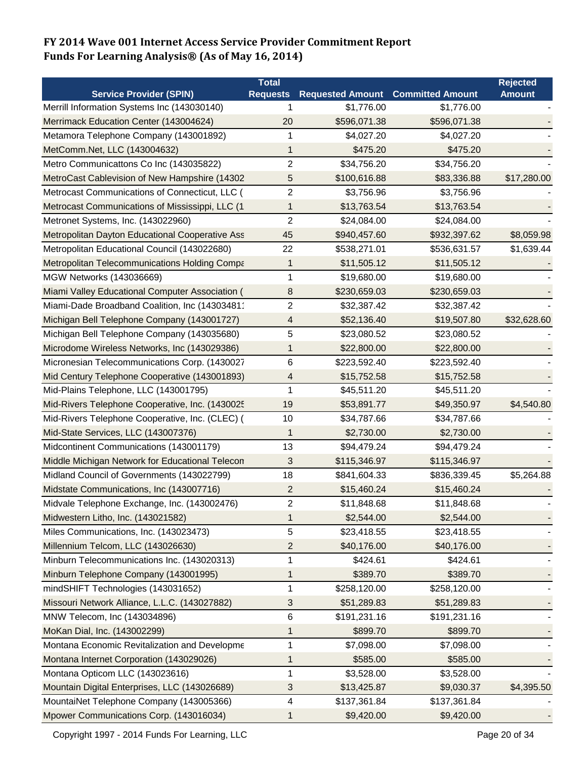|                                                      | Total           |                         |                         | <b>Rejected</b> |
|------------------------------------------------------|-----------------|-------------------------|-------------------------|-----------------|
| <b>Service Provider (SPIN)</b>                       | <b>Requests</b> | <b>Requested Amount</b> | <b>Committed Amount</b> | <b>Amount</b>   |
| Merrill Information Systems Inc (143030140)          | 1               | \$1,776.00              | \$1,776.00              |                 |
| Merrimack Education Center (143004624)               | 20              | \$596,071.38            | \$596,071.38            |                 |
| Metamora Telephone Company (143001892)               | 1               | \$4,027.20              | \$4,027.20              |                 |
| MetComm.Net, LLC (143004632)                         | 1               | \$475.20                | \$475.20                |                 |
| Metro Communicattons Co Inc (143035822)              | 2               | \$34,756.20             | \$34,756.20             |                 |
| MetroCast Cablevision of New Hampshire (14302        | 5               | \$100,616.88            | \$83,336.88             | \$17,280.00     |
| Metrocast Communications of Connecticut, LLC (       | 2               | \$3,756.96              | \$3,756.96              |                 |
| Metrocast Communications of Mississippi, LLC (1      | 1               | \$13,763.54             | \$13,763.54             |                 |
| Metronet Systems, Inc. (143022960)                   | $\overline{2}$  | \$24,084.00             | \$24,084.00             |                 |
| Metropolitan Dayton Educational Cooperative Ass      | 45              | \$940,457.60            | \$932,397.62            | \$8,059.98      |
| Metropolitan Educational Council (143022680)         | 22              | \$538,271.01            | \$536,631.57            | \$1,639.44      |
| <b>Metropolitan Telecommunications Holding Compa</b> | 1               | \$11,505.12             | \$11,505.12             |                 |
| MGW Networks (143036669)                             | 1               | \$19,680.00             | \$19,680.00             |                 |
| Miami Valley Educational Computer Association (      | 8               | \$230,659.03            | \$230,659.03            |                 |
| Miami-Dade Broadband Coalition, Inc (14303481'       | 2               | \$32,387.42             | \$32,387.42             |                 |
| Michigan Bell Telephone Company (143001727)          | 4               | \$52,136.40             | \$19,507.80             | \$32,628.60     |
| Michigan Bell Telephone Company (143035680)          | 5               | \$23,080.52             | \$23,080.52             |                 |
| Microdome Wireless Networks, Inc (143029386)         | 1               | \$22,800.00             | \$22,800.00             |                 |
| Micronesian Telecommunications Corp. (1430027        | 6               | \$223,592.40            | \$223,592.40            |                 |
| Mid Century Telephone Cooperative (143001893)        | 4               | \$15,752.58             | \$15,752.58             |                 |
| Mid-Plains Telephone, LLC (143001795)                | 1               | \$45,511.20             | \$45,511.20             |                 |
| Mid-Rivers Telephone Cooperative, Inc. (1430025      | 19              | \$53,891.77             | \$49,350.97             | \$4,540.80      |
| Mid-Rivers Telephone Cooperative, Inc. (CLEC) (      | 10              | \$34,787.66             | \$34,787.66             |                 |
| Mid-State Services, LLC (143007376)                  | 1               | \$2,730.00              | \$2,730.00              |                 |
| Midcontinent Communications (143001179)              | 13              | \$94,479.24             | \$94,479.24             |                 |
| Middle Michigan Network for Educational Telecon      | 3               | \$115,346.97            | \$115,346.97            |                 |
| Midland Council of Governments (143022799)           | 18              | \$841,604.33            | \$836,339.45            | \$5,264.88      |
| Midstate Communications, Inc (143007716)             | $\overline{c}$  | \$15,460.24             | \$15,460.24             |                 |
| Midvale Telephone Exchange, Inc. (143002476)         | 2               | \$11,848.68             | \$11,848.68             |                 |
| Midwestern Litho, Inc. (143021582)                   | 1               | \$2,544.00              | \$2,544.00              |                 |
| Miles Communications, Inc. (143023473)               | 5               | \$23,418.55             | \$23,418.55             |                 |
| Millennium Telcom, LLC (143026630)                   | $\overline{c}$  | \$40,176.00             | \$40,176.00             |                 |
| Minburn Telecommunications Inc. (143020313)          | 1               | \$424.61                | \$424.61                |                 |
| Minburn Telephone Company (143001995)                | 1               | \$389.70                | \$389.70                |                 |
| mindSHIFT Technologies (143031652)                   | 1               | \$258,120.00            | \$258,120.00            |                 |
| Missouri Network Alliance, L.L.C. (143027882)        | 3               | \$51,289.83             | \$51,289.83             |                 |
| MNW Telecom, Inc (143034896)                         | 6               | \$191,231.16            | \$191,231.16            |                 |
| MoKan Dial, Inc. (143002299)                         | 1               | \$899.70                | \$899.70                |                 |
| Montana Economic Revitalization and Developme        | 1               | \$7,098.00              | \$7,098.00              |                 |
| Montana Internet Corporation (143029026)             | 1               | \$585.00                | \$585.00                |                 |
| Montana Opticom LLC (143023616)                      | 1               | \$3,528.00              | \$3,528.00              |                 |
| Mountain Digital Enterprises, LLC (143026689)        | 3               | \$13,425.87             | \$9,030.37              | \$4,395.50      |
| MountaiNet Telephone Company (143005366)             | 4               | \$137,361.84            | \$137,361.84            |                 |
| Mpower Communications Corp. (143016034)              | 1               | \$9,420.00              | \$9,420.00              |                 |

Copyright 1997 - 2014 Funds For Learning, LLC Companies and Controller and Page 20 of 34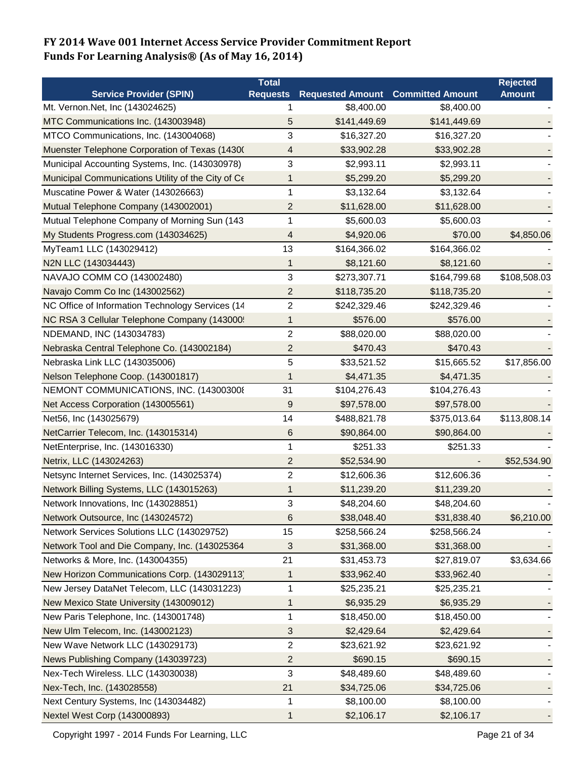|                                                    | <b>Total</b>            |                                          |              | <b>Rejected</b> |
|----------------------------------------------------|-------------------------|------------------------------------------|--------------|-----------------|
| <b>Service Provider (SPIN)</b>                     | <b>Requests</b>         | <b>Requested Amount Committed Amount</b> |              | <b>Amount</b>   |
| Mt. Vernon.Net, Inc (143024625)                    | 1                       | \$8,400.00                               | \$8,400.00   |                 |
| MTC Communications Inc. (143003948)                | 5                       | \$141,449.69                             | \$141,449.69 |                 |
| MTCO Communications, Inc. (143004068)              | 3                       | \$16,327.20                              | \$16,327.20  |                 |
| Muenster Telephone Corporation of Texas (1430)     | 4                       | \$33,902.28                              | \$33,902.28  |                 |
| Municipal Accounting Systems, Inc. (143030978)     | 3                       | \$2,993.11                               | \$2,993.11   |                 |
| Municipal Communications Utility of the City of Ce | 1                       | \$5,299.20                               | \$5,299.20   |                 |
| Muscatine Power & Water (143026663)                | 1                       | \$3,132.64                               | \$3,132.64   |                 |
| Mutual Telephone Company (143002001)               | 2                       | \$11,628.00                              | \$11,628.00  |                 |
| Mutual Telephone Company of Morning Sun (143       | 1                       | \$5,600.03                               | \$5,600.03   |                 |
| My Students Progress.com (143034625)               | 4                       | \$4,920.06                               | \$70.00      | \$4,850.06      |
| MyTeam1 LLC (143029412)                            | 13                      | \$164,366.02                             | \$164,366.02 |                 |
| N2N LLC (143034443)                                | 1                       | \$8,121.60                               | \$8,121.60   |                 |
| NAVAJO COMM CO (143002480)                         | 3                       | \$273,307.71                             | \$164,799.68 | \$108,508.03    |
| Navajo Comm Co Inc (143002562)                     | 2                       | \$118,735.20                             | \$118,735.20 |                 |
| NC Office of Information Technology Services (14   | $\overline{\mathbf{c}}$ | \$242,329.46                             | \$242,329.46 |                 |
| NC RSA 3 Cellular Telephone Company (143000:       | 1                       | \$576.00                                 | \$576.00     |                 |
| NDEMAND, INC (143034783)                           | $\overline{2}$          | \$88,020.00                              | \$88,020.00  |                 |
| Nebraska Central Telephone Co. (143002184)         | 2                       | \$470.43                                 | \$470.43     |                 |
| Nebraska Link LLC (143035006)                      | 5                       | \$33,521.52                              | \$15,665.52  | \$17,856.00     |
| Nelson Telephone Coop. (143001817)                 | 1                       | \$4,471.35                               | \$4,471.35   |                 |
| NEMONT COMMUNICATIONS, INC. (143003008             | 31                      | \$104,276.43                             | \$104,276.43 |                 |
| Net Access Corporation (143005561)                 | 9                       | \$97,578.00                              | \$97,578.00  |                 |
| Net56, Inc (143025679)                             | 14                      | \$488,821.78                             | \$375,013.64 | \$113,808.14    |
| NetCarrier Telecom, Inc. (143015314)               | 6                       | \$90,864.00                              | \$90,864.00  |                 |
| NetEnterprise, Inc. (143016330)                    | 1                       | \$251.33                                 | \$251.33     |                 |
| Netrix, LLC (143024263)                            | $\overline{2}$          | \$52,534.90                              |              | \$52,534.90     |
| Netsync Internet Services, Inc. (143025374)        | $\overline{\mathbf{c}}$ | \$12,606.36                              | \$12,606.36  |                 |
| Network Billing Systems, LLC (143015263)           | 1                       | \$11,239.20                              | \$11,239.20  |                 |
| Network Innovations, Inc (143028851)               | 3                       | \$48,204.60                              | \$48,204.60  |                 |
| Network Outsource, Inc (143024572)                 | 6                       | \$38,048.40                              | \$31,838.40  | \$6,210.00      |
| Network Services Solutions LLC (143029752)         | 15                      | \$258,566.24                             | \$258,566.24 |                 |
| Network Tool and Die Company, Inc. (143025364      | 3                       | \$31,368.00                              | \$31,368.00  |                 |
| Networks & More, Inc. (143004355)                  | 21                      | \$31,453.73                              | \$27,819.07  | \$3,634.66      |
| New Horizon Communications Corp. (143029113)       | 1                       | \$33,962.40                              | \$33,962.40  |                 |
| New Jersey DataNet Telecom, LLC (143031223)        | 1                       | \$25,235.21                              | \$25,235.21  |                 |
| New Mexico State University (143009012)            | 1                       | \$6,935.29                               | \$6,935.29   |                 |
| New Paris Telephone, Inc. (143001748)              | 1                       | \$18,450.00                              | \$18,450.00  |                 |
| New Ulm Telecom, Inc. (143002123)                  | 3                       | \$2,429.64                               | \$2,429.64   |                 |
| New Wave Network LLC (143029173)                   | $\overline{c}$          | \$23,621.92                              | \$23,621.92  |                 |
| News Publishing Company (143039723)                | 2                       | \$690.15                                 | \$690.15     |                 |
| Nex-Tech Wireless. LLC (143030038)                 | 3                       | \$48,489.60                              | \$48,489.60  |                 |
| Nex-Tech, Inc. (143028558)                         | 21                      | \$34,725.06                              | \$34,725.06  |                 |
| Next Century Systems, Inc (143034482)              | 1                       | \$8,100.00                               | \$8,100.00   |                 |
| Nextel West Corp (143000893)                       |                         |                                          | \$2,106.17   |                 |
|                                                    | 1                       | \$2,106.17                               |              |                 |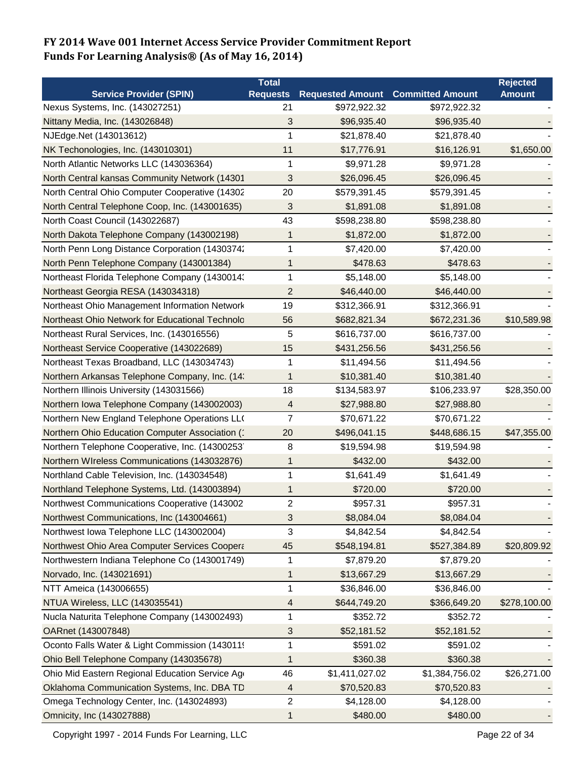|                                                 | <b>Total</b>    |                         |                         | <b>Rejected</b> |
|-------------------------------------------------|-----------------|-------------------------|-------------------------|-----------------|
| <b>Service Provider (SPIN)</b>                  | <b>Requests</b> | <b>Requested Amount</b> | <b>Committed Amount</b> | <b>Amount</b>   |
| Nexus Systems, Inc. (143027251)                 | 21              | \$972,922.32            | \$972,922.32            |                 |
| Nittany Media, Inc. (143026848)                 | 3               | \$96,935.40             | \$96,935.40             |                 |
| NJEdge.Net (143013612)                          | 1               | \$21,878.40             | \$21,878.40             |                 |
| NK Techonologies, Inc. (143010301)              | 11              | \$17,776.91             | \$16,126.91             | \$1,650.00      |
| North Atlantic Networks LLC (143036364)         | 1               | \$9,971.28              | \$9,971.28              |                 |
| North Central kansas Community Network (14301   | 3               | \$26,096.45             | \$26,096.45             |                 |
| North Central Ohio Computer Cooperative (14302  | 20              | \$579,391.45            | \$579,391.45            |                 |
| North Central Telephone Coop, Inc. (143001635)  | 3               | \$1,891.08              | \$1,891.08              |                 |
| North Coast Council (143022687)                 | 43              | \$598,238.80            | \$598,238.80            |                 |
| North Dakota Telephone Company (143002198)      | 1               | \$1,872.00              | \$1,872.00              |                 |
| North Penn Long Distance Corporation (14303742  | 1               | \$7,420.00              | \$7,420.00              |                 |
| North Penn Telephone Company (143001384)        | 1               | \$478.63                | \$478.63                |                 |
| Northeast Florida Telephone Company (1430014:   | 1               | \$5,148.00              | \$5,148.00              |                 |
| Northeast Georgia RESA (143034318)              | $\overline{c}$  | \$46,440.00             | \$46,440.00             |                 |
| Northeast Ohio Management Information Network   | 19              | \$312,366.91            | \$312,366.91            |                 |
| Northeast Ohio Network for Educational Technolo | 56              | \$682,821.34            | \$672,231.36            | \$10,589.98     |
| Northeast Rural Services, Inc. (143016556)      | 5               | \$616,737.00            | \$616,737.00            |                 |
| Northeast Service Cooperative (143022689)       | 15              | \$431,256.56            | \$431,256.56            |                 |
| Northeast Texas Broadband, LLC (143034743)      | 1               | \$11,494.56             | \$11,494.56             |                 |
| Northern Arkansas Telephone Company, Inc. (14:  | 1               | \$10,381.40             | \$10,381.40             |                 |
| Northern Illinois University (143031566)        | 18              | \$134,583.97            | \$106,233.97            | \$28,350.00     |
| Northern Iowa Telephone Company (143002003)     | 4               | \$27,988.80             | \$27,988.80             |                 |
| Northern New England Telephone Operations LL(   | 7               | \$70,671.22             | \$70,671.22             |                 |
| Northern Ohio Education Computer Association (  | 20              | \$496,041.15            | \$448,686.15            | \$47,355.00     |
| Northern Telephone Cooperative, Inc. (14300253) | 8               | \$19,594.98             | \$19,594.98             |                 |
| Northern WIreless Communications (143032876)    | 1               | \$432.00                | \$432.00                |                 |
| Northland Cable Television, Inc. (143034548)    | 1               | \$1,641.49              | \$1,641.49              |                 |
| Northland Telephone Systems, Ltd. (143003894)   | 1               | \$720.00                | \$720.00                |                 |
| Northwest Communications Cooperative (143002    | 2               | \$957.31                | \$957.31                |                 |
| Northwest Communications, Inc (143004661)       | 3               | \$8,084.04              | \$8,084.04              |                 |
| Northwest Iowa Telephone LLC (143002004)        | 3               | \$4,842.54              | \$4,842.54              |                 |
| Northwest Ohio Area Computer Services Coopera   | 45              | \$548,194.81            | \$527,384.89            | \$20,809.92     |
| Northwestern Indiana Telephone Co (143001749)   | 1               | \$7,879.20              | \$7,879.20              |                 |
| Norvado, Inc. (143021691)                       | 1               | \$13,667.29             | \$13,667.29             |                 |
| NTT Ameica (143006655)                          | $\mathbf{1}$    | \$36,846.00             | \$36,846.00             |                 |
| NTUA Wireless, LLC (143035541)                  | 4               | \$644,749.20            | \$366,649.20            | \$278,100.00    |
| Nucla Naturita Telephone Company (143002493)    | 1               | \$352.72                | \$352.72                |                 |
| OARnet (143007848)                              | 3               | \$52,181.52             | \$52,181.52             |                 |
| Oconto Falls Water & Light Commission (143011!  | 1               | \$591.02                | \$591.02                |                 |
| Ohio Bell Telephone Company (143035678)         | 1               | \$360.38                | \$360.38                |                 |
| Ohio Mid Eastern Regional Education Service Age | 46              | \$1,411,027.02          | \$1,384,756.02          | \$26,271.00     |
| Oklahoma Communication Systems, Inc. DBA TD     | 4               | \$70,520.83             | \$70,520.83             |                 |
| Omega Technology Center, Inc. (143024893)       | 2               | \$4,128.00              | \$4,128.00              |                 |
| Omnicity, Inc (143027888)                       | 1               | \$480.00                | \$480.00                |                 |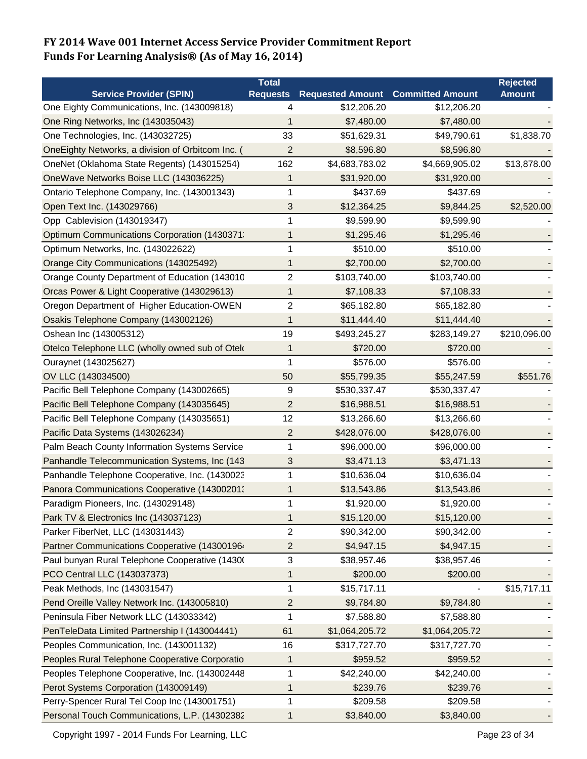|                                                   | <b>Total</b>     |                         |                         | <b>Rejected</b> |
|---------------------------------------------------|------------------|-------------------------|-------------------------|-----------------|
| <b>Service Provider (SPIN)</b>                    | <b>Requests</b>  | <b>Requested Amount</b> | <b>Committed Amount</b> | <b>Amount</b>   |
| One Eighty Communications, Inc. (143009818)       | 4                | \$12,206.20             | \$12,206.20             |                 |
| One Ring Networks, Inc (143035043)                | 1                | \$7,480.00              | \$7,480.00              |                 |
| One Technologies, Inc. (143032725)                | 33               | \$51,629.31             | \$49,790.61             | \$1,838.70      |
| OneEighty Networks, a division of Orbitcom Inc. ( | $\overline{2}$   | \$8,596.80              | \$8,596.80              |                 |
| OneNet (Oklahoma State Regents) (143015254)       | 162              | \$4,683,783.02          | \$4,669,905.02          | \$13,878.00     |
| OneWave Networks Boise LLC (143036225)            | 1                | \$31,920.00             | \$31,920.00             |                 |
| Ontario Telephone Company, Inc. (143001343)       | 1                | \$437.69                | \$437.69                |                 |
| Open Text Inc. (143029766)                        | 3                | \$12,364.25             | \$9,844.25              | \$2,520.00      |
| Opp Cablevision (143019347)                       | 1                | \$9,599.90              | \$9,599.90              |                 |
| Optimum Communications Corporation (1430371:      | 1                | \$1,295.46              | \$1,295.46              |                 |
| Optimum Networks, Inc. (143022622)                | 1                | \$510.00                | \$510.00                |                 |
| Orange City Communications (143025492)            | 1                | \$2,700.00              | \$2,700.00              |                 |
| Orange County Department of Education (143010     | $\overline{2}$   | \$103,740.00            | \$103,740.00            |                 |
| Orcas Power & Light Cooperative (143029613)       | 1                | \$7,108.33              | \$7,108.33              |                 |
| Oregon Department of Higher Education-OWEN        | $\overline{2}$   | \$65,182.80             | \$65,182.80             |                 |
| Osakis Telephone Company (143002126)              | 1                | \$11,444.40             | \$11,444.40             |                 |
| Oshean Inc (143005312)                            | 19               | \$493,245.27            | \$283,149.27            | \$210,096.00    |
| Otelco Telephone LLC (wholly owned sub of Otek    | 1                | \$720.00                | \$720.00                |                 |
| Ouraynet (143025627)                              | 1                | \$576.00                | \$576.00                |                 |
| OV LLC (143034500)                                | 50               | \$55,799.35             | \$55,247.59             | \$551.76        |
| Pacific Bell Telephone Company (143002665)        | 9                | \$530,337.47            | \$530,337.47            |                 |
| Pacific Bell Telephone Company (143035645)        | 2                | \$16,988.51             | \$16,988.51             |                 |
| Pacific Bell Telephone Company (143035651)        | 12               | \$13,266.60             | \$13,266.60             |                 |
| Pacific Data Systems (143026234)                  | $\overline{c}$   | \$428,076.00            | \$428,076.00            |                 |
| Palm Beach County Information Systems Service     | 1                | \$96,000.00             | \$96,000.00             |                 |
| Panhandle Telecommunication Systems, Inc (143     | 3                | \$3,471.13              | \$3,471.13              |                 |
| Panhandle Telephone Cooperative, Inc. (1430023    | 1                | \$10,636.04             | \$10,636.04             |                 |
| Panora Communications Cooperative (143002013      | 1                | \$13,543.86             | \$13,543.86             |                 |
| Paradigm Pioneers, Inc. (143029148)               | 1                | \$1,920.00              | \$1,920.00              |                 |
| Park TV & Electronics Inc (143037123)             | 1                | \$15,120.00             | \$15,120.00             |                 |
| Parker FiberNet, LLC (143031443)                  | $\boldsymbol{2}$ | \$90,342.00             | \$90,342.00             |                 |
| Partner Communications Cooperative (143001964     | $\overline{c}$   | \$4,947.15              | \$4,947.15              |                 |
| Paul bunyan Rural Telephone Cooperative (1430)    | 3                | \$38,957.46             | \$38,957.46             |                 |
| PCO Central LLC (143037373)                       | 1                | \$200.00                | \$200.00                |                 |
| Peak Methods, Inc (143031547)                     | 1                | \$15,717.11             |                         | \$15,717.11     |
| Pend Oreille Valley Network Inc. (143005810)      | 2                | \$9,784.80              | \$9,784.80              |                 |
| Peninsula Fiber Network LLC (143033342)           | 1                | \$7,588.80              | \$7,588.80              |                 |
| PenTeleData Limited Partnership I (143004441)     | 61               | \$1,064,205.72          | \$1,064,205.72          |                 |
| Peoples Communication, Inc. (143001132)           | 16               | \$317,727.70            | \$317,727.70            |                 |
| Peoples Rural Telephone Cooperative Corporatio    | 1                | \$959.52                | \$959.52                |                 |
| Peoples Telephone Cooperative, Inc. (143002448    | 1                | \$42,240.00             | \$42,240.00             |                 |
| Perot Systems Corporation (143009149)             | 1                | \$239.76                | \$239.76                |                 |
| Perry-Spencer Rural Tel Coop Inc (143001751)      | 1                | \$209.58                | \$209.58                |                 |
| Personal Touch Communications, L.P. (14302382     | 1                | \$3,840.00              | \$3,840.00              |                 |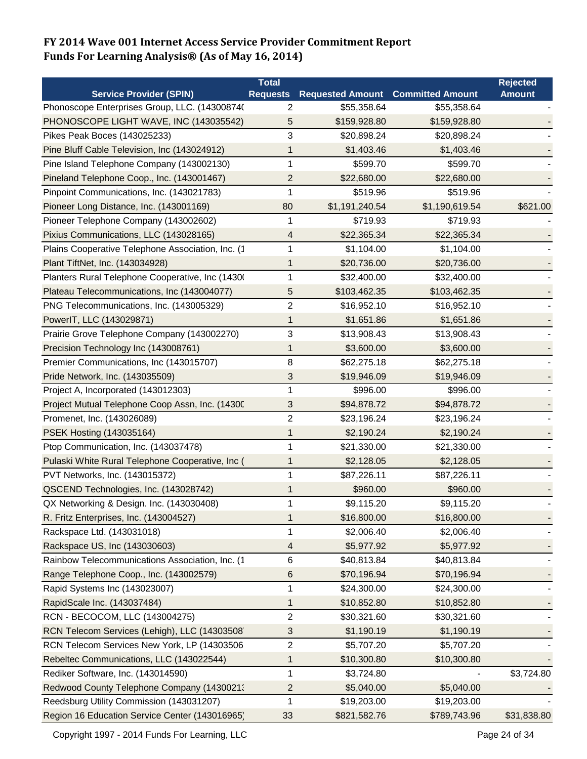|                                                   | <b>Total</b>    |                         |                         | <b>Rejected</b> |
|---------------------------------------------------|-----------------|-------------------------|-------------------------|-----------------|
| <b>Service Provider (SPIN)</b>                    | <b>Requests</b> | <b>Requested Amount</b> | <b>Committed Amount</b> | <b>Amount</b>   |
| Phonoscope Enterprises Group, LLC. (14300874(     | 2               | \$55,358.64             | \$55,358.64             |                 |
| PHONOSCOPE LIGHT WAVE, INC (143035542)            | 5               | \$159,928.80            | \$159,928.80            |                 |
| Pikes Peak Boces (143025233)                      | 3               | \$20,898.24             | \$20,898.24             |                 |
| Pine Bluff Cable Television, Inc (143024912)      | 1               | \$1,403.46              | \$1,403.46              |                 |
| Pine Island Telephone Company (143002130)         | 1               | \$599.70                | \$599.70                |                 |
| Pineland Telephone Coop., Inc. (143001467)        | 2               | \$22,680.00             | \$22,680.00             |                 |
| Pinpoint Communications, Inc. (143021783)         | 1               | \$519.96                | \$519.96                |                 |
| Pioneer Long Distance, Inc. (143001169)           | 80              | \$1,191,240.54          | \$1,190,619.54          | \$621.00        |
| Pioneer Telephone Company (143002602)             | 1               | \$719.93                | \$719.93                |                 |
| Pixius Communications, LLC (143028165)            | 4               | \$22,365.34             | \$22,365.34             |                 |
| Plains Cooperative Telephone Association, Inc. (1 | 1               | \$1,104.00              | \$1,104.00              |                 |
| Plant TiftNet, Inc. (143034928)                   | 1               | \$20,736.00             | \$20,736.00             |                 |
| Planters Rural Telephone Cooperative, Inc (1430)  | 1               | \$32,400.00             | \$32,400.00             |                 |
| Plateau Telecommunications, Inc (143004077)       | 5               | \$103,462.35            | \$103,462.35            |                 |
| PNG Telecommunications, Inc. (143005329)          | 2               | \$16,952.10             | \$16,952.10             |                 |
| PowerIT, LLC (143029871)                          | 1               | \$1,651.86              | \$1,651.86              |                 |
| Prairie Grove Telephone Company (143002270)       | 3               | \$13,908.43             | \$13,908.43             |                 |
| Precision Technology Inc (143008761)              | 1               | \$3,600.00              | \$3,600.00              |                 |
| Premier Communications, Inc (143015707)           | $\,8\,$         | \$62,275.18             | \$62,275.18             |                 |
| Pride Network, Inc. (143035509)                   | 3               | \$19,946.09             | \$19,946.09             |                 |
| Project A, Incorporated (143012303)               | 1               | \$996.00                | \$996.00                |                 |
| Project Mutual Telephone Coop Assn, Inc. (14300   | 3               | \$94,878.72             | \$94,878.72             |                 |
| Promenet, Inc. (143026089)                        | $\overline{c}$  | \$23,196.24             | \$23,196.24             |                 |
| PSEK Hosting (143035164)                          | 1               | \$2,190.24              | \$2,190.24              |                 |
| Ptop Communication, Inc. (143037478)              | 1               | \$21,330.00             | \$21,330.00             |                 |
| Pulaski White Rural Telephone Cooperative, Inc (  | 1               | \$2,128.05              | \$2,128.05              |                 |
| PVT Networks, Inc. (143015372)                    | 1               | \$87,226.11             | \$87,226.11             |                 |
| QSCEND Technologies, Inc. (143028742)             |                 | \$960.00                | \$960.00                |                 |
| QX Networking & Design. Inc. (143030408)          | 1               | \$9,115.20              | \$9,115.20              |                 |
| R. Fritz Enterprises, Inc. (143004527)            | 1               | \$16,800.00             | \$16,800.00             |                 |
| Rackspace Ltd. (143031018)                        | 1               | \$2,006.40              | \$2,006.40              |                 |
| Rackspace US, Inc (143030603)                     | 4               | \$5,977.92              | \$5,977.92              |                 |
| Rainbow Telecommunications Association, Inc. (1   | 6               | \$40,813.84             | \$40,813.84             |                 |
| Range Telephone Coop., Inc. (143002579)           | 6               | \$70,196.94             | \$70,196.94             |                 |
| Rapid Systems Inc (143023007)                     | 1               | \$24,300.00             | \$24,300.00             |                 |
| RapidScale Inc. (143037484)                       | 1               | \$10,852.80             | \$10,852.80             |                 |
| RCN - BECOCOM, LLC (143004275)                    | $\overline{c}$  | \$30,321.60             | \$30,321.60             |                 |
| RCN Telecom Services (Lehigh), LLC (14303508)     | 3               | \$1,190.19              | \$1,190.19              |                 |
| RCN Telecom Services New York, LP (14303506       | 2               | \$5,707.20              | \$5,707.20              |                 |
| Rebeltec Communications, LLC (143022544)          | 1               | \$10,300.80             | \$10,300.80             |                 |
| Rediker Software, Inc. (143014590)                | 1               | \$3,724.80              |                         | \$3,724.80      |
| Redwood County Telephone Company (1430021)        | 2               | \$5,040.00              | \$5,040.00              |                 |
| Reedsburg Utility Commission (143031207)          | 1               | \$19,203.00             | \$19,203.00             |                 |
| Region 16 Education Service Center (143016965)    | 33              | \$821,582.76            | \$789,743.96            | \$31,838.80     |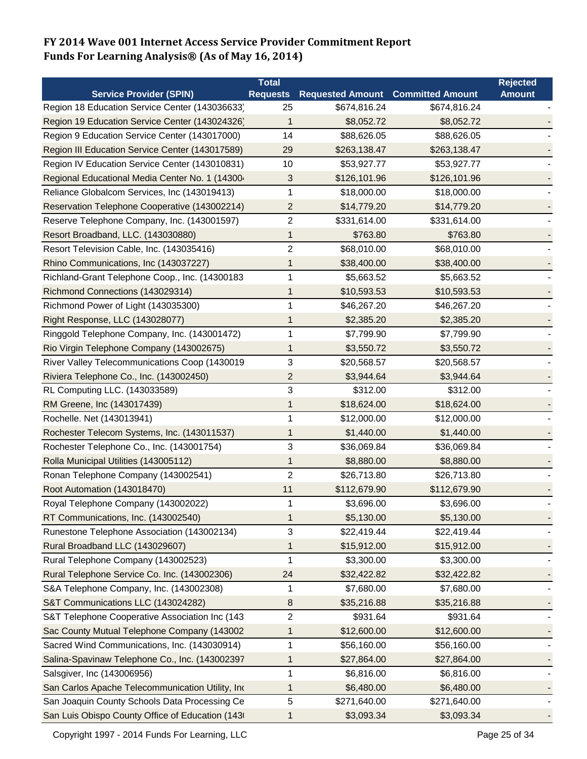|                                                  | Total                   |                         |                         | <b>Rejected</b> |
|--------------------------------------------------|-------------------------|-------------------------|-------------------------|-----------------|
| <b>Service Provider (SPIN)</b>                   | <b>Requests</b>         | <b>Requested Amount</b> | <b>Committed Amount</b> | <b>Amount</b>   |
| Region 18 Education Service Center (143036633)   | 25                      | \$674,816.24            | \$674,816.24            |                 |
| Region 19 Education Service Center (143024326)   | 1                       | \$8,052.72              | \$8,052.72              |                 |
| Region 9 Education Service Center (143017000)    | 14                      | \$88,626.05             | \$88,626.05             |                 |
| Region III Education Service Center (143017589)  | 29                      | \$263,138.47            | \$263,138.47            |                 |
| Region IV Education Service Center (143010831)   | 10                      | \$53,927.77             | \$53,927.77             |                 |
| Regional Educational Media Center No. 1 (14300-  | 3                       | \$126,101.96            | \$126,101.96            |                 |
| Reliance Globalcom Services, Inc (143019413)     | 1                       | \$18,000.00             | \$18,000.00             |                 |
| Reservation Telephone Cooperative (143002214)    | $\overline{c}$          | \$14,779.20             | \$14,779.20             |                 |
| Reserve Telephone Company, Inc. (143001597)      | 2                       | \$331,614.00            | \$331,614.00            |                 |
| Resort Broadband, LLC. (143030880)               | 1                       | \$763.80                | \$763.80                |                 |
| Resort Television Cable, Inc. (143035416)        | $\overline{c}$          | \$68,010.00             | \$68,010.00             |                 |
| Rhino Communications, Inc (143037227)            | 1                       | \$38,400.00             | \$38,400.00             |                 |
| Richland-Grant Telephone Coop., Inc. (14300183   | 1                       | \$5,663.52              | \$5,663.52              |                 |
| Richmond Connections (143029314)                 | 1                       | \$10,593.53             | \$10,593.53             |                 |
| Richmond Power of Light (143035300)              | 1                       | \$46,267.20             | \$46,267.20             |                 |
| Right Response, LLC (143028077)                  | 1                       | \$2,385.20              | \$2,385.20              |                 |
| Ringgold Telephone Company, Inc. (143001472)     | 1                       | \$7,799.90              | \$7,799.90              |                 |
| Rio Virgin Telephone Company (143002675)         | 1                       | \$3,550.72              | \$3,550.72              |                 |
| River Valley Telecommunications Coop (1430019    | 3                       | \$20,568.57             | \$20,568.57             |                 |
| Riviera Telephone Co., Inc. (143002450)          | $\overline{\mathbf{c}}$ | \$3,944.64              | \$3,944.64              |                 |
| RL Computing LLC. (143033589)                    | 3                       | \$312.00                | \$312.00                |                 |
| RM Greene, Inc (143017439)                       | 1                       | \$18,624.00             | \$18,624.00             |                 |
| Rochelle. Net (143013941)                        | 1                       | \$12,000.00             | \$12,000.00             |                 |
| Rochester Telecom Systems, Inc. (143011537)      | 1                       | \$1,440.00              | \$1,440.00              |                 |
| Rochester Telephone Co., Inc. (143001754)        | 3                       | \$36,069.84             | \$36,069.84             |                 |
| Rolla Municipal Utilities (143005112)            | 1                       | \$8,880.00              | \$8,880.00              |                 |
| Ronan Telephone Company (143002541)              | $\overline{c}$          | \$26,713.80             | \$26,713.80             |                 |
| Root Automation (143018470)                      | 11                      | \$112,679.90            | \$112,679.90            |                 |
| Royal Telephone Company (143002022)              | 1                       | \$3,696.00              | \$3,696.00              |                 |
| RT Communications, Inc. (143002540)              | 1                       | \$5,130.00              | \$5,130.00              |                 |
| Runestone Telephone Association (143002134)      | 3                       | \$22,419.44             | \$22,419.44             |                 |
| Rural Broadband LLC (143029607)                  | 1                       | \$15,912.00             | \$15,912.00             |                 |
| Rural Telephone Company (143002523)              | 1                       | \$3,300.00              | \$3,300.00              |                 |
| Rural Telephone Service Co. Inc. (143002306)     | 24                      | \$32,422.82             | \$32,422.82             |                 |
| S&A Telephone Company, Inc. (143002308)          | 1                       | \$7,680.00              | \$7,680.00              |                 |
| S&T Communications LLC (143024282)               | 8                       | \$35,216.88             | \$35,216.88             |                 |
| S&T Telephone Cooperative Association Inc (143   | $\overline{c}$          | \$931.64                | \$931.64                |                 |
| Sac County Mutual Telephone Company (143002      | 1                       | \$12,600.00             | \$12,600.00             |                 |
| Sacred Wind Communications, Inc. (143030914)     | 1                       | \$56,160.00             | \$56,160.00             |                 |
| Salina-Spavinaw Telephone Co., Inc. (143002397   | 1                       | \$27,864.00             | \$27,864.00             |                 |
| Salsgiver, Inc (143006956)                       | 1                       | \$6,816.00              | \$6,816.00              |                 |
| San Carlos Apache Telecommunication Utility, Ind | 1                       | \$6,480.00              | \$6,480.00              |                 |
| San Joaquin County Schools Data Processing Ce    | 5                       | \$271,640.00            | \$271,640.00            |                 |
| San Luis Obispo County Office of Education (143) | 1                       | \$3,093.34              | \$3,093.34              |                 |

Copyright 1997 - 2014 Funds For Learning, LLC Companies and Controller and Page 25 of 34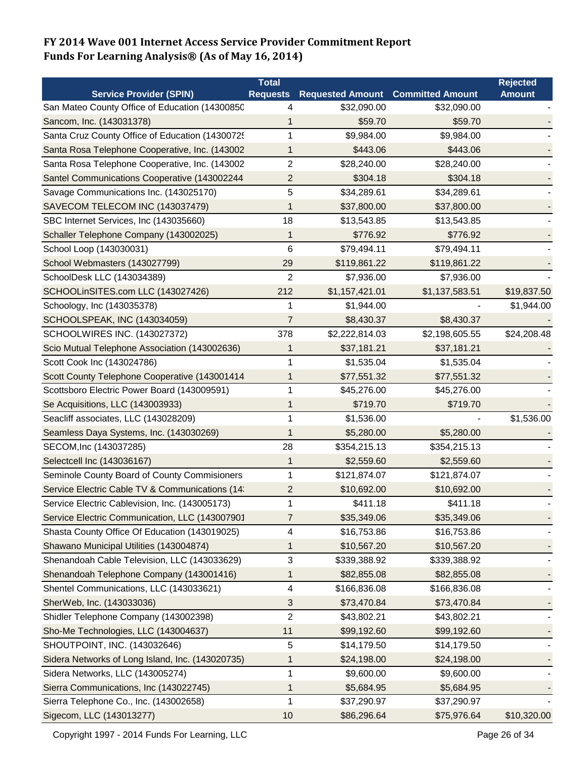|                                                  | <b>Total</b>            |                                          |                | <b>Rejected</b> |
|--------------------------------------------------|-------------------------|------------------------------------------|----------------|-----------------|
| <b>Service Provider (SPIN)</b>                   | <b>Requests</b>         | <b>Requested Amount Committed Amount</b> |                | <b>Amount</b>   |
| San Mateo County Office of Education (14300850   | 4                       | \$32,090.00                              | \$32,090.00    |                 |
| Sancom, Inc. (143031378)                         |                         | \$59.70                                  | \$59.70        |                 |
| Santa Cruz County Office of Education (1430072!  | 1                       | \$9,984.00                               | \$9,984.00     |                 |
| Santa Rosa Telephone Cooperative, Inc. (143002   | 1                       | \$443.06                                 | \$443.06       |                 |
| Santa Rosa Telephone Cooperative, Inc. (143002   | 2                       | \$28,240.00                              | \$28,240.00    |                 |
| Santel Communications Cooperative (143002244     | 2                       | \$304.18                                 | \$304.18       |                 |
| Savage Communications Inc. (143025170)           | 5                       | \$34,289.61                              | \$34,289.61    |                 |
| SAVECOM TELECOM INC (143037479)                  | 1                       | \$37,800.00                              | \$37,800.00    |                 |
| SBC Internet Services, Inc (143035660)           | 18                      | \$13,543.85                              | \$13,543.85    |                 |
| Schaller Telephone Company (143002025)           | 1                       | \$776.92                                 | \$776.92       |                 |
| School Loop (143030031)                          | 6                       | \$79,494.11                              | \$79,494.11    |                 |
| School Webmasters (143027799)                    | 29                      | \$119,861.22                             | \$119,861.22   |                 |
| SchoolDesk LLC (143034389)                       | $\overline{2}$          | \$7,936.00                               | \$7,936.00     |                 |
| SCHOOLinSITES.com LLC (143027426)                | 212                     | \$1,157,421.01                           | \$1,137,583.51 | \$19,837.50     |
| Schoology, Inc (143035378)                       | 1                       | \$1,944.00                               |                | \$1,944.00      |
| <b>SCHOOLSPEAK, INC (143034059)</b>              | 7                       | \$8,430.37                               | \$8,430.37     |                 |
| SCHOOLWIRES INC. (143027372)                     | 378                     | \$2,222,814.03                           | \$2,198,605.55 | \$24,208.48     |
| Scio Mutual Telephone Association (143002636)    | 1                       | \$37,181.21                              | \$37,181.21    |                 |
| Scott Cook Inc (143024786)                       | 1                       | \$1,535.04                               | \$1,535.04     |                 |
| Scott County Telephone Cooperative (143001414    | 1                       | \$77,551.32                              | \$77,551.32    |                 |
| Scottsboro Electric Power Board (143009591)      | 1                       | \$45,276.00                              | \$45,276.00    |                 |
| Se Acquisitions, LLC (143003933)                 | 1                       | \$719.70                                 | \$719.70       |                 |
| Seacliff associates, LLC (143028209)             | 1                       | \$1,536.00                               |                | \$1,536.00      |
| Seamless Daya Systems, Inc. (143030269)          | 1                       | \$5,280.00                               | \$5,280.00     |                 |
| SECOM, Inc (143037285)                           | 28                      | \$354,215.13                             | \$354,215.13   |                 |
| Selectcell Inc (143036167)                       | 1                       | \$2,559.60                               | \$2,559.60     |                 |
| Seminole County Board of County Commisioners     | 1                       | \$121,874.07                             | \$121,874.07   |                 |
| Service Electric Cable TV & Communications (14   | $\overline{\mathbf{c}}$ | \$10,692.00                              | \$10,692.00    |                 |
| Service Electric Cablevision, Inc. (143005173)   | 1                       | \$411.18                                 | \$411.18       |                 |
| Service Electric Communication, LLC (143007901   | 7                       | \$35,349.06                              | \$35,349.06    |                 |
| Shasta County Office Of Education (143019025)    | 4                       | \$16,753.86                              | \$16,753.86    |                 |
| Shawano Municipal Utilities (143004874)          | 1                       | \$10,567.20                              | \$10,567.20    |                 |
| Shenandoah Cable Television, LLC (143033629)     | 3                       | \$339,388.92                             | \$339,388.92   |                 |
| Shenandoah Telephone Company (143001416)         | 1                       | \$82,855.08                              | \$82,855.08    |                 |
| Shentel Communications, LLC (143033621)          | 4                       | \$166,836.08                             | \$166,836.08   |                 |
| SherWeb, Inc. (143033036)                        | 3                       | \$73,470.84                              | \$73,470.84    |                 |
| Shidler Telephone Company (143002398)            | $\overline{2}$          | \$43,802.21                              | \$43,802.21    |                 |
| Sho-Me Technologies, LLC (143004637)             | 11                      | \$99,192.60                              | \$99,192.60    |                 |
| SHOUTPOINT, INC. (143032646)                     | 5                       | \$14,179.50                              | \$14,179.50    |                 |
| Sidera Networks of Long Island, Inc. (143020735) | 1                       | \$24,198.00                              | \$24,198.00    |                 |
| Sidera Networks, LLC (143005274)                 | 1                       | \$9,600.00                               | \$9,600.00     |                 |
| Sierra Communications, Inc (143022745)           | 1                       | \$5,684.95                               | \$5,684.95     |                 |
| Sierra Telephone Co., Inc. (143002658)           | 1                       | \$37,290.97                              | \$37,290.97    |                 |
| Sigecom, LLC (143013277)                         | 10                      | \$86,296.64                              | \$75,976.64    | \$10,320.00     |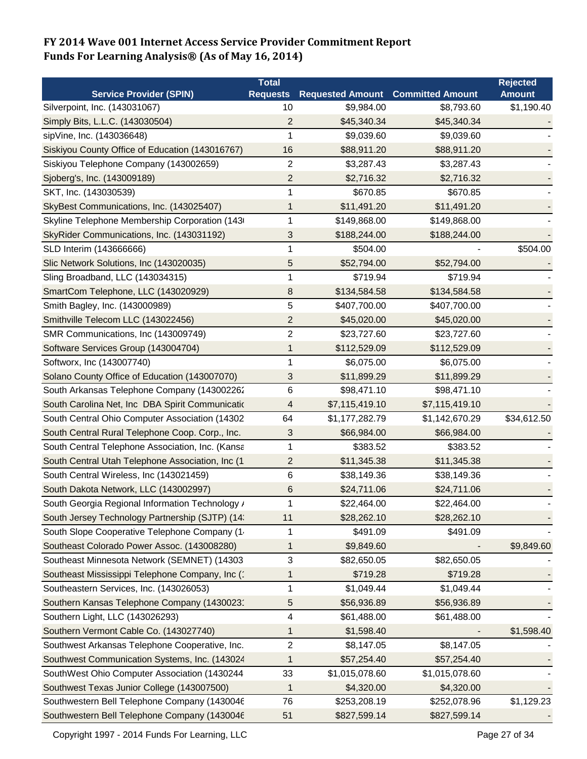|                                                  | <b>Total</b>             |                         |                         | <b>Rejected</b> |
|--------------------------------------------------|--------------------------|-------------------------|-------------------------|-----------------|
| <b>Service Provider (SPIN)</b>                   | <b>Requests</b>          | <b>Requested Amount</b> | <b>Committed Amount</b> | <b>Amount</b>   |
| Silverpoint, Inc. (143031067)                    | 10                       | \$9,984.00              | \$8,793.60              | \$1,190.40      |
| Simply Bits, L.L.C. (143030504)                  | $\overline{2}$           | \$45,340.34             | \$45,340.34             |                 |
| sipVine, Inc. (143036648)                        | 1                        | \$9,039.60              | \$9,039.60              |                 |
| Siskiyou County Office of Education (143016767)  | 16                       | \$88,911.20             | \$88,911.20             |                 |
| Siskiyou Telephone Company (143002659)           | 2                        | \$3,287.43              | \$3,287.43              |                 |
| Sjoberg's, Inc. (143009189)                      | $\overline{c}$           | \$2,716.32              | \$2,716.32              |                 |
| SKT, Inc. (143030539)                            | 1                        | \$670.85                | \$670.85                |                 |
| SkyBest Communications, Inc. (143025407)         | 1                        | \$11,491.20             | \$11,491.20             |                 |
| Skyline Telephone Membership Corporation (143    | 1                        | \$149,868.00            | \$149,868.00            |                 |
| SkyRider Communications, Inc. (143031192)        | 3                        | \$188,244.00            | \$188,244.00            |                 |
| SLD Interim (143666666)                          | 1                        | \$504.00                |                         | \$504.00        |
| Slic Network Solutions, Inc (143020035)          | 5                        | \$52,794.00             | \$52,794.00             |                 |
| Sling Broadband, LLC (143034315)                 | 1                        | \$719.94                | \$719.94                |                 |
| SmartCom Telephone, LLC (143020929)              | 8                        | \$134,584.58            | \$134,584.58            |                 |
| Smith Bagley, Inc. (143000989)                   | 5                        | \$407,700.00            | \$407,700.00            |                 |
| Smithville Telecom LLC (143022456)               | $\overline{c}$           | \$45,020.00             | \$45,020.00             |                 |
| SMR Communications, Inc (143009749)              | $\overline{c}$           | \$23,727.60             | \$23,727.60             |                 |
| Software Services Group (143004704)              | 1                        | \$112,529.09            | \$112,529.09            |                 |
| Softworx, Inc (143007740)                        | 1                        | \$6,075.00              | \$6,075.00              |                 |
| Solano County Office of Education (143007070)    | 3                        | \$11,899.29             | \$11,899.29             |                 |
| South Arkansas Telephone Company (143002262      | $\,6\,$                  | \$98,471.10             | \$98,471.10             |                 |
| South Carolina Net, Inc DBA Spirit Communicatio  | $\overline{\mathcal{A}}$ | \$7,115,419.10          | \$7,115,419.10          |                 |
| South Central Ohio Computer Association (14302   | 64                       | \$1,177,282.79          | \$1,142,670.29          | \$34,612.50     |
| South Central Rural Telephone Coop. Corp., Inc.  | 3                        | \$66,984.00             | \$66,984.00             |                 |
| South Central Telephone Association, Inc. (Kansa | 1                        | \$383.52                | \$383.52                |                 |
| South Central Utah Telephone Association, Inc (1 | $\overline{c}$           | \$11,345.38             | \$11,345.38             |                 |
| South Central Wireless, Inc (143021459)          | 6                        | \$38,149.36             | \$38,149.36             |                 |
| South Dakota Network, LLC (143002997)            | 6                        | \$24,711.06             | \$24,711.06             |                 |
| South Georgia Regional Information Technology /  | 1                        | \$22,464.00             | \$22,464.00             |                 |
| South Jersey Technology Partnership (SJTP) (14   | 11                       | \$28,262.10             | \$28,262.10             |                 |
| South Slope Cooperative Telephone Company (1     | 1                        | \$491.09                | \$491.09                |                 |
| Southeast Colorado Power Assoc. (143008280)      | 1                        | \$9,849.60              |                         | \$9,849.60      |
| Southeast Minnesota Network (SEMNET) (14303      | 3                        | \$82,650.05             | \$82,650.05             |                 |
| Southeast Mississippi Telephone Company, Inc (1) | 1                        | \$719.28                | \$719.28                |                 |
| Southeastern Services, Inc. (143026053)          | 1                        | \$1,049.44              | \$1,049.44              |                 |
| Southern Kansas Telephone Company (1430023'      | 5                        | \$56,936.89             | \$56,936.89             |                 |
| Southern Light, LLC (143026293)                  | 4                        | \$61,488.00             | \$61,488.00             |                 |
| Southern Vermont Cable Co. (143027740)           | 1                        | \$1,598.40              |                         | \$1,598.40      |
| Southwest Arkansas Telephone Cooperative, Inc.   | $\overline{\mathbf{c}}$  | \$8,147.05              | \$8,147.05              |                 |
| Southwest Communication Systems, Inc. (143024    | 1                        | \$57,254.40             | \$57,254.40             |                 |
| SouthWest Ohio Computer Association (1430244     | 33                       | \$1,015,078.60          | \$1,015,078.60          |                 |
| Southwest Texas Junior College (143007500)       | 1                        | \$4,320.00              | \$4,320.00              |                 |
| Southwestern Bell Telephone Company (1430046     | 76                       | \$253,208.19            | \$252,078.96            | \$1,129.23      |
| Southwestern Bell Telephone Company (1430046     | 51                       | \$827,599.14            | \$827,599.14            |                 |

Copyright 1997 - 2014 Funds For Learning, LLC Companies and Controller and Page 27 of 34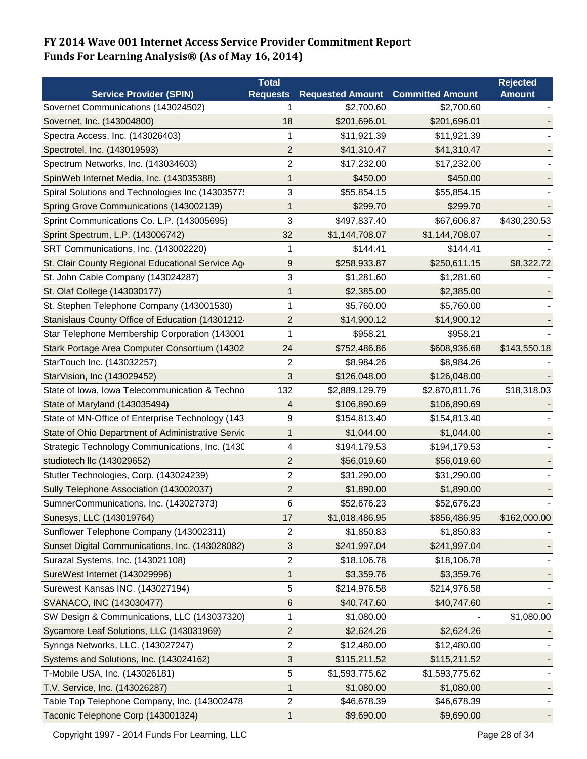|                                                   | <b>Total</b>            |                         |                         | <b>Rejected</b> |
|---------------------------------------------------|-------------------------|-------------------------|-------------------------|-----------------|
| <b>Service Provider (SPIN)</b>                    | <b>Requests</b>         | <b>Requested Amount</b> | <b>Committed Amount</b> | <b>Amount</b>   |
| Sovernet Communications (143024502)               | 1                       | \$2,700.60              | \$2,700.60              |                 |
| Sovernet, Inc. (143004800)                        | 18                      | \$201,696.01            | \$201,696.01            |                 |
| Spectra Access, Inc. (143026403)                  | 1                       | \$11,921.39             | \$11,921.39             |                 |
| Spectrotel, Inc. (143019593)                      | $\overline{2}$          | \$41,310.47             | \$41,310.47             |                 |
| Spectrum Networks, Inc. (143034603)               | $\overline{2}$          | \$17,232.00             | \$17,232.00             |                 |
| SpinWeb Internet Media, Inc. (143035388)          | 1                       | \$450.00                | \$450.00                |                 |
| Spiral Solutions and Technologies Inc (14303577!  | 3                       | \$55,854.15             | \$55,854.15             |                 |
| Spring Grove Communications (143002139)           | 1                       | \$299.70                | \$299.70                |                 |
| Sprint Communications Co. L.P. (143005695)        | 3                       | \$497,837.40            | \$67,606.87             | \$430,230.53    |
| Sprint Spectrum, L.P. (143006742)                 | 32                      | \$1,144,708.07          | \$1,144,708.07          |                 |
| SRT Communications, Inc. (143002220)              | 1                       | \$144.41                | \$144.41                |                 |
| St. Clair County Regional Educational Service Ag  | $9\,$                   | \$258,933.87            | \$250,611.15            | \$8,322.72      |
| St. John Cable Company (143024287)                | 3                       | \$1,281.60              | \$1,281.60              |                 |
| St. Olaf College (143030177)                      | 1                       | \$2,385.00              | \$2,385.00              |                 |
| St. Stephen Telephone Company (143001530)         | 1                       | \$5,760.00              | \$5,760.00              |                 |
| Stanislaus County Office of Education (14301212   | 2                       | \$14,900.12             | \$14,900.12             |                 |
| Star Telephone Membership Corporation (143001     | 1                       | \$958.21                | \$958.21                |                 |
| Stark Portage Area Computer Consortium (14302     | 24                      | \$752,486.86            | \$608,936.68            | \$143,550.18    |
| StarTouch Inc. (143032257)                        | $\overline{c}$          | \$8,984.26              | \$8,984.26              |                 |
| StarVision, Inc (143029452)                       | 3                       | \$126,048.00            | \$126,048.00            |                 |
| State of Iowa, Iowa Telecommunication & Techno    | 132                     | \$2,889,129.79          | \$2,870,811.76          | \$18,318.03     |
| State of Maryland (143035494)                     | 4                       | \$106,890.69            | \$106,890.69            |                 |
| State of MN-Office of Enterprise Technology (143  | 9                       | \$154,813.40            | \$154,813.40            |                 |
| State of Ohio Department of Administrative Servic | $\mathbf{1}$            | \$1,044.00              | \$1,044.00              |                 |
| Strategic Technology Communications, Inc. (1430)  | 4                       | \$194,179.53            | \$194,179.53            |                 |
| studiotech IIc (143029652)                        | $\overline{2}$          | \$56,019.60             | \$56,019.60             |                 |
| Stutler Technologies, Corp. (143024239)           | $\overline{\mathbf{c}}$ | \$31,290.00             | \$31,290.00             |                 |
| Sully Telephone Association (143002037)           | $\overline{c}$          | \$1,890.00              | \$1,890.00              |                 |
| SumnerCommunications, Inc. (143027373)            | 6                       | \$52,676.23             | \$52,676.23             |                 |
| Sunesys, LLC (143019764)                          | 17                      | \$1,018,486.95          | \$856,486.95            | \$162,000.00    |
| Sunflower Telephone Company (143002311)           | $\overline{c}$          | \$1,850.83              | \$1,850.83              |                 |
| Sunset Digital Communications, Inc. (143028082)   | 3                       | \$241,997.04            | \$241,997.04            |                 |
| Surazal Systems, Inc. (143021108)                 | $\overline{c}$          | \$18,106.78             | \$18,106.78             |                 |
| SureWest Internet (143029996)                     | 1                       | \$3,359.76              | \$3,359.76              |                 |
| Surewest Kansas INC. (143027194)                  | 5                       | \$214,976.58            | \$214,976.58            |                 |
| SVANACO, INC (143030477)                          | $\,6$                   | \$40,747.60             | \$40,747.60             |                 |
| SW Design & Communications, LLC (143037320)       | 1                       | \$1,080.00              |                         | \$1,080.00      |
| Sycamore Leaf Solutions, LLC (143031969)          | 2                       | \$2,624.26              | \$2,624.26              |                 |
| Syringa Networks, LLC. (143027247)                | $\overline{c}$          | \$12,480.00             | \$12,480.00             |                 |
| Systems and Solutions, Inc. (143024162)           | 3                       | \$115,211.52            | \$115,211.52            |                 |
| T-Mobile USA, Inc. (143026181)                    | 5                       | \$1,593,775.62          | \$1,593,775.62          |                 |
| T.V. Service, Inc. (143026287)                    | 1                       | \$1,080.00              | \$1,080.00              |                 |
| Table Top Telephone Company, Inc. (143002478      | $\overline{c}$          | \$46,678.39             | \$46,678.39             |                 |
| Taconic Telephone Corp (143001324)                | 1                       | \$9,690.00              | \$9,690.00              |                 |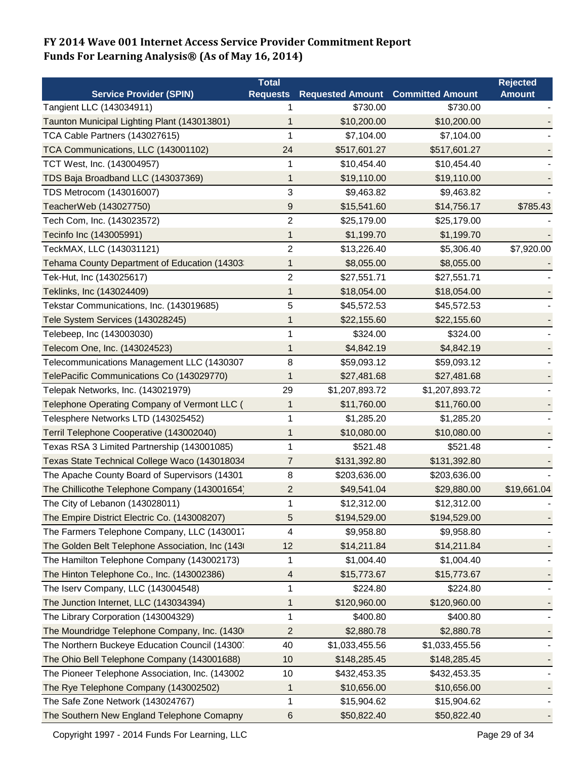|                                                  | <b>Total</b>    |                                          |                | <b>Rejected</b> |
|--------------------------------------------------|-----------------|------------------------------------------|----------------|-----------------|
| <b>Service Provider (SPIN)</b>                   | <b>Requests</b> | <b>Requested Amount Committed Amount</b> |                | <b>Amount</b>   |
| Tangient LLC (143034911)                         |                 | \$730.00                                 | \$730.00       |                 |
| Taunton Municipal Lighting Plant (143013801)     | 1               | \$10,200.00                              | \$10,200.00    |                 |
| TCA Cable Partners (143027615)                   | 1               | \$7,104.00                               | \$7,104.00     |                 |
| TCA Communications, LLC (143001102)              | 24              | \$517,601.27                             | \$517,601.27   |                 |
| TCT West, Inc. (143004957)                       | 1               | \$10,454.40                              | \$10,454.40    |                 |
| TDS Baja Broadband LLC (143037369)               | 1               | \$19,110.00                              | \$19,110.00    |                 |
| TDS Metrocom (143016007)                         | 3               | \$9,463.82                               | \$9,463.82     |                 |
| TeacherWeb (143027750)                           | 9               | \$15,541.60                              | \$14,756.17    | \$785.43        |
| Tech Com, Inc. (143023572)                       | $\overline{2}$  | \$25,179.00                              | \$25,179.00    |                 |
| Tecinfo Inc (143005991)                          | 1               | \$1,199.70                               | \$1,199.70     |                 |
| TeckMAX, LLC (143031121)                         | $\overline{2}$  | \$13,226.40                              | \$5,306.40     | \$7,920.00      |
| Tehama County Department of Education (14303)    | 1               | \$8,055.00                               | \$8,055.00     |                 |
| Tek-Hut, Inc (143025617)                         | 2               | \$27,551.71                              | \$27,551.71    |                 |
| Teklinks, Inc (143024409)                        | 1               | \$18,054.00                              | \$18,054.00    |                 |
| Tekstar Communications, Inc. (143019685)         | 5               | \$45,572.53                              | \$45,572.53    |                 |
| Tele System Services (143028245)                 | 1               | \$22,155.60                              | \$22,155.60    |                 |
| Telebeep, Inc (143003030)                        | 1               | \$324.00                                 | \$324.00       |                 |
| Telecom One, Inc. (143024523)                    | 1               | \$4,842.19                               | \$4,842.19     |                 |
| Telecommunications Management LLC (1430307       | 8               | \$59,093.12                              | \$59,093.12    |                 |
| TelePacific Communications Co (143029770)        | 1               | \$27,481.68                              | \$27,481.68    |                 |
| Telepak Networks, Inc. (143021979)               | 29              | \$1,207,893.72                           | \$1,207,893.72 |                 |
| Telephone Operating Company of Vermont LLC (     | 1               | \$11,760.00                              | \$11,760.00    |                 |
| Telesphere Networks LTD (143025452)              | 1               | \$1,285.20                               | \$1,285.20     |                 |
| Terril Telephone Cooperative (143002040)         | 1               | \$10,080.00                              | \$10,080.00    |                 |
| Texas RSA 3 Limited Partnership (143001085)      | 1               | \$521.48                                 | \$521.48       |                 |
| Texas State Technical College Waco (143018034    | 7               | \$131,392.80                             | \$131,392.80   |                 |
| The Apache County Board of Supervisors (14301    | 8               | \$203,636.00                             | \$203,636.00   |                 |
| The Chillicothe Telephone Company (143001654)    | $\overline{c}$  | \$49,541.04                              | \$29,880.00    | \$19,661.04     |
| The City of Lebanon (143028011)                  | 1               | \$12,312.00                              | \$12,312.00    |                 |
| The Empire District Electric Co. (143008207)     | 5               | \$194,529.00                             | \$194,529.00   |                 |
| The Farmers Telephone Company, LLC (1430017      | 4               | \$9,958.80                               | \$9,958.80     |                 |
| The Golden Belt Telephone Association, Inc (143) | 12              | \$14,211.84                              | \$14,211.84    |                 |
| The Hamilton Telephone Company (143002173)       | 1               | \$1,004.40                               | \$1,004.40     |                 |
| The Hinton Telephone Co., Inc. (143002386)       | 4               | \$15,773.67                              | \$15,773.67    |                 |
| The Iserv Company, LLC (143004548)               | 1               | \$224.80                                 | \$224.80       |                 |
| The Junction Internet, LLC (143034394)           | 1               | \$120,960.00                             | \$120,960.00   |                 |
| The Library Corporation (143004329)              | 1               | \$400.80                                 | \$400.80       |                 |
| The Moundridge Telephone Company, Inc. (1430)    | 2               | \$2,880.78                               | \$2,880.78     |                 |
| The Northern Buckeye Education Council (14300.   | 40              | \$1,033,455.56                           | \$1,033,455.56 |                 |
| The Ohio Bell Telephone Company (143001688)      | 10              | \$148,285.45                             | \$148,285.45   |                 |
| The Pioneer Telephone Association, Inc. (143002  | 10              | \$432,453.35                             | \$432,453.35   |                 |
| The Rye Telephone Company (143002502)            | 1               | \$10,656.00                              | \$10,656.00    |                 |
| The Safe Zone Network (143024767)                | 1               | \$15,904.62                              | \$15,904.62    |                 |
| The Southern New England Telephone Comapny       | 6               | \$50,822.40                              | \$50,822.40    |                 |

Copyright 1997 - 2014 Funds For Learning, LLC Companies and Controller and Page 29 of 34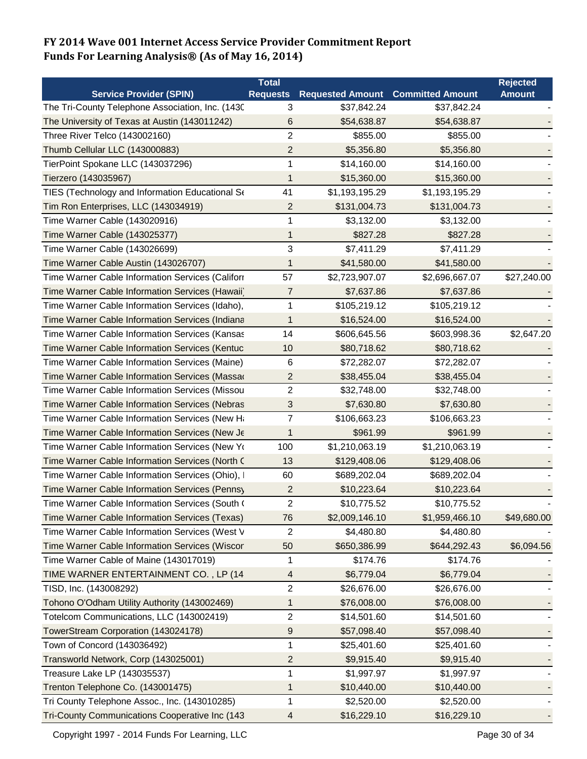|                                                   | <b>Total</b>            |                         |                         | <b>Rejected</b> |
|---------------------------------------------------|-------------------------|-------------------------|-------------------------|-----------------|
| <b>Service Provider (SPIN)</b>                    | <b>Requests</b>         | <b>Requested Amount</b> | <b>Committed Amount</b> | <b>Amount</b>   |
| The Tri-County Telephone Association, Inc. (1430) | 3                       | \$37,842.24             | \$37,842.24             |                 |
| The University of Texas at Austin (143011242)     | 6                       | \$54,638.87             | \$54,638.87             |                 |
| Three River Telco (143002160)                     | $\overline{c}$          | \$855.00                | \$855.00                |                 |
| Thumb Cellular LLC (143000883)                    | $\overline{2}$          | \$5,356.80              | \$5,356.80              |                 |
| TierPoint Spokane LLC (143037296)                 | 1                       | \$14,160.00             | \$14,160.00             |                 |
| Tierzero (143035967)                              | 1                       | \$15,360.00             | \$15,360.00             |                 |
| TIES (Technology and Information Educational Se   | 41                      | \$1,193,195.29          | \$1,193,195.29          |                 |
| Tim Ron Enterprises, LLC (143034919)              | $\overline{c}$          | \$131,004.73            | \$131,004.73            |                 |
| Time Warner Cable (143020916)                     | 1                       | \$3,132.00              | \$3,132.00              |                 |
| Time Warner Cable (143025377)                     | 1                       | \$827.28                | \$827.28                |                 |
| Time Warner Cable (143026699)                     | 3                       | \$7,411.29              | \$7,411.29              |                 |
| Time Warner Cable Austin (143026707)              | 1                       | \$41,580.00             | \$41,580.00             |                 |
| Time Warner Cable Information Services (Califorr  | 57                      | \$2,723,907.07          | \$2,696,667.07          | \$27,240.00     |
| Time Warner Cable Information Services (Hawaii)   | 7                       | \$7,637.86              | \$7,637.86              |                 |
| Time Warner Cable Information Services (Idaho),   | 1                       | \$105,219.12            | \$105,219.12            |                 |
| Time Warner Cable Information Services (Indiana   | 1                       | \$16,524.00             | \$16,524.00             |                 |
| Time Warner Cable Information Services (Kansas    | 14                      | \$606,645.56            | \$603,998.36            | \$2,647.20      |
| Time Warner Cable Information Services (Kentuc    | 10                      | \$80,718.62             | \$80,718.62             |                 |
| Time Warner Cable Information Services (Maine)    | 6                       | \$72,282.07             | \$72,282.07             |                 |
| Time Warner Cable Information Services (Massad    | 2                       | \$38,455.04             | \$38,455.04             |                 |
| Time Warner Cable Information Services (Missou    | 2                       | \$32,748.00             | \$32,748.00             |                 |
| Time Warner Cable Information Services (Nebras    | 3                       | \$7,630.80              | \$7,630.80              |                 |
| Time Warner Cable Information Services (New Ha    | $\overline{7}$          | \$106,663.23            | \$106,663.23            |                 |
| Time Warner Cable Information Services (New Je    | 1                       | \$961.99                | \$961.99                |                 |
| Time Warner Cable Information Services (New Yo    | 100                     | \$1,210,063.19          | \$1,210,063.19          |                 |
| Time Warner Cable Information Services (North C   | 13                      | \$129,408.06            | \$129,408.06            |                 |
| Time Warner Cable Information Services (Ohio), I  | 60                      | \$689,202.04            | \$689,202.04            |                 |
| Time Warner Cable Information Services (Pennsy    | $\overline{\mathbf{c}}$ | \$10,223.64             | \$10,223.64             |                 |
| Time Warner Cable Information Services (South (   | 2                       | \$10,775.52             | \$10.775.52             |                 |
| Time Warner Cable Information Services (Texas)    | 76                      | \$2,009,146.10          | \$1,959,466.10          | \$49,680.00     |
| Time Warner Cable Information Services (West V    | 2                       | \$4,480.80              | \$4,480.80              |                 |
| Time Warner Cable Information Services (Wiscor    | 50                      | \$650,386.99            | \$644,292.43            | \$6,094.56      |
| Time Warner Cable of Maine (143017019)            | 1                       | \$174.76                | \$174.76                |                 |
| TIME WARNER ENTERTAINMENT CO., LP (14             | 4                       | \$6,779.04              | \$6,779.04              |                 |
| TISD, Inc. (143008292)                            | $\overline{c}$          | \$26,676.00             | \$26,676.00             |                 |
| Tohono O'Odham Utility Authority (143002469)      | 1                       | \$76,008.00             | \$76,008.00             |                 |
| Totelcom Communications, LLC (143002419)          | $\overline{2}$          | \$14,501.60             | \$14,501.60             |                 |
| TowerStream Corporation (143024178)               | 9                       | \$57,098.40             | \$57,098.40             |                 |
| Town of Concord (143036492)                       | 1                       | \$25,401.60             | \$25,401.60             |                 |
| Transworld Network, Corp (143025001)              | 2                       | \$9,915.40              | \$9,915.40              |                 |
| Treasure Lake LP (143035537)                      | 1                       | \$1,997.97              | \$1,997.97              |                 |
| Trenton Telephone Co. (143001475)                 | 1                       | \$10,440.00             | \$10,440.00             |                 |
| Tri County Telephone Assoc., Inc. (143010285)     | 1                       | \$2,520.00              | \$2,520.00              |                 |
| Tri-County Communications Cooperative Inc (143    | $\overline{4}$          | \$16,229.10             | \$16,229.10             |                 |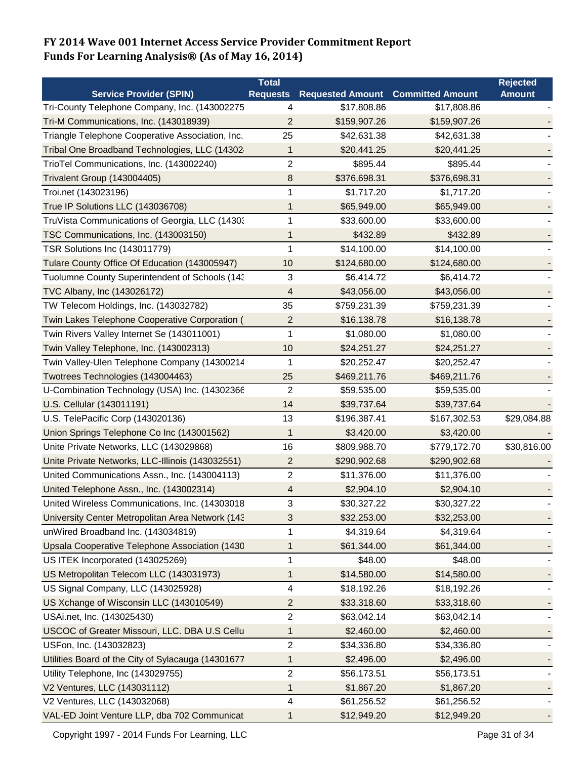|                                                    | <b>Total</b>            |                         |                         | <b>Rejected</b> |
|----------------------------------------------------|-------------------------|-------------------------|-------------------------|-----------------|
| <b>Service Provider (SPIN)</b>                     | <b>Requests</b>         | <b>Requested Amount</b> | <b>Committed Amount</b> | <b>Amount</b>   |
| Tri-County Telephone Company, Inc. (143002275      | 4                       | \$17,808.86             | \$17,808.86             |                 |
| Tri-M Communications, Inc. (143018939)             | 2                       | \$159,907.26            | \$159,907.26            |                 |
| Triangle Telephone Cooperative Association, Inc.   | 25                      | \$42,631.38             | \$42,631.38             |                 |
| Tribal One Broadband Technologies, LLC (14302      | 1                       | \$20,441.25             | \$20,441.25             |                 |
| TrioTel Communications, Inc. (143002240)           | 2                       | \$895.44                | \$895.44                |                 |
| Trivalent Group (143004405)                        | 8                       | \$376,698.31            | \$376,698.31            |                 |
| Troi.net (143023196)                               | 1                       | \$1,717.20              | \$1,717.20              |                 |
| True IP Solutions LLC (143036708)                  | 1                       | \$65,949.00             | \$65,949.00             |                 |
| TruVista Communications of Georgia, LLC (1430)     | 1                       | \$33,600.00             | \$33,600.00             |                 |
| TSC Communications, Inc. (143003150)               | 1                       | \$432.89                | \$432.89                |                 |
| TSR Solutions Inc (143011779)                      | 1                       | \$14,100.00             | \$14,100.00             |                 |
| Tulare County Office Of Education (143005947)      | 10                      | \$124,680.00            | \$124,680.00            |                 |
| Tuolumne County Superintendent of Schools (143     | 3                       | \$6,414.72              | \$6,414.72              |                 |
| TVC Albany, Inc (143026172)                        | 4                       | \$43,056.00             | \$43,056.00             |                 |
| TW Telecom Holdings, Inc. (143032782)              | 35                      | \$759,231.39            | \$759,231.39            |                 |
| Twin Lakes Telephone Cooperative Corporation (     | $\overline{\mathbf{c}}$ | \$16,138.78             | \$16,138.78             |                 |
| Twin Rivers Valley Internet Se (143011001)         | 1                       | \$1,080.00              | \$1,080.00              |                 |
| Twin Valley Telephone, Inc. (143002313)            | 10                      | \$24,251.27             | \$24,251.27             |                 |
| Twin Valley-Ulen Telephone Company (14300214       | 1                       | \$20,252.47             | \$20,252.47             |                 |
| Twotrees Technologies (143004463)                  | 25                      | \$469,211.76            | \$469,211.76            |                 |
| U-Combination Technology (USA) Inc. (14302366      | 2                       | \$59,535.00             | \$59,535.00             |                 |
| U.S. Cellular (143011191)                          | 14                      | \$39,737.64             | \$39,737.64             |                 |
| U.S. TelePacific Corp (143020136)                  | 13                      | \$196,387.41            | \$167,302.53            | \$29,084.88     |
| Union Springs Telephone Co Inc (143001562)         | 1                       | \$3,420.00              | \$3,420.00              |                 |
| Unite Private Networks, LLC (143029868)            | 16                      | \$809,988.70            | \$779,172.70            | \$30,816.00     |
| Unite Private Networks, LLC-Illinois (143032551)   | $\overline{c}$          | \$290,902.68            | \$290,902.68            |                 |
| United Communications Assn., Inc. (143004113)      | 2                       | \$11,376.00             | \$11,376.00             |                 |
| United Telephone Assn., Inc. (143002314)           | 4                       | \$2,904.10              | \$2,904.10              |                 |
| United Wireless Communications, Inc. (14303018     | 3                       | \$30,327.22             | \$30,327.22             |                 |
| University Center Metropolitan Area Network (143   | 3                       | \$32,253.00             | \$32,253.00             |                 |
| unWired Broadband Inc. (143034819)                 | 1                       | \$4,319.64              | \$4,319.64              |                 |
| Upsala Cooperative Telephone Association (1430     | 1                       | \$61,344.00             | \$61,344.00             |                 |
| US ITEK Incorporated (143025269)                   | 1                       | \$48.00                 | \$48.00                 |                 |
| US Metropolitan Telecom LLC (143031973)            | 1                       | \$14,580.00             | \$14,580.00             |                 |
| US Signal Company, LLC (143025928)                 | 4                       | \$18,192.26             | \$18,192.26             |                 |
| US Xchange of Wisconsin LLC (143010549)            | $\overline{c}$          | \$33,318.60             | \$33,318.60             |                 |
| USAi.net, Inc. (143025430)                         | 2                       | \$63,042.14             | \$63,042.14             |                 |
| USCOC of Greater Missouri, LLC. DBA U.S Cellu      | 1                       | \$2,460.00              | \$2,460.00              |                 |
| USFon, Inc. (143032823)                            | $\overline{2}$          | \$34,336.80             | \$34,336.80             |                 |
| Utilities Board of the City of Sylacauga (14301677 | 1                       | \$2,496.00              | \$2,496.00              |                 |
| Utility Telephone, Inc (143029755)                 | 2                       | \$56,173.51             | \$56,173.51             |                 |
| V2 Ventures, LLC (143031112)                       | 1                       | \$1,867.20              | \$1,867.20              |                 |
| V2 Ventures, LLC (143032068)                       | 4                       | \$61,256.52             | \$61,256.52             |                 |
| VAL-ED Joint Venture LLP, dba 702 Communicat       | 1                       | \$12,949.20             | \$12,949.20             |                 |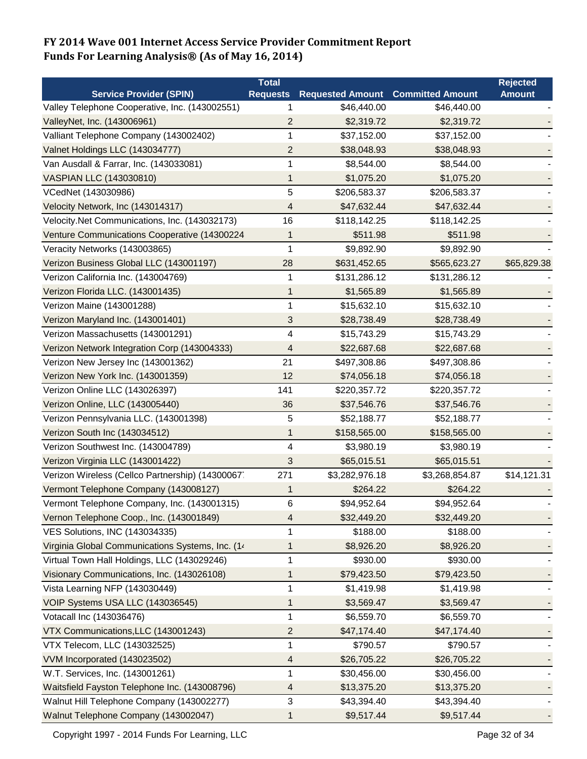|                                                  | <b>Total</b>    |                         |                         | <b>Rejected</b> |
|--------------------------------------------------|-----------------|-------------------------|-------------------------|-----------------|
| <b>Service Provider (SPIN)</b>                   | <b>Requests</b> | <b>Requested Amount</b> | <b>Committed Amount</b> | <b>Amount</b>   |
| Valley Telephone Cooperative, Inc. (143002551)   | 1               | \$46,440.00             | \$46,440.00             |                 |
| ValleyNet, Inc. (143006961)                      | 2               | \$2,319.72              | \$2,319.72              |                 |
| Valliant Telephone Company (143002402)           | 1               | \$37,152.00             | \$37,152.00             |                 |
| Valnet Holdings LLC (143034777)                  | $\overline{2}$  | \$38,048.93             | \$38,048.93             |                 |
| Van Ausdall & Farrar, Inc. (143033081)           | 1               | \$8,544.00              | \$8,544.00              |                 |
| <b>VASPIAN LLC (143030810)</b>                   | 1               | \$1,075.20              | \$1,075.20              |                 |
| VCedNet (143030986)                              | 5               | \$206,583.37            | \$206,583.37            |                 |
| Velocity Network, Inc (143014317)                | 4               | \$47,632.44             | \$47,632.44             |                 |
| Velocity.Net Communications, Inc. (143032173)    | 16              | \$118,142.25            | \$118,142.25            |                 |
| Venture Communications Cooperative (14300224     | 1               | \$511.98                | \$511.98                |                 |
| Veracity Networks (143003865)                    | 1               | \$9,892.90              | \$9,892.90              |                 |
| Verizon Business Global LLC (143001197)          | 28              | \$631,452.65            | \$565,623.27            | \$65,829.38     |
| Verizon California Inc. (143004769)              | 1               | \$131,286.12            | \$131,286.12            |                 |
| Verizon Florida LLC. (143001435)                 | 1               | \$1,565.89              | \$1,565.89              |                 |
| Verizon Maine (143001288)                        | 1               | \$15,632.10             | \$15,632.10             |                 |
| Verizon Maryland Inc. (143001401)                | 3               | \$28,738.49             | \$28,738.49             |                 |
| Verizon Massachusetts (143001291)                | 4               | \$15,743.29             | \$15,743.29             |                 |
| Verizon Network Integration Corp (143004333)     | 4               | \$22,687.68             | \$22,687.68             |                 |
| Verizon New Jersey Inc (143001362)               | 21              | \$497,308.86            | \$497,308.86            |                 |
| Verizon New York Inc. (143001359)                | 12              | \$74,056.18             | \$74,056.18             |                 |
| Verizon Online LLC (143026397)                   | 141             | \$220,357.72            | \$220,357.72            |                 |
| Verizon Online, LLC (143005440)                  | 36              | \$37,546.76             | \$37,546.76             |                 |
| Verizon Pennsylvania LLC. (143001398)            | 5               | \$52,188.77             | \$52,188.77             |                 |
| Verizon South Inc (143034512)                    | 1               | \$158,565.00            | \$158,565.00            |                 |
| Verizon Southwest Inc. (143004789)               | 4               | \$3,980.19              | \$3,980.19              |                 |
| Verizon Virginia LLC (143001422)                 | 3               | \$65,015.51             | \$65,015.51             |                 |
| Verizon Wireless (Cellco Partnership) (14300067. | 271             | \$3,282,976.18          | \$3,268,854.87          | \$14,121.31     |
| Vermont Telephone Company (143008127)            | 1               | \$264.22                | \$264.22                |                 |
| Vermont Telephone Company, Inc. (143001315)      | 6               | \$94,952.64             | \$94,952.64             |                 |
| Vernon Telephone Coop., Inc. (143001849)         | 4               | \$32,449.20             | \$32,449.20             |                 |
| VES Solutions, INC (143034335)                   | 1               | \$188.00                | \$188.00                |                 |
| Virginia Global Communications Systems, Inc. (14 | 1               | \$8,926.20              | \$8,926.20              |                 |
| Virtual Town Hall Holdings, LLC (143029246)      | 1               | \$930.00                | \$930.00                |                 |
| Visionary Communications, Inc. (143026108)       | 1               | \$79,423.50             | \$79,423.50             |                 |
| Vista Learning NFP (143030449)                   | 1               | \$1,419.98              | \$1,419.98              |                 |
| VOIP Systems USA LLC (143036545)                 | 1               | \$3,569.47              | \$3,569.47              |                 |
| Votacall Inc (143036476)                         | 1               | \$6,559.70              | \$6,559.70              |                 |
| VTX Communications, LLC (143001243)              | 2               | \$47,174.40             | \$47,174.40             |                 |
| VTX Telecom, LLC (143032525)                     | 1               | \$790.57                | \$790.57                |                 |
| VVM Incorporated (143023502)                     | 4               | \$26,705.22             | \$26,705.22             |                 |
| W.T. Services, Inc. (143001261)                  | 1               | \$30,456.00             | \$30,456.00             |                 |
| Waitsfield Fayston Telephone Inc. (143008796)    | 4               | \$13,375.20             | \$13,375.20             |                 |
| Walnut Hill Telephone Company (143002277)        | 3               | \$43,394.40             | \$43,394.40             |                 |
| Walnut Telephone Company (143002047)             | 1               | \$9,517.44              | \$9,517.44              |                 |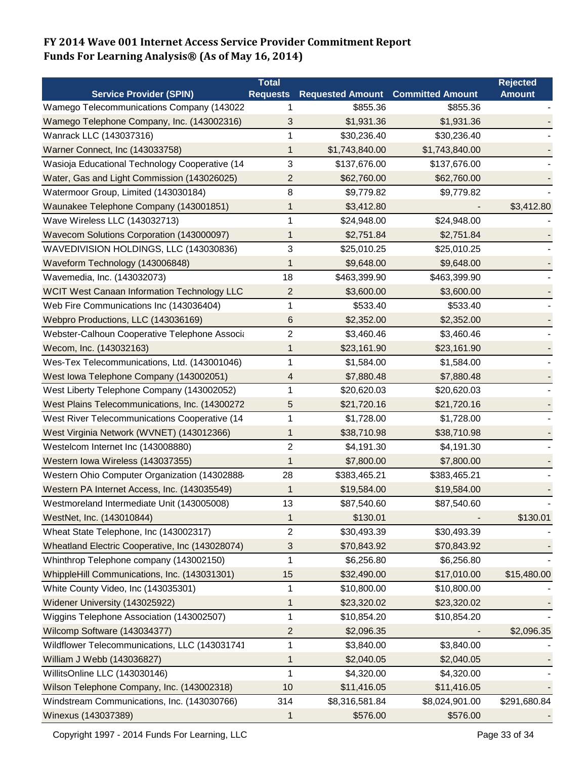|                                                    | <b>Total</b>            |                         |                         | <b>Rejected</b> |
|----------------------------------------------------|-------------------------|-------------------------|-------------------------|-----------------|
| <b>Service Provider (SPIN)</b>                     | <b>Requests</b>         | <b>Requested Amount</b> | <b>Committed Amount</b> | <b>Amount</b>   |
| Wamego Telecommunications Company (143022          | 1                       | \$855.36                | \$855.36                |                 |
| Wamego Telephone Company, Inc. (143002316)         | 3                       | \$1,931.36              | \$1,931.36              |                 |
| Wanrack LLC (143037316)                            | 1                       | \$30,236.40             | \$30,236.40             |                 |
| Warner Connect, Inc (143033758)                    | 1                       | \$1,743,840.00          | \$1,743,840.00          |                 |
| Wasioja Educational Technology Cooperative (14     | 3                       | \$137,676.00            | \$137,676.00            |                 |
| Water, Gas and Light Commission (143026025)        | 2                       | \$62,760.00             | \$62,760.00             |                 |
| Watermoor Group, Limited (143030184)               | $\,8\,$                 | \$9,779.82              | \$9,779.82              |                 |
| Waunakee Telephone Company (143001851)             | 1                       | \$3,412.80              |                         | \$3,412.80      |
| Wave Wireless LLC (143032713)                      | 1                       | \$24,948.00             | \$24,948.00             |                 |
| Wavecom Solutions Corporation (143000097)          | 1                       | \$2,751.84              | \$2,751.84              |                 |
| WAVEDIVISION HOLDINGS, LLC (143030836)             | 3                       | \$25,010.25             | \$25,010.25             |                 |
| Waveform Technology (143006848)                    | 1                       | \$9,648.00              | \$9,648.00              |                 |
| Wavemedia, Inc. (143032073)                        | 18                      | \$463,399.90            | \$463,399.90            |                 |
| <b>WCIT West Canaan Information Technology LLC</b> | 2                       | \$3,600.00              | \$3,600.00              |                 |
| Web Fire Communications Inc (143036404)            | 1                       | \$533.40                | \$533.40                |                 |
| Webpro Productions, LLC (143036169)                | 6                       | \$2,352.00              | \$2,352.00              |                 |
| Webster-Calhoun Cooperative Telephone Associa      | $\overline{2}$          | \$3,460.46              | \$3,460.46              |                 |
| Wecom, Inc. (143032163)                            | 1                       | \$23,161.90             | \$23,161.90             |                 |
| Wes-Tex Telecommunications, Ltd. (143001046)       | 1                       | \$1,584.00              | \$1,584.00              |                 |
| West Iowa Telephone Company (143002051)            | 4                       | \$7,880.48              | \$7,880.48              |                 |
| West Liberty Telephone Company (143002052)         | 1                       | \$20,620.03             | \$20,620.03             |                 |
| West Plains Telecommunications, Inc. (14300272     | 5                       | \$21,720.16             | \$21,720.16             |                 |
| West River Telecommunications Cooperative (14      | 1                       | \$1,728.00              | \$1,728.00              |                 |
| West Virginia Network (WVNET) (143012366)          | 1                       | \$38,710.98             | \$38,710.98             |                 |
| Westelcom Internet Inc (143008880)                 | $\overline{c}$          | \$4,191.30              | \$4,191.30              |                 |
| Western Iowa Wireless (143037355)                  | 1                       | \$7,800.00              | \$7,800.00              |                 |
| Western Ohio Computer Organization (14302888       | 28                      | \$383,465.21            | \$383,465.21            |                 |
| Western PA Internet Access, Inc. (143035549)       | 1                       | \$19,584.00             | \$19,584.00             |                 |
| Westmoreland Intermediate Unit (143005008)         | 13                      | \$87,540.60             | \$87,540.60             |                 |
| WestNet, Inc. (143010844)                          | 1                       | \$130.01                |                         | \$130.01        |
| Wheat State Telephone, Inc (143002317)             | $\overline{\mathbf{c}}$ | \$30,493.39             | \$30,493.39             |                 |
| Wheatland Electric Cooperative, Inc (143028074)    | 3                       | \$70,843.92             | \$70,843.92             |                 |
| Whinthrop Telephone company (143002150)            | 1                       | \$6,256.80              | \$6,256.80              |                 |
| WhippleHill Communications, Inc. (143031301)       | 15                      | \$32,490.00             | \$17,010.00             | \$15,480.00     |
| White County Video, Inc (143035301)                | 1                       | \$10,800.00             | \$10,800.00             |                 |
| Widener University (143025922)                     | 1                       | \$23,320.02             | \$23,320.02             |                 |
| Wiggins Telephone Association (143002507)          | 1                       | \$10,854.20             | \$10,854.20             |                 |
| Wilcomp Software (143034377)                       | $\overline{c}$          | \$2,096.35              |                         | \$2,096.35      |
| Wildflower Telecommunications, LLC (143031741      | 1                       | \$3,840.00              | \$3,840.00              |                 |
| William J Webb (143036827)                         | 1                       | \$2,040.05              | \$2,040.05              |                 |
| WillitsOnline LLC (143030146)                      | 1                       | \$4,320.00              | \$4,320.00              |                 |
| Wilson Telephone Company, Inc. (143002318)         | 10                      | \$11,416.05             | \$11,416.05             |                 |
| Windstream Communications, Inc. (143030766)        | 314                     | \$8,316,581.84          | \$8,024,901.00          | \$291,680.84    |
| Winexus (143037389)                                | 1                       | \$576.00                | \$576.00                |                 |